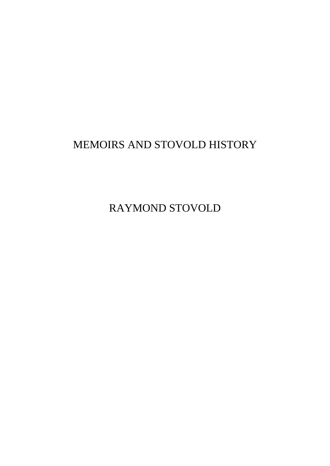# MEMOIRS AND STOVOLD HISTORY

RAYMOND STOVOLD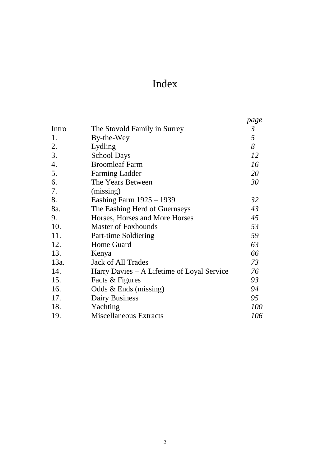# Index

|                                            | page           |
|--------------------------------------------|----------------|
| The Stovold Family in Surrey               | $\mathfrak{Z}$ |
| By-the-Wey                                 | 5              |
| Lydling                                    | 8              |
| <b>School Days</b>                         | 12             |
| <b>Broomleaf Farm</b>                      | 16             |
| <b>Farming Ladder</b>                      | 20             |
| The Years Between                          | 30             |
| (missing)                                  |                |
| Eashing Farm 1925 – 1939                   | 32             |
| The Eashing Herd of Guernseys              | 43             |
| Horses, Horses and More Horses             | 45             |
| <b>Master of Foxhounds</b>                 | 53             |
| Part-time Soldiering                       | 59             |
| Home Guard                                 | 63             |
| Kenya                                      | 66             |
| <b>Jack of All Trades</b>                  | 73             |
| Harry Davies - A Lifetime of Loyal Service | 76             |
| Facts & Figures                            | 93             |
| Odds $&Ends$ (missing)                     | 94             |
| <b>Dairy Business</b>                      | 95             |
| Yachting                                   | 100            |
| <b>Miscellaneous Extracts</b>              | 106            |
|                                            |                |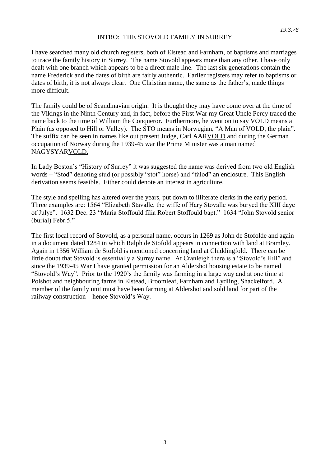#### INTRO: THE STOVOLD FAMILY IN SURREY

I have searched many old church registers, both of Elstead and Farnham, of baptisms and marriages to trace the family history in Surrey. The name Stovold appears more than any other. I have only dealt with one branch which appears to be a direct male line. The last six generations contain the name Frederick and the dates of birth are fairly authentic. Earlier registers may refer to baptisms or dates of birth, it is not always clear. One Christian name, the same as the father's, made things more difficult.

The family could be of Scandinavian origin. It is thought they may have come over at the time of the Vikings in the Ninth Century and, in fact, before the First War my Great Uncle Percy traced the name back to the time of William the Conqueror. Furthermore, he went on to say VOLD means a Plain (as opposed to Hill or Valley). The STO means in Norwegian, "A Man of VOLD, the plain". The suffix can be seen in names like out present Judge, Carl AARVOLD and during the German occupation of Norway during the 1939-45 war the Prime Minister was a man named NAGYSYARVOLD.

In Lady Boston's "History of Surrey" it was suggested the name was derived from two old English words – "Stod" denoting stud (or possibly "stot" horse) and "falod" an enclosure. This English derivation seems feasible. Either could denote an interest in agriculture.

The style and spelling has altered over the years, put down to illiterate clerks in the early period. Three examples are: 1564 "Elizabeth Stavalle, the wiffe of Hary Stovalle was buryed the XIII daye of Julye". 1632 Dec. 23 "Maria Stoffould filia Robert Stoffould bapt." 1634 "John Stovold senior (burial) Febr.5."

The first local record of Stovold, as a personal name, occurs in 1269 as John de Stofolde and again in a document dated 1284 in which Ralph de Stofold appears in connection with land at Bramley. Again in 1356 William de Stofold is mentioned concerning land at Chiddingfold. There can be little doubt that Stovold is essentially a Surrey name. At Cranleigh there is a "Stovold's Hill" and since the 1939-45 War I have granted permission for an Aldershot housing estate to be named "Stovold's Way". Prior to the 1920's the family was farming in a large way and at one time at Polshot and neighbouring farms in Elstead, Broomleaf, Farnham and Lydling, Shackelford. A member of the family unit must have been farming at Aldershot and sold land for part of the railway construction – hence Stovold's Way.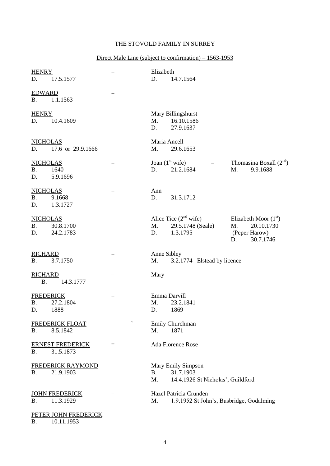### THE STOVOLD FAMILY IN SURREY

#### Direct Male Line (subject to confirmation) – 1563-1953

| <b>HENRY</b><br>17.5.1577<br>D.                              | $=$      | Elizabeth<br>D.<br>14.7.1564                                                                                                                                       |
|--------------------------------------------------------------|----------|--------------------------------------------------------------------------------------------------------------------------------------------------------------------|
| <b>EDWARD</b><br>1.1.1563<br><b>B.</b>                       | $\equiv$ |                                                                                                                                                                    |
| <b>HENRY</b><br>10.4.1609<br>D.                              | $\equiv$ | Mary Billingshurst<br>16.10.1586<br>M.<br>D.<br>27.9.1637                                                                                                          |
| <b>NICHOLAS</b><br>D.<br>17.6 or 29.9.1666                   | $=$      | Maria Ancell<br>M.<br>29.6.1653                                                                                                                                    |
| <b>NICHOLAS</b><br><b>B.</b><br>1640<br>D.<br>5.9.1696       | $\equiv$ | Joan $(1st$ wife)<br>Thomasina Boxall $(2nd)$<br>$=$<br>21.2.1684<br>M.<br>9.9.1688<br>D.                                                                          |
| <b>NICHOLAS</b><br><b>B.</b><br>9.1668<br>D.<br>1.3.1727     | $=$      | Ann<br>D.<br>31.3.1712                                                                                                                                             |
| <b>NICHOLAS</b><br><b>B.</b><br>30.8.1700<br>24.2.1783<br>D. | $=$      | Alice Tice $(2nd$ wife)<br>Elizabeth Moor $(1st)$<br>$\equiv$<br>M.<br>29.5.1748 (Seale)<br>M.<br>20.10.1730<br>1.3.1795<br>(Peper Harow)<br>D.<br>30.7.1746<br>D. |
| <b>RICHARD</b><br>3.7.1750<br><b>B.</b>                      | $=$      | Anne Sibley<br>M.<br>3.2.1774 Elstead by licence                                                                                                                   |
| <b>RICHARD</b><br><b>B.</b><br>14.3.1777                     | $=$      | Mary                                                                                                                                                               |
| <b>FREDERICK</b><br><b>B.</b><br>27.2.1804<br>D.<br>1888     | $\equiv$ | Emma Darvill<br>23.2.1841<br>M.<br>D.<br>1869                                                                                                                      |
| <b>FREDERICK FLOAT</b><br>8.5.1842<br><b>B.</b>              |          | Emily Churchman<br>1871<br>M.                                                                                                                                      |
| <b>ERNEST FREDERICK</b><br>31.5.1873<br><b>B.</b>            | $=$      | Ada Florence Rose                                                                                                                                                  |
| <b>FREDERICK RAYMOND</b><br>21.9.1903<br>Β.                  | $=$      | Mary Emily Simpson<br>31.7.1903<br><b>B.</b><br>M.<br>14.4.1926 St Nicholas', Guildford                                                                            |
| <b>JOHN FREDERICK</b><br>11.3.1929<br><b>B.</b>              | $=$      | Hazel Patricia Crunden<br>M.<br>1.9.1952 St John's, Busbridge, Godalming                                                                                           |
| PETER JOHN FREDERICK<br>10.11.1953<br><b>B.</b>              |          |                                                                                                                                                                    |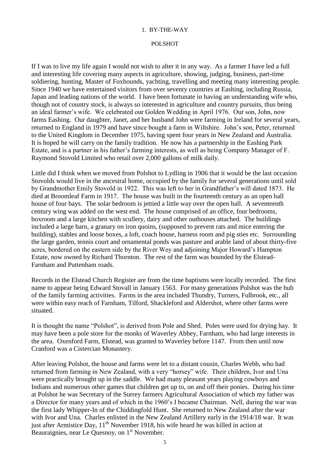#### 1. BY-THE-WAY

#### POLSHOT

If I was to live my life again I would not wish to alter it in any way. As a farmer I have led a full and interesting life covering many aspects in agriculture, showing, judging, business, part-time soldiering, hunting, Master of Foxhounds, yachting, travelling and meeting many interesting people. Since 1940 we have entertained visitors from over seventy countries at Eashing, including Russia, Japan and leading nations of the world. I have been fortunate in having an understanding wife who, though not of country stock, is always so interested in agriculture and country pursuits, thus being an ideal farmer's wife. We celebrated our Golden Wedding in April 1976. Our son, John, now farms Eashing. Our daughter, Janet, and her husband John were farming in Ireland for several years, returned to England in 1979 and have since bought a farm in Wiltshire. John's son, Peter, returned to the United Kingdom in December 1975, having spent four years in New Zealand and Australia. It is hoped he will carry on the family tradition. He now has a partnership in the Eashing Park Estate, and is a partner in his father's farming interests, as well as being Company Manager of F. Raymond Stovold Limited who retail over 2,000 gallons of milk daily.

Little did I think when we moved from Polshot to Lydling in 1906 that it would be the last occasion Stovolds would live in the ancestral home, occupied by the family for several generations until sold by Grandmother Emily Stovold in 1922. This was left to her in Grandfather's will dated 1873. He died at Broomleaf Farm in 1917. The house was built in the fourteenth century as an open hall house of four bays. The solar bedroom is jettied a little way over the open hall. A seventeenth century wing was added on the west end. The house comprised of an office, four bedrooms, boxroom and a large kitchen with scullery, dairy and other outhouses attached. The buildings included a large barn, a granary on iron quoins, (supposed to prevent rats and mice entering the building), stables and loose boxes, a loft, coach house, harness room and pig sties etc. Surrounding the large garden, tennis court and ornamental ponds was pasture and arable land of about thirty-five acres, bordered on the eastern side by the River Wey and adjoining Major Howard's Hampton Estate, now owned by Richard Thornton. The rest of the farm was bounded by the Elstead-Farnham and Puttenham roads.

Records in the Elstead Church Register are from the time baptisms were locally recorded. The first name to appear being Edward Stovall in January 1563. For many generations Polshot was the hub of the family farming activities. Farms in the area included Thundry, Turners, Fulbrook, etc., all were within easy reach of Farnham, Tilford, Shackleford and Aldershot, where other farms were situated.

It is thought the name "Polshot", is derived from Pole and Shed. Poles were used for drying hay. It may have been a pole store for the monks of Waverley Abbey, Farnham, who had large interests in the area. Oxenford Farm, Elstead, was granted to Waverley before 1147. From then until now Cranford was a Cistercian Monastery.

After leaving Polshot, the house and farms were let to a distant cousin, Charles Webb, who had returned from farming in New Zealand, with a very "horsey" wife. Their children, Ivor and Una were practically brought up in the saddle. We had many pleasant years playing cowboys and Indians and numerous other games that children get up to, on and off their ponies. During his time at Polshot he was Secretary of the Surrey farmers Agricultural Association of which my father was a Director for many years and of which in the 1960's I became Chairman. Nell, during the war was the first lady Whipper-In of the Chiddingfold Hunt. She returned to New Zealand after the war with Ivor and Una. Charles enlisted in the New Zealand Artillery early in the 1914/18 war. It was just after Armistice Day, 11<sup>th</sup> November 1918, his wife heard he was killed in action at Beauraignies, near Le Quesnoy, on 1<sup>st</sup> November.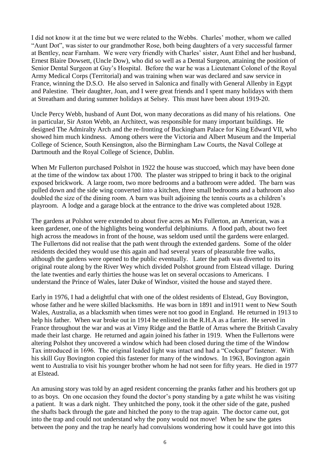I did not know it at the time but we were related to the Webbs. Charles' mother, whom we called "Aunt Dot", was sister to our grandmother Rose, both being daughters of a very successful farmer at Bentley, near Farnham. We were very friendly with Charles' sister, Aunt Ethel and her husband, Ernest Blaire Dowsett, (Uncle Dow), who did so well as a Dental Surgeon, attaining the position of Senior Dental Surgeon at Guy's Hospital. Before the war he was a Lieutenant Colonel of the Royal Army Medical Corps (Territorial) and was training when war was declared and saw service in France, winning the D.S.O. He also served in Salonica and finally with General Allenby in Egypt and Palestine. Their daughter, Joan, and I were great friends and I spent many holidays with them at Streatham and during summer holidays at Selsey. This must have been about 1919-20.

Uncle Percy Webb, husband of Aunt Dot, won many decorations as did many of his relations. One in particular, Sir Aston Webb, an Architect, was responsible for many important buildings. He designed The Admiralty Arch and the re-fronting of Buckingham Palace for King Edward VII, who showed him much kindness. Among others were the Victoria and Albert Museum and the Imperial College of Science, South Kensington, also the Birmingham Law Courts, the Naval College at Dartmouth and the Royal College of Science, Dublin.

When Mr Fullerton purchased Polshot in 1922 the house was stuccoed, which may have been done at the time of the window tax about 1700. The plaster was stripped to bring it back to the original exposed brickwork. A large room, two more bedrooms and a bathroom were added. The barn was pulled down and the side wing converted into a kitchen, three small bedrooms and a bathroom also doubled the size of the dining room. A barn was built adjoining the tennis courts as a children's playroom. A lodge and a garage block at the entrance to the drive was completed about 1928.

The gardens at Polshot were extended to about five acres as Mrs Fullerton, an American, was a keen gardener, one of the highlights being wonderful delphiniums. A flood path, about two feet high across the meadows in front of the house, was seldom used until the gardens were enlarged. The Fullertons did not realise that the path went through the extended gardens. Some of the older residents decided they would use this again and had several years of pleasurable free walks, although the gardens were opened to the public eventually. Later the path was diverted to its original route along by the River Wey which divided Polshot ground from Elstead village. During the late twenties and early thirties the house was let on several occasions to Americans. I understand the Prince of Wales, later Duke of Windsor, visited the house and stayed there.

Early in 1976, I had a delightful chat with one of the oldest residents of Elstead, Guy Bovington, whose father and he were skilled blacksmiths. He was born in 1891 and in1911 went to New South Wales, Australia, as a blacksmith when times were not too good in England. He returned in 1913 to help his father. When war broke out in 1914 he enlisted in the R.H.A as a farrier. He served in France throughout the war and was at Vimy Ridge and the Battle of Arras where the British Cavalry made their last charge. He returned and again joined his father in 1919. When the Fullertons were altering Polshot they uncovered a window which had been closed during the time of the Window Tax introduced in 1696. The original leaded light was intact and had a "Cockspur" fastener. With his skill Guy Bovington copied this fastener for many of the windows. In 1963, Bovington again went to Australia to visit his younger brother whom he had not seen for fifty years. He died in 1977 at Elstead.

An amusing story was told by an aged resident concerning the pranks father and his brothers got up to as boys. On one occasion they found the doctor's pony standing by a gate whilst he was visiting a patient. It was a dark night. They unhitched the pony, took it the other side of the gate, pushed the shafts back through the gate and hitched the pony to the trap again. The doctor came out, got into the trap and could not understand why the pony would not move! When he saw the gates between the pony and the trap he nearly had convulsions wondering how it could have got into this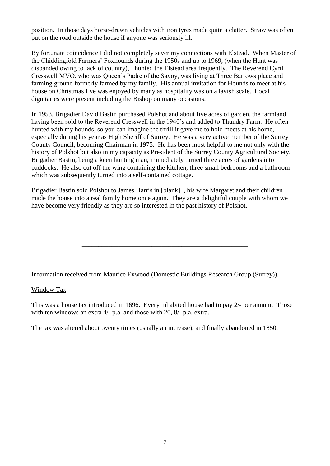position. In those days horse-drawn vehicles with iron tyres made quite a clatter. Straw was often put on the road outside the house if anyone was seriously ill.

By fortunate coincidence I did not completely sever my connections with Elstead. When Master of the Chiddingfold Farmers' Foxhounds during the 1950s and up to 1969, (when the Hunt was disbanded owing to lack of country), I hunted the Elstead area frequently. The Reverend Cyril Cresswell MVO, who was Queen's Padre of the Savoy, was living at Three Barrows place and farming ground formerly farmed by my family. His annual invitation for Hounds to meet at his house on Christmas Eve was enjoyed by many as hospitality was on a lavish scale. Local dignitaries were present including the Bishop on many occasions.

In 1953, Brigadier David Bastin purchased Polshot and about five acres of garden, the farmland having been sold to the Reverend Cresswell in the 1940's and added to Thundry Farm. He often hunted with my hounds, so you can imagine the thrill it gave me to hold meets at his home, especially during his year as High Sheriff of Surrey. He was a very active member of the Surrey County Council, becoming Chairman in 1975. He has been most helpful to me not only with the history of Polshot but also in my capacity as President of the Surrey County Agricultural Society. Brigadier Bastin, being a keen hunting man, immediately turned three acres of gardens into paddocks. He also cut off the wing containing the kitchen, three small bedrooms and a bathroom which was subsequently turned into a self-contained cottage.

Brigadier Bastin sold Polshot to James Harris in [blank] , his wife Margaret and their children made the house into a real family home once again. They are a delightful couple with whom we have become very friendly as they are so interested in the past history of Polshot.

\_\_\_\_\_\_\_\_\_\_\_\_\_\_\_\_\_\_\_\_\_\_\_\_\_\_\_\_\_\_\_\_\_\_\_\_\_\_\_\_\_\_\_\_\_\_\_\_\_\_

Information received from Maurice Exwood (Domestic Buildings Research Group (Surrey)).

#### Window Tax

This was a house tax introduced in 1696. Every inhabited house had to pay 2/- per annum. Those with ten windows an extra 4/- p.a. and those with 20, 8/- p.a. extra.

The tax was altered about twenty times (usually an increase), and finally abandoned in 1850.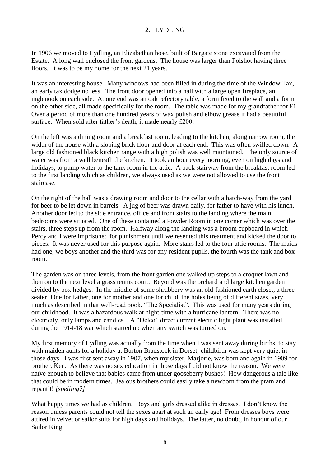### 2. LYDLING

In 1906 we moved to Lydling, an Elizabethan hose, built of Bargate stone excavated from the Estate. A long wall enclosed the front gardens. The house was larger than Polshot having three floors. It was to be my home for the next 21 years.

It was an interesting house. Many windows had been filled in during the time of the Window Tax, an early tax dodge no less. The front door opened into a hall with a large open fireplace, an inglenook on each side. At one end was an oak refectory table, a form fixed to the wall and a form on the other side, all made specifically for the room. The table was made for my grandfather for £1. Over a period of more than one hundred years of wax polish and elbow grease it had a beautiful surface. When sold after father's death, it made nearly £200.

On the left was a dining room and a breakfast room, leading to the kitchen, along narrow room, the width of the house with a sloping brick floor and door at each end. This was often swilled down. A large old fashioned black kitchen range with a high polish was well maintained. The only source of water was from a well beneath the kitchen. It took an hour every morning, even on high days and holidays, to pump water to the tank room in the attic. A back stairway from the breakfast room led to the first landing which as children, we always used as we were not allowed to use the front staircase.

On the right of the hall was a drawing room and door to the cellar with a hatch-way from the yard for beer to be let down in barrels. A jug of beer was drawn daily, for father to have with his lunch. Another door led to the side entrance, office and front stairs to the landing where the main bedrooms were situated. One of these contained a Powder Room in one corner which was over the stairs, three steps up from the room. Halfway along the landing was a broom cupboard in which Percy and I were imprisoned for punishment until we resented this treatment and kicked the door to pieces. It was never used for this purpose again. More stairs led to the four attic rooms. The maids had one, we boys another and the third was for any resident pupils, the fourth was the tank and box room.

The garden was on three levels, from the front garden one walked up steps to a croquet lawn and then on to the next level a grass tennis court. Beyond was the orchard and large kitchen garden divided by box hedges. In the middle of some shrubbery was an old-fashioned earth closet, a threeseater! One for father, one for mother and one for child, the holes being of different sizes, very much as described in that well-read book, "The Specialist". This was used for many years during our childhood. It was a hazardous walk at night-time with a hurricane lantern. There was no electricity, only lamps and candles. A "Delco" direct current electric light plant was installed during the 1914-18 war which started up when any switch was turned on.

My first memory of Lydling was actually from the time when I was sent away during births, to stay with maiden aunts for a holiday at Burton Bradstock in Dorset; childbirth was kept very quiet in those days. I was first sent away in 1907, when my sister, Marjorie, was born and again in 1909 for brother, Ken. As there was no sex education in those days I did not know the reason. We were naïve enough to believe that babies came from under gooseberry bushes! How dangerous a tale like that could be in modern times. Jealous brothers could easily take a newborn from the pram and repantit! *[spelling?]*

What happy times we had as children. Boys and girls dressed alike in dresses. I don't know the reason unless parents could not tell the sexes apart at such an early age! From dresses boys were attired in velvet or sailor suits for high days and holidays. The latter, no doubt, in honour of our Sailor King.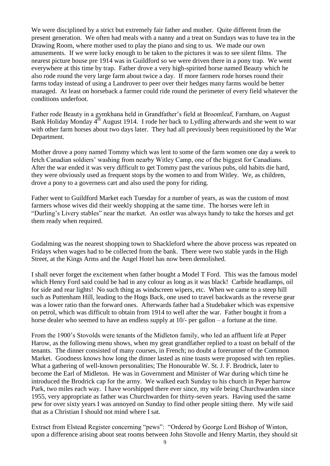We were disciplined by a strict but extremely fair father and mother. Ouite different from the present generation. We often had meals with a nanny and a treat on Sundays was to have tea in the Drawing Room, where mother used to play the piano and sing to us. We made our own amusements. If we were lucky enough to be taken to the pictures it was to see silent films. The nearest picture house pre 1914 was in Guildford so we were driven there in a pony trap. We went everywhere at this time by trap. Father drove a very high-spirited horse named Beauty which he also rode round the very large farm about twice a day. If more farmers rode horses round their farms today instead of using a Landrover to peer over their hedges many farms would be better managed. At least on horseback a farmer could ride round the perimeter of every field whatever the conditions underfoot.

Father rode Beauty in a gymkhana held in Grandfather's field at Broomleaf, Farnham, on August Bank Holiday Monday 4<sup>th</sup> August 1914. I rode her back to Lydling afterwards and she went to war with other farm horses about two days later. They had all previously been requisitioned by the War Department.

Mother drove a pony named Tommy which was lent to some of the farm women one day a week to fetch Canadian soldiers' washing from nearby Witley Camp, one of the biggest for Canadians. After the war ended it was very difficult to get Tommy past the various pubs, old habits die hard, they were obviously used as frequent stops by the women to and from Witley. We, as children, drove a pony to a governess cart and also used the pony for riding.

Father went to Guildford Market each Tuesday for a number of years, as was the custom of most farmers whose wives did their weekly shopping at the same time. The horses were left in "Durling's Livery stables" near the market. An ostler was always handy to take the horses and get them ready when required.

Godalming was the nearest shopping town to Shackleford where the above process was repeated on Fridays when wages had to be collected from the bank. There were two stable yards in the High Street, at the Kings Arms and the Angel Hotel has now been demolished.

I shall never forget the excitement when father bought a Model T Ford. This was the famous model which Henry Ford said could be had in any colour as long as it was black! Carbide headlamps, oil for side and rear lights! No such thing as windscreen wipers, etc. When we came to a steep hill such as Puttenham Hill, leading to the Hogs Back, one used to travel backwards as the reverse gear was a lower ratio than the forward ones. Afterwards father had a Studebaker which was expensive on petrol, which was difficult to obtain from 1914 to well after the war. Father bought it from a horse dealer who seemed to have an endless supply at  $10/-$  per gallon – a fortune at the time.

From the 1900's Stovolds were tenants of the Midleton family, who led an affluent life at Peper Harow, as the following menu shows, when my great grandfather replied to a toast on behalf of the tenants. The dinner consisted of many courses, in French; no doubt a forerunner of the Common Market. Goodness knows how long the dinner lasted as nine toasts were proposed with ten replies. What a gathering of well-known personalities; The Honourable W. St. J. F. Brodrick, later to become the Earl of Midleton. He was in Government and Minister of War during which time he introduced the Brodrick cap for the army. We walked each Sunday to his church in Peper harrow Park, two miles each way. I have worshipped there ever since, my wife being Churchwarden since 1955, very appropriate as father was Churchwarden for thirty-seven years. Having used the same pew for over sixty years I was annoyed on Sunday to find other people sitting there. My wife said that as a Christian I should not mind where I sat.

Extract from Elstead Register concerning "pews": "Ordered by George Lord Bishop of Winton, upon a difference arising about seat rooms between John Stovolle and Henry Martin, they should sit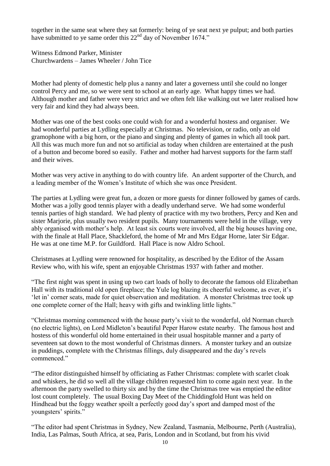together in the same seat where they sat formerly: being of ye seat next ye pulput; and both parties have submitted to ye same order this 22<sup>nd</sup> day of November 1674."

Witness Edmond Parker, Minister Churchwardens – James Wheeler / John Tice

Mother had plenty of domestic help plus a nanny and later a governess until she could no longer control Percy and me, so we were sent to school at an early age. What happy times we had. Although mother and father were very strict and we often felt like walking out we later realised how very fair and kind they had always been.

Mother was one of the best cooks one could wish for and a wonderful hostess and organiser. We had wonderful parties at Lydling especially at Christmas. No television, or radio, only an old gramophone with a big horn, or the piano and singing and plenty of games in which all took part. All this was much more fun and not so artificial as today when children are entertained at the push of a button and become bored so easily. Father and mother had harvest supports for the farm staff and their wives.

Mother was very active in anything to do with country life. An ardent supporter of the Church, and a leading member of the Women's Institute of which she was once President.

The parties at Lydling were great fun, a dozen or more guests for dinner followed by games of cards. Mother was a jolly good tennis player with a deadly underhand serve. We had some wonderful tennis parties of high standard. We had plenty of practice with my two brothers, Percy and Ken and sister Marjorie, plus usually two resident pupils. Many tournaments were held in the village, very ably organised with mother's help. At least six courts were involved, all the big houses having one, with the finale at Hall Place, Shackleford, the home of Mr and Mrs Edgar Horne, later Sir Edgar. He was at one time M.P. for Guildford. Hall Place is now Aldro School.

Christmases at Lydling were renowned for hospitality, as described by the Editor of the Assam Review who, with his wife, spent an enjoyable Christmas 1937 with father and mother.

"The first night was spent in using up two cart loads of holly to decorate the famous old Elizabethan Hall with its traditional old open fireplace; the Yule log blazing its cheerful welcome, as ever, it's 'let in' corner seats, made for quiet observation and meditation. A monster Christmas tree took up one complete corner of the Hall; heavy with gifts and twinkling little lights."

"Christmas morning commenced with the house party's visit to the wonderful, old Norman church (no electric lights), on Lord Midleton's beautiful Peper Harow estate nearby. The famous host and hostess of this wonderful old home entertained in their usual hospitable manner and a party of seventeen sat down to the most wonderful of Christmas dinners. A monster turkey and an outsize in puddings, complete with the Christmas fillings, duly disappeared and the day's revels commenced."

"The editor distinguished himself by officiating as Father Christmas: complete with scarlet cloak and whiskers, he did so well all the village children requested him to come again next year. In the afternoon the party swelled to thirty six and by the time the Christmas tree was emptied the editor lost count completely. The usual Boxing Day Meet of the Chiddingfold Hunt was held on Hindhead but the foggy weather spoilt a perfectly good day's sport and damped most of the youngsters' spirits."

"The editor had spent Christmas in Sydney, New Zealand, Tasmania, Melbourne, Perth (Australia), India, Las Palmas, South Africa, at sea, Paris, London and in Scotland, but from his vivid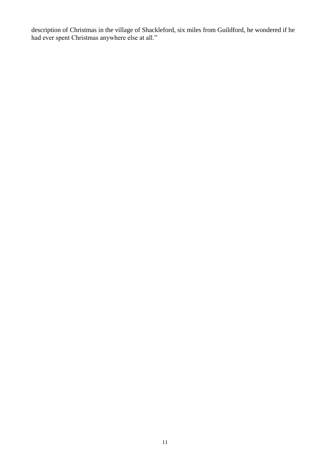description of Christmas in the village of Shackleford, six miles from Guildford, he wondered if he had ever spent Christmas anywhere else at all."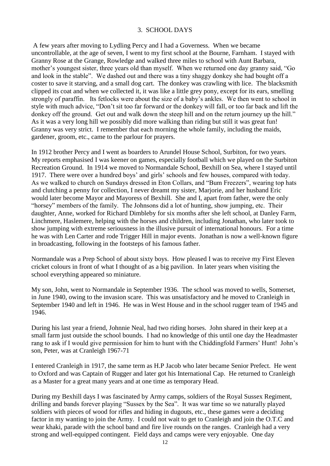#### 3. SCHOOL DAYS

A few years after moving to Lydling Percy and I had a Governess. When we became uncontrollable, at the age of seven, I went to my first school at the Bourne, Farnham. I stayed with Granny Rose at the Grange, Rowledge and walked three miles to school with Aunt Barbara, mother's youngest sister, three years old than myself. When we returned one day granny said, "Go and look in the stable". We dashed out and there was a tiny shaggy donkey she had bought off a coster to save it starving, and a small dog cart. The donkey was crawling with lice. The blacksmith clipped its coat and when we collected it, it was like a little grey pony, except for its ears, smelling strongly of paraffin. Its fetlocks were about the size of a baby's ankles. We then went to school in style with much advice, "Don't sit too far forward or the donkey will fall, or too far back and lift the donkey off the ground. Get out and walk down the steep hill and on the return journey up the hill." As it was a very long hill we possibly did more walking than riding but still it was great fun! Granny was very strict. I remember that each morning the whole family, including the maids, gardener, groom, etc., came to the parlour for prayers.

In 1912 brother Percy and I went as boarders to Arundel House School, Surbiton, for two years. My reports emphasised I was keener on games, especially football which we played on the Surbiton Recreation Ground. In 1914 we moved to Normandale School, Bexhill on Sea, where I stayed until 1917. There were over a hundred boys' and girls' schools and few houses, compared with today. As we walked to church on Sundays dressed in Eton Collars, and "Bum Freezers", wearing top hats and clutching a penny for collection, I never dreamt my sister, Marjorie, and her husband Eric would later become Mayor and Mayoress of Bexhill. She and I, apart from father, were the only "horsey" members of the family. The Johnsons did a lot of hunting, show jumping, etc. Their daughter, Anne, worked for Richard Dimbleby for six months after she left school, at Danley Farm, Linchmere, Haslemere, helping with the horses and children, including Jonathan, who later took to show jumping with extreme seriousness in the illusive pursuit of international honours. For a time he was with Len Carter and rode Trigger Hill in major events. Jonathan is now a well-known figure in broadcasting, following in the footsteps of his famous father.

Normandale was a Prep School of about sixty boys. How pleased I was to receive my First Eleven cricket colours in front of what I thought of as a big pavilion. In later years when visiting the school everything appeared so miniature.

My son, John, went to Normandale in September 1936. The school was moved to wells, Somerset, in June 1940, owing to the invasion scare. This was unsatisfactory and he moved to Cranleigh in September 1940 and left in 1946. He was in West House and in the school rugger team of 1945 and 1946.

During his last year a friend, Johnnie Neal, had two riding horses. John shared in their keep at a small farm just outside the school bounds. I had no knowledge of this until one day the Headmaster rang to ask if I would give permission for him to hunt with the Chiddingfold Farmers' Hunt! John's son, Peter, was at Cranleigh 1967-71

I entered Cranleigh in 1917, the same term as H.P Jacob who later became Senior Prefect. He went to Oxford and was Captain of Rugger and later got his International Cap. He returned to Cranleigh as a Master for a great many years and at one time as temporary Head.

During my Bexhill days I was fascinated by Army camps, soldiers of the Royal Sussex Regiment, drilling and bands forever playing "Sussex by the Sea". It was war time so we naturally played soldiers with pieces of wood for rifles and hiding in dugouts, etc., these games were a deciding factor in my wanting to join the Army. I could not wait to get to Cranleigh and join the O.T.C and wear khaki, parade with the school band and fire live rounds on the ranges. Cranleigh had a very strong and well-equipped contingent. Field days and camps were very enjoyable. One day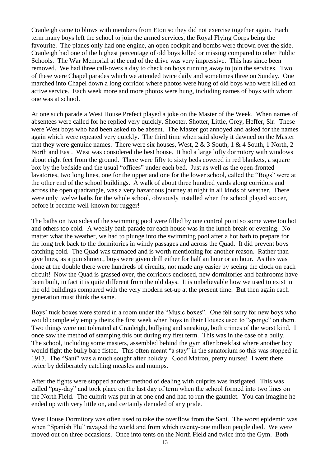Cranleigh came to blows with members from Eton so they did not exercise together again. Each term many boys left the school to join the armed services, the Royal Flying Corps being the favourite. The planes only had one engine, an open cockpit and bombs were thrown over the side. Cranleigh had one of the highest percentage of old boys killed or missing compared to other Public Schools. The War Memorial at the end of the drive was very impressive. This has since been removed. We had three call-overs a day to check on boys running away to join the services. Two of these were Chapel parades which we attended twice daily and sometimes three on Sunday. One marched into Chapel down a long corridor where photos were hung of old boys who were killed on active service. Each week more and more photos were hung, including names of boys with whom one was at school.

At one such parade a West House Prefect played a joke on the Master of the Week. When names of absentees were called for he replied very quickly, Shooter, Shotter, Little, Grey, Heffer, Sir. These were West boys who had been asked to be absent. The Master got annoyed and asked for the names again which were repeated very quickly. The third time when said slowly it dawned on the Master that they were genuine names. There were six houses, West,  $2 \& 3$  South,  $1 \& 4$  South,  $1$  North,  $2$ North and East. West was considered the best house. It had a large lofty dormitory with windows about eight feet from the ground. There were fifty to sixty beds covered in red blankets, a square box by the bedside and the usual "offices" under each bed. Just as well as the open-fronted lavatories, two long lines, one for the upper and one for the lower school, called the "Bogs" were at the other end of the school buildings. A walk of about three hundred yards along corridors and across the open quadrangle, was a very hazardous journey at night in all kinds of weather. There were only twelve baths for the whole school, obviously installed when the school played soccer, before it became well-known for rugger!

The baths on two sides of the swimming pool were filled by one control point so some were too hot and others too cold. A weekly bath parade for each house was in the lunch break or evening. No matter what the weather, we had to plunge into the swimming pool after a hot bath to prepare for the long trek back to the dormitories in windy passages and across the Quad. It did prevent boys catching cold. The Quad was tarmaced and is worth mentioning for another reason. Rather than give lines, as a punishment, boys were given drill either for half an hour or an hour. As this was done at the double there were hundreds of circuits, not made any easier by seeing the clock on each circuit! Now the Quad is grassed over, the corridors enclosed, new dormitories and bathrooms have been built, in fact it is quite different from the old days. It is unbelievable how we used to exist in the old buildings compared with the very modern set-up at the present time. But then again each generation must think the same.

Boys' tuck boxes were stored in a room under the "Music boxes". One felt sorry for new boys who would completely empty theirs the first week when boys in their Houses used to "sponge" on them. Two things were not tolerated at Cranleigh, bullying and sneaking, both crimes of the worst kind. I once saw the method of stamping this out during my first term. This was in the case of a bully. The school, including some masters, assembled behind the gym after breakfast where another boy would fight the bully bare fisted. This often meant "a stay" in the sanatorium so this was stopped in 1917. The "Sani" was a much sought after holiday. Good Matron, pretty nurses! I went there twice by deliberately catching measles and mumps.

After the fights were stopped another method of dealing with culprits was instigated. This was called "pay-day" and took place on the last day of term when the school formed into two lines on the North Field. The culprit was put in at one end and had to run the gauntlet. You can imagine he ended up with very little on, and certainly denuded of any pride.

West House Dormitory was often used to take the overflow from the Sani. The worst epidemic was when "Spanish Flu" ravaged the world and from which twenty-one million people died. We were moved out on three occasions. Once into tents on the North Field and twice into the Gym. Both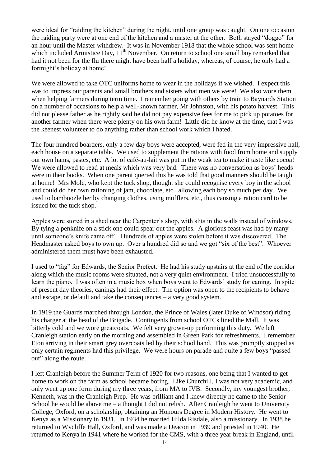were ideal for "raiding the kitchen" during the night, until one group was caught. On one occasion the raiding party were at one end of the kitchen and a master at the other. Both stayed "doggo" for an hour until the Master withdrew. It was in November 1918 that the whole school was sent home which included Armistice Day,  $11<sup>th</sup>$  November. On return to school one small boy remarked that had it not been for the flu there might have been half a holiday, whereas, of course, he only had a fortnight's holiday at home!

We were allowed to take OTC uniforms home to wear in the holidays if we wished. I expect this was to impress our parents and small brothers and sisters what men we were! We also wore them when helping farmers during term time. I remember going with others by train to Baynards Station on a number of occasions to help a well-known farmer, Mr Johnston, with his potato harvest. This did not please father as he rightly said he did not pay expensive fees for me to pick up potatoes for another farmer when there were plenty on his own farm! Little did he know at the time, that I was the keenest volunteer to do anything rather than school work which I hated.

The four hundred boarders, only a few day boys were accepted, were fed in the very impressive hall, each house on a separate table. We used to supplement the rations with food from home and supply our own hams, pastes, etc. A lot of café-au-lait was put in the weak tea to make it taste like cocoa! We were allowed to read at meals which was very bad. There was no conversation as boys' heads were in their books. When one parent queried this he was told that good manners should be taught at home! Mrs Mole, who kept the tuck shop, thought she could recognise every boy in the school and could do her own rationing of jam, chocolate, etc., allowing each boy so much per day. We used to bamboozle her by changing clothes, using mufflers, etc., thus causing a ration card to be issued for the tuck shop.

Apples were stored in a shed near the Carpenter's shop, with slits in the walls instead of windows. By tying a penknife on a stick one could spear out the apples. A glorious feast was had by many until someone's knife came off. Hundreds of apples were stolen before it was discovered. The Headmaster asked boys to own up. Over a hundred did so and we got "six of the best". Whoever administered them must have been exhausted.

I used to "fag" for Edwards, the Senior Prefect. He had his study upstairs at the end of the corridor along which the music rooms were situated, not a very quiet environment. I tried unsuccessfully to learn the piano. I was often in a music box when boys went to Edwards' study for caning. In spite of present day theories, canings had their effect. The option was open to the recipients to behave and escape, or default and take the consequences – a very good system.

In 1919 the Guards marched through London, the Prince of Wales (later Duke of Windsor) riding his charger at the head of the Brigade. Contingents from school OTCs lined the Mall. It was bitterly cold and we wore greatcoats. We felt very grown-up performing this duty. We left Cranleigh station early on the morning and assembled in Green Park for refreshments. I remember Eton arriving in their smart grey overcoats led by their school band. This was promptly stopped as only certain regiments had this privilege. We were hours on parade and quite a few boys "passed out" along the route.

I left Cranleigh before the Summer Term of 1920 for two reasons, one being that I wanted to get home to work on the farm as school became boring. Like Churchill, I was not very academic, and only went up one form during my three years, from MA to IVB. Secondly, my youngest brother, Kenneth, was in the Cranleigh Prep. He was brilliant and I knew directly he came to the Senior School he would be above me – a thought I did not relish. After Cranleigh he went to University College, Oxford, on a scholarship, obtaining an Honours Degree in Modern History. He went to Kenya as a Missionary in 1931. In 1934 he married Hilda Risdale, also a missionary. In 1938 he returned to Wycliffe Hall, Oxford, and was made a Deacon in 1939 and priested in 1940. He returned to Kenya in 1941 where he worked for the CMS, with a three year break in England, until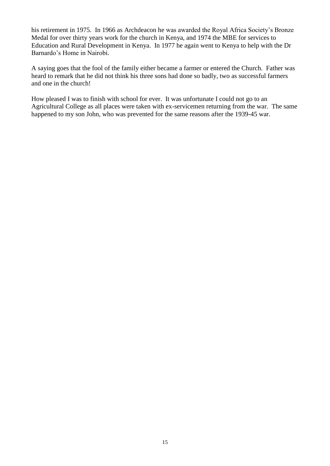his retirement in 1975. In 1966 as Archdeacon he was awarded the Royal Africa Society's Bronze Medal for over thirty years work for the church in Kenya, and 1974 the MBE for services to Education and Rural Development in Kenya. In 1977 he again went to Kenya to help with the Dr Barnardo's Home in Nairobi.

A saying goes that the fool of the family either became a farmer or entered the Church. Father was heard to remark that he did not think his three sons had done so badly, two as successful farmers and one in the church!

How pleased I was to finish with school for ever. It was unfortunate I could not go to an Agricultural College as all places were taken with ex-servicemen returning from the war. The same happened to my son John, who was prevented for the same reasons after the 1939-45 war.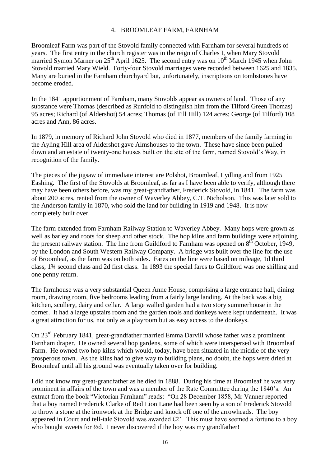#### 4. BROOMLEAF FARM, FARNHAM

Broomleaf Farm was part of the Stovold family connected with Farnham for several hundreds of years. The first entry in the church register was in the reign of Charles I, when Mary Stovold married Symon Marner on  $25<sup>th</sup>$  April 1625. The second entry was on  $10<sup>th</sup>$  March 1945 when John Stovold married Mary Wield. Forty-four Stovold marriages were recorded between 1625 and 1835. Many are buried in the Farnham churchyard but, unfortunately, inscriptions on tombstones have become eroded.

In the 1841 apportionment of Farnham, many Stovolds appear as owners of land. Those of any substance were Thomas (described as Runfold to distinguish him from the Tilford Green Thomas) 95 acres; Richard (of Aldershot) 54 acres; Thomas (of Till Hill) 124 acres; George (of Tilford) 108 acres and Ann, 86 acres.

In 1879, in memory of Richard John Stovold who died in 1877, members of the family farming in the Ayling Hill area of Aldershot gave Almshouses to the town. These have since been pulled down and an estate of twenty-one houses built on the site of the farm, named Stovold's Way, in recognition of the family.

The pieces of the jigsaw of immediate interest are Polshot, Broomleaf, Lydling and from 1925 Eashing. The first of the Stovolds at Broomleaf, as far as I have been able to verify, although there may have been others before, was my great-grandfather, Frederick Stovold, in 1841. The farm was about 200 acres, rented from the owner of Waverley Abbey, C.T. Nicholson. This was later sold to the Anderson family in 1870, who sold the land for building in 1919 and 1948. It is now completely built over.

The farm extended from Farnham Railway Station to Waverley Abbey. Many hops were grown as well as barley and roots for sheep and other stock. The hop kilns and farm buildings were adjoining the present railway station. The line from Guildford to Farnham was opened on 8<sup>th</sup> October, 1949, by the London and South Western Railway Company. A bridge was built over the line for the use of Broomleaf, as the farm was on both sides. Fares on the line were based on mileage, 1d third class, 1¾ second class and 2d first class. In 1893 the special fares to Guildford was one shilling and one penny return.

The farmhouse was a very substantial Queen Anne House, comprising a large entrance hall, dining room, drawing room, five bedrooms leading from a fairly large landing. At the back was a big kitchen, scullery, dairy and cellar. A large walled garden had a two story summerhouse in the corner. It had a large upstairs room and the garden tools and donkeys were kept underneath. It was a great attraction for us, not only as a playroom but as easy access to the donkeys.

On 23rd February 1841, great-grandfather married Emma Darvill whose father was a prominent Farnham draper. He owned several hop gardens, some of which were interspersed with Broomleaf Farm. He owned two hop kilns which would, today, have been situated in the middle of the very prosperous town. As the kilns had to give way to building plans, no doubt, the hops were dried at Broomleaf until all his ground was eventually taken over for building.

I did not know my great-grandfather as he died in 1888. During his time at Broomleaf he was very prominent in affairs of the town and was a member of the Rate Committee during the 1840's. An extract from the book "Victorian Farnham" reads: "On 28 December 1858, Mr Vanner reported that a boy named Frederick Clarke of Red Lion Lane had been seen by a son of Frederick Stovold to throw a stone at the ironwork at the Bridge and knock off one of the arrowheads. The boy appeared in Court and tell-tale Stovold was awarded £2'. This must have seemed a fortune to a boy who bought sweets for <sup>1</sup>/<sub>2</sub>d. I never discovered if the boy was my grandfather!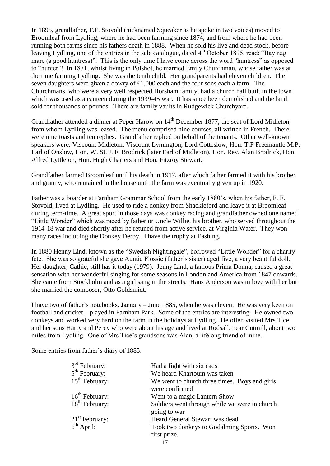In 1895, grandfather, F.F. Stovold (nicknamed Squeaker as he spoke in two voices) moved to Broomleaf from Lydling, where he had been farming since 1874, and from where he had been running both farms since his fathers death in 1888. When he sold his live and dead stock, before leaving Lydling, one of the entries in the sale catalogue, dated  $4<sup>th</sup>$  October 1895, read: "Bay nag mare (a good huntress)". This is the only time I have come across the word "huntress" as opposed to "hunter"! In 1871, whilst living in Polshot, he married Emily Churchman, whose father was at the time farming Lydling. She was the tenth child. Her grandparents had eleven children. The seven daughters were given a dowry of £1,000 each and the four sons each a farm. The Churchmans, who were a very well respected Horsham family, had a church hall built in the town which was used as a canteen during the 1939-45 war. It has since been demolished and the land sold for thousands of pounds. There are family vaults in Rudgewick Churchyard.

Grandfather attended a dinner at Peper Harow on 14<sup>th</sup> December 1877, the seat of Lord Midleton, from whom Lydling was leased. The menu comprised nine courses, all written in French. There were nine toasts and ten replies. Grandfather replied on behalf of the tenants. Other well-known speakers were: Viscount Midleton, Viscount Lymington, Lord Cotteslow, Hon. T.F Freemantle M.P, Earl of Onslow, Hon. W. St. J. F. Brodrick (later Earl of Midleton), Hon. Rev. Alan Brodrick, Hon. Alfred Lyttleton, Hon. Hugh Charters and Hon. Fitzroy Stewart.

Grandfather farmed Broomleaf until his death in 1917, after which father farmed it with his brother and granny, who remained in the house until the farm was eventually given up in 1920.

Father was a boarder at Farnham Grammar School from the early 1880's, when his father, F. F. Stovold, lived at Lydling. He used to ride a donkey from Shackleford and leave it at Broomleaf during term-time. A great sport in those days was donkey racing and grandfather owned one named "Little Wonder" which was raced by father or Uncle Willie, his brother, who served throughout the 1914-18 war and died shortly after he retuned from active service, at Virginia Water. They won many races including the Donkey Derby. I have the trophy at Eashing.

In 1880 Henny Lind, known as the "Swedish Nightingale", borrowed "Little Wonder" for a charity fete. She was so grateful she gave Auntie Flossie (father's sister) aged five, a very beautiful doll. Her daughter, Cathie, still has it today (1979). Jenny Lind, a famous Prima Donna, caused a great sensation with her wonderful singing for some seasons in London and America from 1847 onwards. She came from Stockholm and as a girl sang in the streets. Hans Anderson was in love with her but she married the composer, Otto Goldsmidt.

I have two of father's notebooks, January – June 1885, when he was eleven. He was very keen on football and cricket – played in Farnham Park. Some of the entries are interesting. He owned two donkeys and worked very hard on the farm in the holidays at Lydling. He often visited Mrs Tice and her sons Harry and Percy who were about his age and lived at Rodsall, near Cutmill, about two miles from Lydling. One of Mrs Tice's grandsons was Alan, a lifelong friend of mine.

Some entries from father's diary of 1885:

| $3rd$ February:  | Had a fight with six cads                     |
|------------------|-----------------------------------------------|
| $5th$ February:  | We heard Khartoum was taken                   |
| $15th$ February: | We went to church three times. Boys and girls |
|                  | were confirmed                                |
| $16th$ February: | Went to a magic Lantern Show                  |
| $18th$ February: | Soldiers went through while we were in church |
|                  | going to war                                  |
| $21st$ February: | Heard General Stewart was dead.               |
| $6th$ April:     | Took two donkeys to Godalming Sports. Won     |
|                  | first prize.                                  |
|                  |                                               |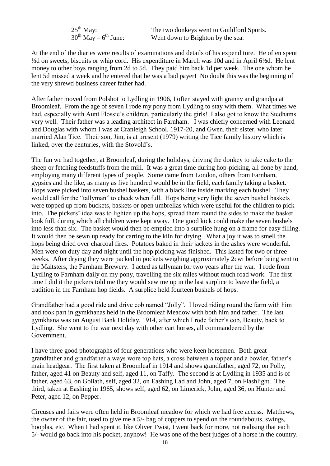| $25^{\text{th}}$ May:          | The two donkeys went to Guildford Sports. |
|--------------------------------|-------------------------------------------|
| $30^{th}$ May – $6^{th}$ June: | Went down to Brighton by the sea.         |

At the end of the diaries were results of examinations and details of his expenditure. He often spent ½d on sweets, biscuits or whip cord. His expenditure in March was 10d and in April 6½d. He lent money to other boys ranging from 2d to 5d. They paid him back 1d per week. The one whom he lent 5d missed a week and he entered that he was a bad payer! No doubt this was the beginning of the very shrewd business career father had.

After father moved from Polshot to Lydling in 1906, I often stayed with granny and grandpa at Broomleaf. From the age of seven I rode my pony from Lydling to stay with them. What times we had, especially with Aunt Flossie's children, particularly the girls! I also got to know the Stedhams very well. Their father was a leading architect in Farnham. I was chiefly concerned with Leonard and Douglas with whom I was at Cranleigh School, 1917-20, and Gwen, their sister, who later married Alan Tice. Their son, Jim, is at present (1979) writing the Tice family history which is linked, over the centuries, with the Stovold's.

The fun we had together, at Broomleaf, during the holidays, driving the donkey to take cake to the sheep or fetching feedstuffs from the mill. It was a great time during hop-picking, all done by hand, employing many different types of people. Some came from London, others from Farnham, gypsies and the like, as many as five hundred would be in the field, each family taking a basket. Hops were picked into seven bushel baskets, with a black line inside marking each bushel. They would call for the "tallyman" to check when full. Hops being very light the seven bushel baskets were topped up from buckets, baskets or open umbrellas which were useful for the children to pick into. The pickers' idea was to lighten up the hops, spread them round the sides to make the basket look full, during which all children were kept away. One good kick could make the seven bushels into less than six. The basket would then be emptied into a surplice hung on a frame for easy filling. It would then be sewn up ready for carting to the kiln for drying. What a joy it was to smell the hops being dried over charcoal fires. Potatoes baked in their jackets in the ashes were wonderful. Men were on duty day and night until the hop picking was finished. This lasted for two or three weeks. After drying they were packed in pockets weighing approximately 2cwt before being sent to the Maltsters, the Farnham Brewery. I acted as tallyman for two years after the war. I rode from Lydling to Farnham daily on my pony, travelling the six miles without much road work. The first time I did it the pickers told me they would sew me up in the last surplice to leave the field, a tradition in the Farnham hop fields. A surplice held fourteen bushels of hops.

Grandfather had a good ride and drive cob named "Jolly". I loved riding round the farm with him and took part in gymkhanas held in the Broomleaf Meadow with both him and father. The last gymkhana was on August Bank Holiday, 1914, after which I rode father's cob, Beauty, back to Lydling. She went to the war next day with other cart horses, all commandeered by the Government.

I have three good photographs of four generations who were keen horsemen. Both great grandfather and grandfather always wore top hats, a cross between a topper and a bowler, father's main headgear. The first taken at Broomleaf in 1914 and shows grandfather, aged 72, on Polly, father, aged 41 on Beauty and self, aged 11, on Taffy. The second is at Lydling in 1935 and is of father, aged 63, on Goliath, self, aged 32, on Eashing Lad and John, aged 7, on Flashlight. The third, taken at Eashing in 1965, shows self, aged 62, on Limerick, John, aged 36, on Hunter and Peter, aged 12, on Pepper.

Circuses and fairs were often held in Broomleaf meadow for which we had free access. Matthews, the owner of the fair, used to give me a 5/- bag of coppers to spend on the roundabouts, swings, hooplas, etc. When I had spent it, like Oliver Twist, I went back for more, not realising that each 5/- would go back into his pocket, anyhow! He was one of the best judges of a horse in the country.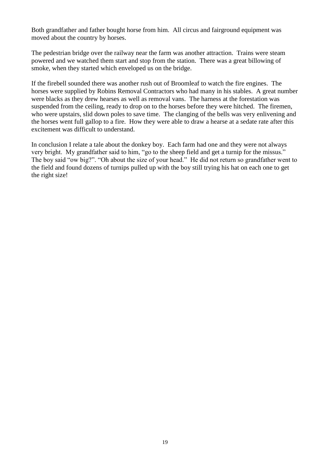Both grandfather and father bought horse from him. All circus and fairground equipment was moved about the country by horses.

The pedestrian bridge over the railway near the farm was another attraction. Trains were steam powered and we watched them start and stop from the station. There was a great billowing of smoke, when they started which enveloped us on the bridge.

If the firebell sounded there was another rush out of Broomleaf to watch the fire engines. The horses were supplied by Robins Removal Contractors who had many in his stables. A great number were blacks as they drew hearses as well as removal vans. The harness at the forestation was suspended from the ceiling, ready to drop on to the horses before they were hitched. The firemen, who were upstairs, slid down poles to save time. The clanging of the bells was very enlivening and the horses went full gallop to a fire. How they were able to draw a hearse at a sedate rate after this excitement was difficult to understand.

In conclusion I relate a tale about the donkey boy. Each farm had one and they were not always very bright. My grandfather said to him, "go to the sheep field and get a turnip for the missus." The boy said "ow big?". "Oh about the size of your head." He did not return so grandfather went to the field and found dozens of turnips pulled up with the boy still trying his hat on each one to get the right size!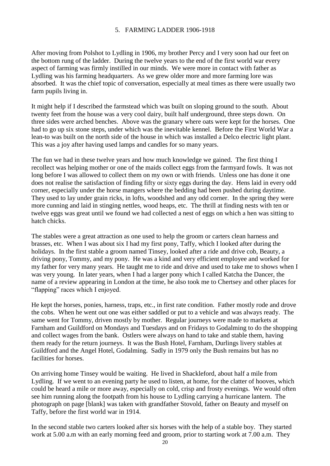#### 5. FARMING LADDER 1906-1918

After moving from Polshot to Lydling in 1906, my brother Percy and I very soon had our feet on the bottom rung of the ladder. During the twelve years to the end of the first world war every aspect of farming was firmly instilled in our minds. We were more in contact with father as Lydling was his farming headquarters. As we grew older more and more farming lore was absorbed. It was the chief topic of conversation, especially at meal times as there were usually two farm pupils living in.

It might help if I described the farmstead which was built on sloping ground to the south. About twenty feet from the house was a very cool dairy, built half underground, three steps down. On three sides were arched benches. Above was the granary where oats were kept for the horses. One had to go up six stone steps, under which was the inevitable kennel. Before the First World War a lean-to was built on the north side of the house in which was installed a Delco electric light plant. This was a joy after having used lamps and candles for so many years.

The fun we had in these twelve years and how much knowledge we gained. The first thing I recollect was helping mother or one of the maids collect eggs from the farmyard fowls. It was not long before I was allowed to collect them on my own or with friends. Unless one has done it one does not realise the satisfaction of finding fifty or sixty eggs during the day. Hens laid in every odd corner, especially under the horse mangers where the bedding had been pushed during daytime. They used to lay under grain ricks, in lofts, woodshed and any odd corner. In the spring they were more cunning and laid in stinging nettles, wood heaps, etc. The thrill at finding nests with ten or twelve eggs was great until we found we had collected a nest of eggs on which a hen was sitting to hatch chicks.

The stables were a great attraction as one used to help the groom or carters clean harness and brasses, etc. When I was about six I had my first pony, Taffy, which I looked after during the holidays. In the first stable a groom named Tinsey, looked after a ride and drive cob, Beauty, a driving pony, Tommy, and my pony. He was a kind and very efficient employee and worked for my father for very many years. He taught me to ride and drive and used to take me to shows when I was very young. In later years, when I had a larger pony which I called Katcha the Dancer, the name of a review appearing in London at the time, he also took me to Chertsey and other places for "flapping" races which I enjoyed.

He kept the horses, ponies, harness, traps, etc., in first rate condition. Father mostly rode and drove the cobs. When he went out one was either saddled or put to a vehicle and was always ready. The same went for Tommy, driven mostly by mother. Regular journeys were made to markets at Farnham and Guildford on Mondays and Tuesdays and on Fridays to Godalming to do the shopping and collect wages from the bank. Ostlers were always on hand to take and stable them, having them ready for the return journeys. It was the Bush Hotel, Farnham, Durlings livery stables at Guildford and the Angel Hotel, Godalming. Sadly in 1979 only the Bush remains but has no facilities for horses.

On arriving home Tinsey would be waiting. He lived in Shackleford, about half a mile from Lydling. If we went to an evening party he used to listen, at home, for the clatter of hooves, which could be heard a mile or more away, especially on cold, crisp and frosty evenings. We would often see him running along the footpath from his house to Lydling carrying a hurricane lantern. The photograph on page [blank] was taken with grandfather Stovold, father on Beauty and myself on Taffy, before the first world war in 1914.

In the second stable two carters looked after six horses with the help of a stable boy. They started work at 5.00 a.m with an early morning feed and groom, prior to starting work at 7.00 a.m. They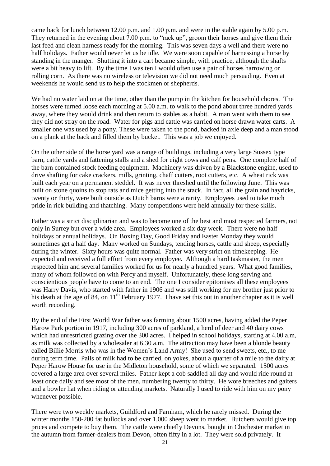came back for lunch between 12.00 p.m. and 1.00 p.m. and were in the stable again by 5.00 p.m. They returned in the evening about 7.00 p.m. to "rack up", groom their horses and give them their last feed and clean harness ready for the morning. This was seven days a well and there were no half holidays. Father would never let us be idle. We were soon capable of harnessing a horse by standing in the manger. Shutting it into a cart became simple, with practice, although the shafts were a bit heavy to lift. By the time I was ten I would often use a pair of horses harrowing or rolling corn. As there was no wireless or television we did not need much persuading. Even at weekends he would send us to help the stockmen or shepherds.

We had no water laid on at the time, other than the pump in the kitchen for household chores. The horses were turned loose each morning at 5.00 a.m. to walk to the pond about three hundred yards away, where they would drink and then return to stables as a habit. A man went with them to see they did not stray on the road. Water for pigs and cattle was carried on horse drawn water carts. A smaller one was used by a pony. These were taken to the pond, backed in axle deep and a man stood on a plank at the back and filled them by bucket. This was a job we enjoyed.

On the other side of the horse yard was a range of buildings, including a very large Sussex type barn, cattle yards and fattening stalls and a shed for eight cows and calf pens. One complete half of the barn contained stock feeding equipment. Machinery was driven by a Blackstone engine, used to drive shafting for cake crackers, mills, grinting, chaff cutters, root cutters, etc. A wheat rick was built each year on a permanent steddel. It was never threshed until the following June. This was built on stone quoins to stop rats and mice getting into the stack. In fact, all the grain and hayricks, twenty or thirty, were built outside as Dutch barns were a rarity. Employees used to take much pride in rick building and thatching. Many competitions were held annually for these skills.

Father was a strict disciplinarian and was to become one of the best and most respected farmers, not only in Surrey but over a wide area. Employees worked a six day week. There were no half holidays or annual holidays. On Boxing Day, Good Friday and Easter Monday they would sometimes get a half day. Many worked on Sundays, tending horses, cattle and sheep, especially during the winter. Sixty hours was quite normal. Father was very strict on timekeeping. He expected and received a full effort from every employee. Although a hard taskmaster, the men respected him and several families worked for us for nearly a hundred years. What good families, many of whom followed on with Percy and myself. Unfortunately, these long serving and conscientious people have to come to an end. The one I consider epitomises all these employees was Harry Davis, who started with father in 1906 and was still working for my brother just prior to his death at the age of 84, on 11<sup>th</sup> February 1977. I have set this out in another chapter as it is well worth recording.

By the end of the First World War father was farming about 1500 acres, having added the Peper Harow Park portion in 1917, including 300 acres of parkland, a herd of deer and 40 dairy cows which had unrestricted grazing over the 300 acres. I helped in school holidays, starting at 4.00 a.m, as milk was collected by a wholesaler at 6.30 a.m. The attraction may have been a blonde beauty called Billie Morris who was in the Women's Land Army! She used to send sweets, etc., to me during term time. Pails of milk had to be carried, on yokes, about a quarter of a mile to the dairy at Peper Harow House for use in the Midleton household, some of which we separated. 1500 acres covered a large area over several miles. Father kept a cob saddled all day and would ride round at least once daily and see most of the men, numbering twenty to thirty. He wore breeches and gaiters and a bowler hat when riding or attending markets. Naturally I used to ride with him on my pony whenever possible.

There were two weekly markets, Guildford and Farnham, which he rarely missed. During the winter months 150-200 fat bullocks and over 1,000 sheep went to market. Butchers would give top prices and compete to buy them. The cattle were chiefly Devons, bought in Chichester market in the autumn from farmer-dealers from Devon, often fifty in a lot. They were sold privately. It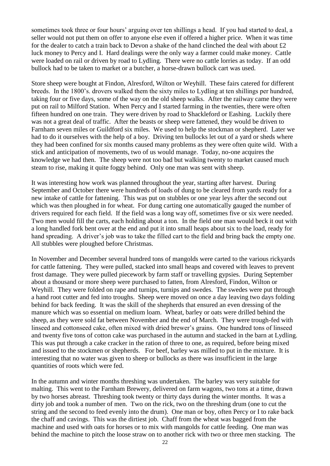sometimes took three or four hours' arguing over ten shillings a head. If you had started to deal, a seller would not put them on offer to anyone else even if offered a higher price. When it was time for the dealer to catch a train back to Devon a shake of the hand clinched the deal with about £2 luck money to Percy and I. Hard dealings were the only way a farmer could make money. Cattle were loaded on rail or driven by road to Lydling. There were no cattle lorries as today. If an odd bullock had to be taken to market or a butcher, a horse-drawn bullock cart was used.

Store sheep were bought at Findon, Alresford, Wilton or Weyhill. These fairs catered for different breeds. In the 1800's. drovers walked them the sixty miles to Lydling at ten shillings per hundred, taking four or five days, some of the way on the old sheep walks. After the railway came they were put on rail to Milford Station. When Percy and I started farming in the twenties, there were often fifteen hundred on one train. They were driven by road to Shackleford or Eashing. Luckily there was not a great deal of traffic. After the beasts or sheep were fattened, they would be driven to Farnham seven miles or Guildford six miles. We used to help the stockman or shepherd. Later we had to do it ourselves with the help of a boy. Driving ten bullocks let out of a yard or sheds where they had been confined for six months caused many problems as they were often quite wild. With a stick and anticipation of movements, two of us would manage. Today, no-one acquires the knowledge we had then. The sheep were not too bad but walking twenty to market caused much steam to rise, making it quite foggy behind. Only one man was sent with sheep.

It was interesting how work was planned throughout the year, starting after harvest. During September and October there were hundreds of loads of dung to be cleared from yards ready for a new intake of cattle for fattening. This was put on stubbles or one year leys after the second out which was then ploughed in for wheat. For dung carting one automatically gauged the number of drivers required for each field. If the field was a long way off, sometimes five or six were needed. Two men would fill the carts, each holding about a ton. In the field one man would beck it out with a long handled fork bent over at the end and put it into small heaps about six to the load, ready for hand spreading. A driver's job was to take the filled cart to the field and bring back the empty one. All stubbles were ploughed before Christmas.

In November and December several hundred tons of mangolds were carted to the various rickyards for cattle fattening. They were pulled, stacked into small heaps and covered with leaves to prevent frost damage. They were pulled piecework by farm staff or travelling gypsies. During September about a thousand or more sheep were purchased to fatten, from Alresford, Findon, Wilton or Weyhill. They were folded on rape and turnips, turnips and swedes. The swedes were put through a hand root cutter and fed into troughs. Sheep were moved on once a day leaving two days folding behind for back feeding. It was the skill of the shepherds that ensured an even dressing of the manure which was so essential on medium loam. Wheat, barley or oats were drilled behind the sheep, as they were sold fat between November and the end of March. They were trough-fed with linseed and cottonseed cake, often mixed with dried brewer's grains. One hundred tons of linseed and twenty five tons of cotton cake was purchased in the autumn and stacked in the barn at Lydling. This was put through a cake cracker in the ration of three to one, as required, before being mixed and issued to the stockmen or shepherds. For beef, barley was milled to put in the mixture. It is interesting that no water was given to sheep or bullocks as there was insufficient in the large quantities of roots which were fed.

In the autumn and winter months threshing was undertaken. The barley was very suitable for malting. This went to the Farnham Brewery, delivered on farm wagons, two tons at a time, drawn by two horses abreast. Threshing took twenty or thirty days during the winter months. It was a dirty job and took a number of men. Two on the rick, two on the threshing drum (one to cut the string and the second to feed evenly into the drum). One man or boy, often Percy or I to rake back the chaff and cavings. This was the dirtiest job. Chaff from the wheat was bagged from the machine and used with oats for horses or to mix with mangolds for cattle feeding. One man was behind the machine to pitch the loose straw on to another rick with two or three men stacking. The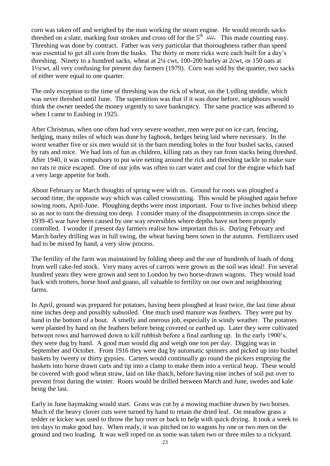corn was taken off and weighed by the man working the steam engine. He would records sacks threshed on a slate, marking four strokes and cross off for the  $5<sup>th</sup>$  ////. This made counting easy. Threshing was done by contract. Father was very particular that thoroughness rather than speed was essential to get all corn from the husks. The thirty or more ricks were each built for a day's threshing. Ninety to a hundred sacks, wheat at 2¼ cwt, 100-200 barley at 2cwt, or 150 oats at 1½cwt, all very confusing for present day farmers (1979). Corn was sold by the quarter, two sacks of either were equal to one quarter.

The only exception to the time of threshing was the rick of wheat, on the Lydling steddle, which was never threshed until June. The superstition was that if it was done before, neighbours would think the owner needed the money urgently to save bankruptcy. The same practice was adhered to when I came to Eashing in 1925.

After Christmas, when one often had very severe weather, men were put on ice cart, fencing, hedging, many miles of which was done by faghook, hedges being laid where necessary. In the worst weather five or six men would sit in the barn mending holes in the four bushel sacks, caused by rats and mice. We had lots of fun as children, killing rats as they ran from stacks being threshed. After 1940, it was compulsory to put wire netting around the rick and threshing tackle to make sure no rats or mice escaped. One of our jobs was often to cart water and coal for the engine which had a very large appetite for both.

About February or March thoughts of spring were with us. Ground for roots was ploughed a second time, the opposite way which was called crosscutting. This would be ploughed again before sowing roots, April-June. Ploughing depths were most important. Four to five inches behind sheep so as not to turn the dressing too deep. I consider many of the disappointments in crops since the 1939-45 war have been caused by one way reversibles where depths have not been properly controlled. I wonder if present day farmers realise how important this is. During February and March barley drilling was in full swing, the wheat having been sown in the autumn. Fertilizers used had to be mixed by hand, a very slow process.

The fertility of the farm was maintained by folding sheep and the use of hundreds of loads of dung from well cake-fed stock. Very many acres of carrots were grown as the soil was ideal! For several hundred years they were grown and sent to London by two horse-drawn wagons. They would load back with trotters, horse hoof and guano, all valuable to fertility on our own and neighbouring farms.

In April, ground was prepared for potatoes, having been ploughed at least twice, the last time about nine inches deep and possibly subsoiled. One much used manure was feathers. They were put by hand in the bottom of a bout. A smelly and onerous job, especially in windy weather. The potatoes were planted by hand on the feathers before being covered or earthed up. Later they were cultivated between rows and harrowed down to kill rubbish before a final earthing up. In the early 1900's, they were dug by hand. A good man would dig and weigh one ton per day. Digging was in September and October. From 1916 they were dug by automatic spinners and picked up into bushel baskets by twenty or thirty gypsies. Carters would continually go round the pickers emptying the baskets into horse drawn carts and tip into a clamp to make them into a vertical heap. These would be covered with good wheat straw, laid on like thatch, before having nine inches of soil put over to prevent frost during the winter. Roots would be drilled between March and June, swedes and kale being the last.

Early in June haymaking would start. Grass was cut by a mowing machine drawn by two horses. Much of the heavy clover cuts were turned by hand to retain the dried leaf. On meadow grass a tedder or kicker was used to throw the hay over or back to help with quick drying. It took a week to ten days to make good hay. When ready, it was pitched on to wagons by one or two men on the ground and two loading. It was well roped on as some was taken two or three miles to a rickyard.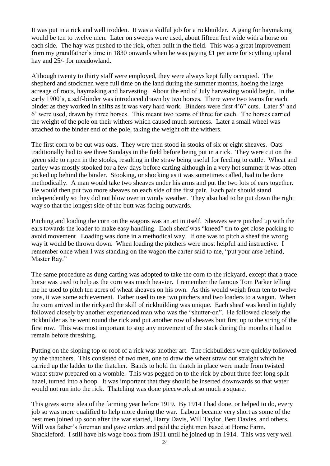It was put in a rick and well trodden. It was a skilful job for a rickbuilder. A gang for haymaking would be ten to twelve men. Later on sweeps were used, about fifteen feet wide with a horse on each side. The hay was pushed to the rick, often built in the field. This was a great improvement from my grandfather's time in 1830 onwards when he was paying £1 per acre for scything upland hay and 25/- for meadowland.

Although twenty to thirty staff were employed, they were always kept fully occupied. The shepherd and stockmen were full time on the land during the summer months, hoeing the large acreage of roots, haymaking and harvesting. About the end of July harvesting would begin. In the early 1900's, a self-binder was introduced drawn by two horses. There were two teams for each binder as they worked in shifts as it was very hard work. Binders were first 4'6" cuts. Later 5' and 6' were used, drawn by three horses. This meant two teams of three for each. The horses carried the weight of the pole on their withers which caused much soreness. Later a small wheel was attached to the binder end of the pole, taking the weight off the withers.

The first corn to be cut was oats. They were then stood in stooks of six or eight sheaves. Oats traditionally had to see three Sundays in the field before being put in a rick. They were cut on the green side to ripen in the stooks, resulting in the straw being useful for feeding to cattle. Wheat and barley was mostly stooked for a few days before carting although in a very hot summer it was often picked up behind the binder. Stooking, or shocking as it was sometimes called, had to be done methodically. A man would take two sheaves under his arms and put the two lots of ears together. He would then put two more sheaves on each side of the first pair. Each pair should stand independently so they did not blow over in windy weather. They also had to be put down the right way so that the longest side of the butt was facing outwards.

Pitching and loading the corn on the wagons was an art in itself. Sheaves were pitched up with the ears towards the loader to make easy handling. Each sheaf was "kneed" tin to get close packing to avoid movement Loading was done in a methodical way. If one was to pitch a sheaf the wrong way it would be thrown down. When loading the pitchers were most helpful and instructive. I remember once when I was standing on the wagon the carter said to me, "put your arse behind, Master Ray."

The same procedure as dung carting was adopted to take the corn to the rickyard, except that a trace horse was used to help as the corn was much heavier. I remember the famous Tom Parker telling me he used to pitch ten acres of wheat sheaves on his own. As this would weigh from ten to twelve tons, it was some achievement. Father used to use two pitchers and two loaders to a wagon. When the corn arrived in the rickyard the skill of rickbuilding was unique. Each sheaf was keed in tightly followed closely by another experienced man who was the "shutter-on". He followed closely the rickbuilder as he went round the rick and put another row of sheaves butt first up to the string of the first row. This was most important to stop any movement of the stack during the months it had to remain before threshing.

Putting on the sloping top or roof of a rick was another art. The rickbuilders were quickly followed by the thatchers. This consisted of two men, one to draw the wheat straw out straight which he carried up the ladder to the thatcher. Bands to hold the thatch in place were made from twisted wheat straw prepared on a womble. This was pegged on to the rick by about three feet long split hazel, turned into a hoop. It was important that they should be inserted downwards so that water would not run into the rick. Thatching was done piecework at so much a square.

This gives some idea of the farming year before 1919. By 1914 I had done, or helped to do, every job so was more qualified to help more during the war. Labour became very short as some of the best men joined up soon after the war started, Harry Davis, Will Taylor, Bert Davies, and others. Will was father's foreman and gave orders and paid the eight men based at Home Farm, Shackleford. I still have his wage book from 1911 until he joined up in 1914. This was very well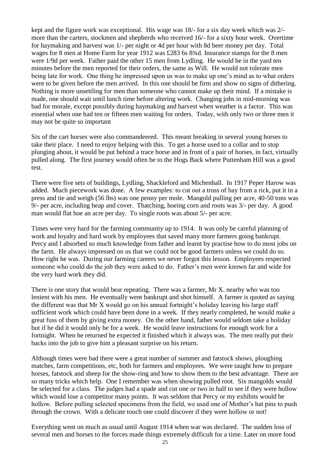kept and the figure work was exceptional. His wage was 18/- for a six day week which was 2/ more than the carters, stockmen and shepherds who received 16/- for a sixty hour week. Overtime for haymaking and harvest was 1/- per night or 4d per hour with 8d beer money per day. Total wages for 8 men at Home Farm for year 1912 was £283 6s 834d. Insurance stamps for the 8 men were 1/9d per week. Father paid the other 15 men from Lydling. He would be in the yard ten minutes before the men reported for their orders, the same as Will. He would not tolerate men being late for work. One thing he impressed upon us was to make up one's mind as to what orders were to be given before the men arrived. In this one should be firm and show no signs of dithering. Nothing is more unsettling for men than someone who cannot make up their mind. If a mistake is made, one should wait until lunch time before altering work. Changing jobs in mid-morning was bad for morale, except possibly during haymaking and harvest when weather is a factor. This was essential when one had ten or fifteen men waiting for orders. Today, with only two or three men it may not be quite so important

Six of the cart horses were also commandeered. This meant breaking in several young horses to take their place. I need to enjoy helping with this. To get a horse used to a collar and to stop plunging about, it would be put behind a trace horse and in front of a pair of horses, in fact, virtually pulled along. The first journey would often be to the Hogs Back where Puttenham Hill was a good test.

There were five sets of buildings, Lydling, Shackleford and Michenhall. In 1917 Peper Harow was added. Much piecework was done. A few examples: to cut out a truss of hay from a rick, put it in a press and tie and weigh (56 lbs) was one penny per mole. Mangold pulling per acre, 40-50 tons was 9/- per acre, including heap and cover. Thatching, hoeing corn and roots was 3/- per day. A good man would flat hoe an acre per day. To single roots was about 5/- per acre.

Times were very hard for the farming community up to 1914. It was only be careful planning of work and loyalty and hard work by employees that saved many more farmers going bankrupt. Percy and I absorbed so much knowledge from father and learnt by practise how to do most jobs on the farm. He always impressed on us that we could not be good farmers unless we could do so. How right he was. During our farming careers we never forgot this lesson. Employees respected someone who could do the job they were asked to do. Father's men were known far and wide for the very hard work they did.

There is one story that would bear repeating. There was a farmer, Mr X. nearby who was too lenient with his men. He eventually went bankrupt and shot himself. A farmer is quoted as saying the different was that Mr X would go on his annual fortnight's holiday leaving his large staff sufficient work which could have been done in a week. If they nearly completed, he would make a great fuss of them by giving extra money. On the other hand, father would seldom take a holiday but if he did it would only be for a week. He would leave instructions for enough work for a fortnight. When he returned he expected it finished which it always was. The men really put their backs into the job to give him a pleasant surprise on his return.

Although times were bad there were a great number of summer and fatstock shows, ploughing matches, farm competitions, etc, both for farmers and employees. We were taught how to prepare horses, fatstock and sheep for the show-ring and how to show them to the best advantage. There are so many tricks which help. One I remember was when showing pulled root. Six mangolds would be selected for a class. The judges had a spade and cut one or two in half to see if they were hollow which would lose a competitor many points. It was seldom that Percy or my exhibits would be hollow. Before pulling selected specimens from the field, we used one of Mother's hat pins to push through the crown. With a delicate touch one could discover if they were hollow or not!

Everything went on much as usual until August 1914 when war was declared. The sudden loss of several men and horses to the forces made things extremely difficult for a time. Later on more food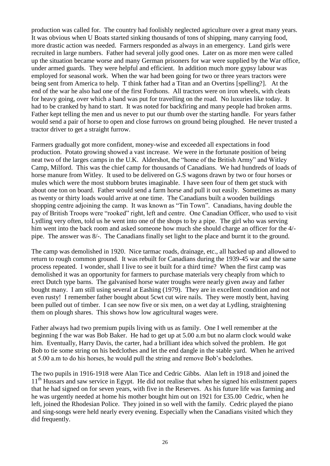production was called for. The country had foolishly neglected agriculture over a great many years. It was obvious when U Boats started sinking thousands of tons of shipping, many carrying food, more drastic action was needed. Farmers responded as always in an emergency. Land girls were recruited in large numbers. Father had several jolly good ones. Later on as more men were called up the situation became worse and many German prisoners for war were supplied by the War office, under armed guards. They were helpful and efficient. In addition much more gypsy labour was employed for seasonal work. When the war had been going for two or three years tractors were being sent from America to help. T think father had a Titan and an Overtins [spelling?]. At the end of the war he also had one of the first Fordsons. All tractors were on iron wheels, with cleats for heavy going, over which a band was put for travelling on the road. No luxuries like today. It had to be cranked by hand to start. It was noted for backfiring and many people had broken arms. Father kept telling the men and us never to put our thumb over the starting handle. For years father would send a pair of horse to open and close furrows on ground being ploughed. He never trusted a tractor driver to get a straight furrow.

Farmers gradually got more confident, money-wise and exceeded all expectations in food production. Potato growing showed a vast increase. We were in the fortunate position of being neat two of the larges camps in the U.K. Aldershot, the "home of the British Army" and Witley Camp, Milford. This was the chief camp for thousands of Canadians. We had hundreds of loads of horse manure from Witley. It used to be delivered on G.S wagons drawn by two or four horses or mules which were the most stubborn brutes imaginable. I have seen four of them get stuck with about one ton on board. Father would send a farm horse and pull it out easily. Sometimes as many as twenty or thirty loads would arrive at one time. The Canadians built a wooden buildings shopping centre adjoining the camp. It was known as "Tin Town". Canadians, having double the pay of British Troops were "rooked" right, left and centre. One Canadian Officer, who used to visit Lydling very often, told us he went into one of the shops to by a pipe. The girl who was serving him went into the back room and asked someone how much she should charge an officer for the 4/ pipe. The answer was 8/-. The Canadians finally set light to the place and burnt it to the ground.

The camp was demolished in 1920. Nice tarmac roads, drainage, etc., all hacked up and allowed to return to rough common ground. It was rebuilt for Canadians during the 1939-45 war and the same process repeated. I wonder, shall I live to see it built for a third time? When the first camp was demolished it was an opportunity for farmers to purchase materials very cheaply from which to erect Dutch type barns. The galvanised horse water troughs were nearly given away and father bought many. I am still using several at Eashing (1979). They are in excellent condition and not even rusty! I remember father bought about 5cwt cut wire nails. They were mostly bent, having been pulled out of timber. I can see now five or six men, on a wet day at Lydling, straightening them on plough shares. This shows how low agricultural wages were.

Father always had two premium pupils living with us as family. One I well remember at the beginning f the war was Bob Baker. He had to get up at 5.00 a.m but no alarm clock would wake him. Eventually, Harry Davis, the carter, had a brilliant idea which solved the problem. He got Bob to tie some string on his bedclothes and let the end dangle in the stable yard. When he arrived at 5.00 a.m to do his horses, he would pull the string and remove Bob's bedclothes.

The two pupils in 1916-1918 were Alan Tice and Cedric Gibbs. Alan left in 1918 and joined the  $11<sup>th</sup>$  Hussars and saw service in Egypt. He did not realise that when he signed his enlistment papers that he had signed on for seven years, with five in the Reserves. As his future life was farming and he was urgently needed at home his mother bought him out on 1921 for £35.00 Cedric, when he left, joined the Rhodesian Police. They joined in so well with the family. Cedric played the piano and sing-songs were held nearly every evening. Especially when the Canadians visited which they did frequently.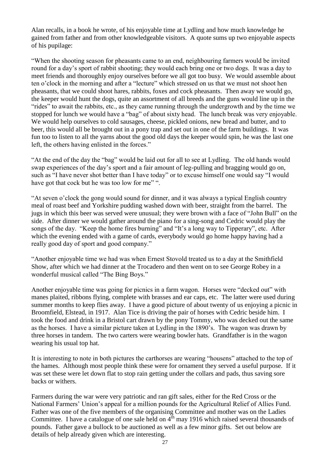Alan recalls, in a book he wrote, of his enjoyable time at Lydling and how much knowledge he gained from father and from other knowledgeable visitors. A quote sums up two enjoyable aspects of his pupilage:

"When the shooting season for pheasants came to an end, neighbouring farmers would be invited round for a day's sport of rabbit shooting; they would each bring one or two dogs. It was a day to meet friends and thoroughly enjoy ourselves before we all got too busy. We would assemble about ten o'clock in the morning and after a "lecture" which stressed on us that we must not shoot hen pheasants, that we could shoot hares, rabbits, foxes and cock pheasants. Then away we would go, the keeper would hunt the dogs, quite an assortment of all breeds and the guns would line up in the "rides" to await the rabbits, etc., as they came running through the undergrowth and by the time we stopped for lunch we would have a "bag" of about sixty head. The lunch break was very enjoyable. We would help ourselves to cold sausages, cheese, pickled onions, new bread and butter, and to beer, this would all be brought out in a pony trap and set out in one of the farm buildings. It was fun too to listen to all the yarns about the good old days the keeper would spin, he was the last one left, the others having enlisted in the forces."

"At the end of the day the "bag" would be laid out for all to see at Lydling. The old hands would swap experiences of the day's sport and a fair amount of leg-pulling and bragging would go on, such as "I have never shot better than I have today" or to excuse himself one would say "I would have got that cock but he was too low for me"".

"At seven o'clock the gong would sound for dinner, and it was always a typical English country meal of roast beef and Yorkshire pudding washed down with beer, straight from the barrel. The jugs in which this beer was served were unusual; they were brown with a face of "John Bull" on the side. After dinner we would gather around the piano for a sing-song and Cedric would play the songs of the day. "Keep the home fires burning" and "It's a long way to Tipperary", etc. After which the evening ended with a game of cards, everybody would go home happy having had a really good day of sport and good company."

"Another enjoyable time we had was when Ernest Stovold treated us to a day at the Smithfield Show, after which we had dinner at the Trocadero and then went on to see George Robey in a wonderful musical called "The Bing Boys."

Another enjoyable time was going for picnics in a farm wagon. Horses were "decked out" with manes plaited, ribbons flying, complete with brasses and ear caps, etc. The latter were used during summer months to keep flies away. I have a good picture of about twenty of us enjoying a picnic in Broomfield, Elstead, in 1917. Alan Tice is driving the pair of horses with Cedric beside him. I took the food and drink in a Bristol cart drawn by the pony Tommy, who was decked out the same as the horses. I have a similar picture taken at Lydling in the 1890's. The wagon was drawn by three horses in tandem. The two carters were wearing bowler hats. Grandfather is in the wagon wearing his usual top hat.

It is interesting to note in both pictures the carthorses are wearing "housens" attached to the top of the hames. Although most people think these were for ornament they served a useful purpose. If it was set these were let down flat to stop rain getting under the collars and pads, thus saving sore backs or withers.

Farmers during the war were very patriotic and ran gift sales, either for the Red Cross or the National Farmers' Union's appeal for a million pounds for the Agricultural Relief of Allies Fund. Father was one of the five members of the organising Committee and mother was on the Ladies Committee. I have a catalogue of one sale held on  $4<sup>th</sup>$  may 1916 which raised several thousands of pounds. Father gave a bullock to be auctioned as well as a few minor gifts. Set out below are details of help already given which are interesting.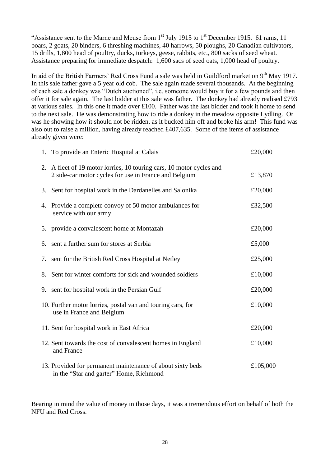"Assistance sent to the Marne and Meuse from  $1<sup>st</sup>$  July 1915 to  $1<sup>st</sup>$  December 1915. 61 rams, 11 boars, 2 goats, 20 binders, 6 threshing machines, 40 harrows, 50 ploughs, 20 Canadian cultivators, 15 drills, 1,800 head of poultry, ducks, turkeys, geese, rabbits, etc., 800 sacks of seed wheat. Assistance preparing for immediate despatch: 1,600 sacs of seed oats, 1,000 head of poultry.

In aid of the British Farmers' Red Cross Fund a sale was held in Guildford market on  $9<sup>th</sup>$  May 1917. In this sale father gave a 5 year old cob. The sale again made several thousands. At the beginning of each sale a donkey was "Dutch auctioned", i.e. someone would buy it for a few pounds and then offer it for sale again. The last bidder at this sale was father. The donkey had already realised £793 at various sales. In this one it made over £100. Father was the last bidder and took it home to send to the next sale. He was demonstrating how to ride a donkey in the meadow opposite Lydling. Or was he showing how it should not be ridden, as it bucked him off and broke his arm! This fund was also out to raise a million, having already reached £407,635. Some of the items of assistance already given were:

| 1. To provide an Enteric Hospital at Calais                                                                                   | £20,000  |
|-------------------------------------------------------------------------------------------------------------------------------|----------|
| 2. A fleet of 19 motor lorries, 10 touring cars, 10 motor cycles and<br>2 side-car motor cycles for use in France and Belgium | £13,870  |
| 3. Sent for hospital work in the Dardanelles and Salonika                                                                     | £20,000  |
| 4. Provide a complete convoy of 50 motor ambulances for<br>service with our army.                                             | £32,500  |
| 5. provide a convalescent home at Montazah                                                                                    | £20,000  |
| 6. sent a further sum for stores at Serbia                                                                                    | £5,000   |
| 7. sent for the British Red Cross Hospital at Netley                                                                          | £25,000  |
| 8. Sent for winter comforts for sick and wounded soldiers                                                                     | £10,000  |
| 9. sent for hospital work in the Persian Gulf                                                                                 | £20,000  |
| 10. Further motor lorries, postal van and touring cars, for<br>use in France and Belgium                                      | £10,000  |
| 11. Sent for hospital work in East Africa                                                                                     | £20,000  |
| 12. Sent towards the cost of convalescent homes in England<br>and France                                                      | £10,000  |
| 13. Provided for permanent maintenance of about sixty beds<br>in the "Star and garter" Home, Richmond                         | £105,000 |

Bearing in mind the value of money in those days, it was a tremendous effort on behalf of both the NFU and Red Cross.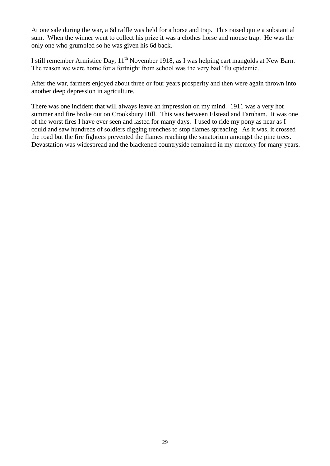At one sale during the war, a 6d raffle was held for a horse and trap. This raised quite a substantial sum. When the winner went to collect his prize it was a clothes horse and mouse trap. He was the only one who grumbled so he was given his 6d back.

I still remember Armistice Day, 11<sup>th</sup> November 1918, as I was helping cart mangolds at New Barn. The reason we were home for a fortnight from school was the very bad 'flu epidemic.

After the war, farmers enjoyed about three or four years prosperity and then were again thrown into another deep depression in agriculture.

There was one incident that will always leave an impression on my mind. 1911 was a very hot summer and fire broke out on Crooksbury Hill. This was between Elstead and Farnham. It was one of the worst fires I have ever seen and lasted for many days. I used to ride my pony as near as I could and saw hundreds of soldiers digging trenches to stop flames spreading. As it was, it crossed the road but the fire fighters prevented the flames reaching the sanatorium amongst the pine trees. Devastation was widespread and the blackened countryside remained in my memory for many years.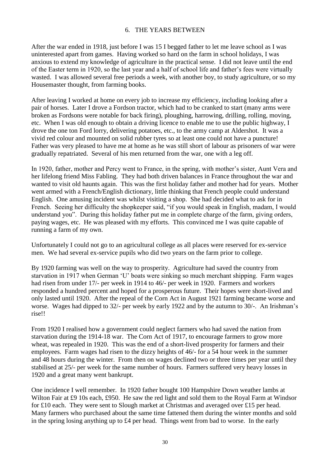#### 6. THE YEARS BETWEEN

After the war ended in 1918, just before I was 15 I begged father to let me leave school as I was uninterested apart from games. Having worked so hard on the farm in school holidays, I was anxious to extend my knowledge of agriculture in the practical sense. I did not leave until the end of the Easter term in 1920, so the last year and a half of school life and father's fees were virtually wasted. I was allowed several free periods a week, with another boy, to study agriculture, or so my Housemaster thought, from farming books.

After leaving I worked at home on every job to increase my efficiency, including looking after a pair of horses. Later I drove a Fordson tractor, which had to be cranked to start (many arms were broken as Fordsons were notable for back firing), ploughing, harrowing, drilling, rolling, moving, etc. When I was old enough to obtain a driving licence to enable me to use the public highway, I drove the one ton Ford lorry, delivering potatoes, etc., to the army camp at Aldershot. It was a vivid red colour and mounted on solid rubber tyres so at least one could not have a puncture! Father was very pleased to have me at home as he was still short of labour as prisoners of war were gradually repatriated. Several of his men returned from the war, one with a leg off.

In 1920, father, mother and Percy went to France, in the spring, with mother's sister, Aunt Vera and her lifelong friend Miss Fabling. They had both driven balances in France throughout the war and wanted to visit old haunts again. This was the first holiday father and mother had for years. Mother went armed with a French/English dictionary, little thinking that French people could understand English. One amusing incident was whilst visiting a shop. She had decided what to ask for in French. Seeing her difficulty the shopkeeper said, "if you would speak in English, madam, I would understand you". During this holiday father put me in complete charge of the farm, giving orders, paying wages, etc. He was pleased with my efforts. This convinced me I was quite capable of running a farm of my own.

Unfortunately I could not go to an agricultural college as all places were reserved for ex-service men. We had several ex-service pupils who did two years on the farm prior to college.

By 1920 farming was well on the way to prosperity. Agriculture had saved the country from starvation in 1917 when German 'U' boats were sinking so much merchant shipping. Farm wages had risen from under 17/- per week in 1914 to 46/- per week in 1920. Farmers and workers responded a hundred percent and hoped for a prosperous future. Their hopes were short-lived and only lasted until 1920. After the repeal of the Corn Act in August 1921 farming became worse and worse. Wages had dipped to 32/- per week by early 1922 and by the autumn to 30/-. An Irishman's rise!!

From 1920 I realised how a government could neglect farmers who had saved the nation from starvation during the 1914-18 war. The Corn Act of 1917, to encourage farmers to grow more wheat, was repealed in 1920. This was the end of a short-lived prosperity for farmers and their employees. Farm wages had risen to the dizzy heights of 46/- for a 54 hour week in the summer and 48 hours during the winter. From then on wages declined two or three times per year until they stabilised at 25/- per week for the same number of hours. Farmers suffered very heavy losses in 1920 and a great many went bankrupt.

One incidence I well remember. In 1920 father bought 100 Hampshire Down weather lambs at Wilton Fair at £9 10s each, £950. He saw the red light and sold them to the Royal Farm at Windsor for £10 each. They were sent to Slough market at Christmas and averaged over £15 per head. Many farmers who purchased about the same time fattened them during the winter months and sold in the spring losing anything up to £4 per head. Things went from bad to worse. In the early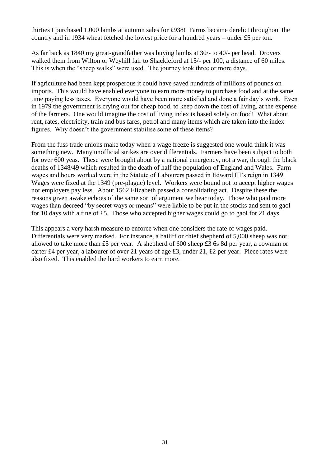thirties I purchased 1,000 lambs at autumn sales for £938! Farms became derelict throughout the country and in 1934 wheat fetched the lowest price for a hundred years – under £5 per ton.

As far back as 1840 my great-grandfather was buying lambs at 30/- to 40/- per head. Drovers walked them from Wilton or Weyhill fair to Shackleford at 15/- per 100, a distance of 60 miles. This is when the "sheep walks" were used. The journey took three or more days.

If agriculture had been kept prosperous it could have saved hundreds of millions of pounds on imports. This would have enabled everyone to earn more money to purchase food and at the same time paying less taxes. Everyone would have been more satisfied and done a fair day's work. Even in 1979 the government is crying out for cheap food, to keep down the cost of living, at the expense of the farmers. One would imagine the cost of living index is based solely on food! What about rent, rates, electricity, train and bus fares, petrol and many items which are taken into the index figures. Why doesn't the government stabilise some of these items?

From the fuss trade unions make today when a wage freeze is suggested one would think it was something new. Many unofficial strikes are over differentials. Farmers have been subject to both for over 600 yeas. These were brought about by a national emergency, not a war, through the black deaths of 1348/49 which resulted in the death of half the population of England and Wales. Farm wages and hours worked were in the Statute of Labourers passed in Edward III's reign in 1349. Wages were fixed at the 1349 (pre-plague) level. Workers were bound not to accept higher wages nor employers pay less. About 1562 Elizabeth passed a consolidating act. Despite these the reasons given awake echoes of the same sort of argument we hear today. Those who paid more wages than decreed "by secret ways or means" were liable to be put in the stocks and sent to gaol for 10 days with a fine of £5. Those who accepted higher wages could go to gaol for 21 days.

This appears a very harsh measure to enforce when one considers the rate of wages paid. Differentials were very marked. For instance, a bailiff or chief shepherd of 5,000 sheep was not allowed to take more than £5 per year. A shepherd of 600 sheep £3 6s 8d per year, a cowman or carter £4 per year, a labourer of over 21 years of age £3, under 21, £2 per year. Piece rates were also fixed. This enabled the hard workers to earn more.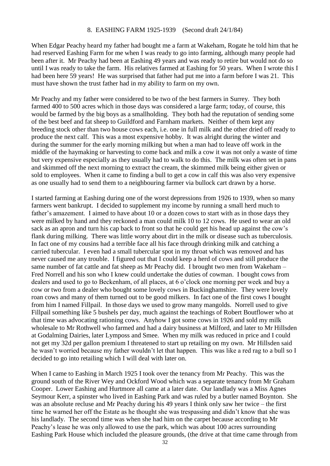When Edgar Peachy heard my father had bought me a farm at Wakeham, Rogate he told him that he had reserved Eashing Farm for me when I was ready to go into farming, although many people had been after it. Mr Peachy had been at Eashing 49 years and was ready to retire but would not do so until I was ready to take the farm. His relatives farmed at Eashing for 50 years. When I wrote this I had been here 59 years! He was surprised that father had put me into a farm before I was 21. This must have shown the trust father had in my ability to farm on my own.

Mr Peachy and my father were considered to be two of the best farmers in Surrey. They both farmed 400 to 500 acres which in those days was considered a large farm; today, of course, this would be farmed by the big boys as a smallholding. They both had the reputation of sending some of the best beef and fat sheep to Guildford and Farnham markets. Neither of them kept any breeding stock other than two house cows each, i.e. one in full milk and the other dried off ready to produce the next calf. This was a most expensive hobby. It was alright during the winter and during the summer for the early morning milking but when a man had to leave off work in the middle of the haymaking or harvesting to come back and milk a cow it was not only a waste of time but very expensive especially as they usually had to walk to do this. The milk was often set in pans and skimmed off the next morning to extract the cream, the skimmed milk being either given or sold to employees. When it came to finding a bull to get a cow in calf this was also very expensive as one usually had to send them to a neighbouring farmer via bullock cart drawn by a horse.

I started farming at Eashing during one of the worst depressions from 1926 to 1939, when so many farmers went bankrupt. I decided to supplement my income by running a small herd much to father's amazement. I aimed to have about 10 or a dozen cows to start with as in those days they were milked by hand and they reckoned a man could milk 10 to 12 cows. He used to wear an old sack as an apron and turn his cap back to front so that he could get his head up against the cow's flank during milking. There was little worry about dirt in the milk or disease such as tuberculosis. In fact one of my cousins had a terrible face all his face through drinking milk and catching a carried tubercular. I even had a small tubercular spot in my throat which was removed and has never caused me any trouble. I figured out that I could keep a herd of cows and still produce the same number of fat cattle and fat sheep as Mr Peachy did. I brought two men from Wakeham – Fred Norrell and his son who I knew could undertake the duties of cowman. I bought cows from dealers and used to go to Beckenham, of all places, at 6 o'clock one morning per week and buy a cow or two from a dealer who bought some lovely cows in Buckinghamshire. They were lovely roan cows and many of them turned out to be good milkers. In fact one of the first cows I bought from him I named Fillpail. In those days we used to grow many mangolds. Norrell used to give Fillpail something like 5 bushels per day, much against the teachings of Robert Boutflower who at that time was advocating rationing cows. Anyhow I got some cows in 1926 and sold my milk wholesale to Mr Rothwell who farmed and had a dairy business at Milford, and later to Mr Hillsden at Godalming Dairies, later Lymposs and Smee. When my milk was reduced in price and I could not get my 32d per gallon premium I threatened to start up retailing on my own. Mr Hillsden said he wasn't worried because my father wouldn't let that happen. This was like a red rag to a bull so I decided to go into retailing which I will deal with later on.

When I came to Eashing in March 1925 I took over the tenancy from Mr Peachy. This was the ground south of the River Wey and Ockford Wood which was a separate tenancy from Mr Graham Cooper. Lower Eashing and Hurtmore all came at a later date. Our landlady was a Miss Agnes Seymour Kerr, a spinster who lived in Eashing Park and was ruled by a butler named Boynton. She was an absolute recluse and Mr Peachy during his 49 years I think only saw her twice – the first time he warned her off the Estate as he thought she was trespassing and didn't know that she was his landlady. The second time was when she had him on the carpet because according to Mr Peachy's lease he was only allowed to use the park, which was about 100 acres surrounding Eashing Park House which included the pleasure grounds, (the drive at that time came through from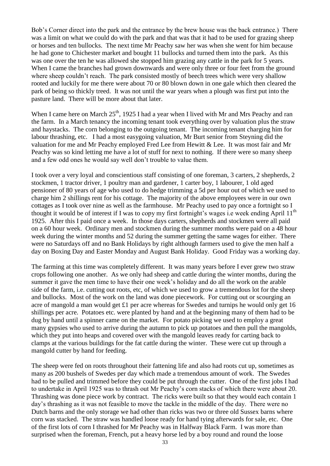Bob's Corner direct into the park and the entrance by the brew house was the back entrance.) There was a limit on what we could do with the park and that was that it had to be used for grazing sheep or horses and ten bullocks. The next time Mr Peachy saw her was when she went for him because he had gone to Chichester market and bought 11 bullocks and turned them into the park. As this was one over the ten he was allowed she stopped him grazing any cattle in the park for 5 years. When I came the branches had grown downwards and were only three or four feet from the ground where sheep couldn't reach. The park consisted mostly of beech trees which were very shallow rooted and luckily for me there were about 70 or 80 blown down in one gale which then cleared the park of being so thickly treed. It was not until the war years when a plough was first put into the pasture land. There will be more about that later.

When I came here on March  $25<sup>th</sup>$ , 1925 I had a year when I lived with Mr and Mrs Peachy and ran the farm. In a March tenancy the incoming tenant took everything over by valuation plus the straw and haystacks. The corn belonging to the outgoing tenant. The incoming tenant charging him for labour thrashing, etc. I had a most easygoing valuation, Mr Burt senior from Steyning did the valuation for me and Mr Peachy employed Fred Lee from Hewitt & Lee. It was most fair and Mr Peachy was so kind letting me have a lot of stuff for next to nothing. If there were so many sheep and a few odd ones he would say well don't trouble to value them.

I took over a very loyal and conscientious staff consisting of one foreman, 3 carters, 2 shepherds, 2 stockmen, 1 tractor driver, 1 poultry man and gardener, 1 carter boy, 1 labourer, 1 old aged pensioner of 80 years of age who used to do hedge trimming a 5d per hour out of which we used to charge him 2 shillings rent for his cottage. The majority of the above employees were in our own cottages as I took over nine as well as the farmhouse. Mr Peachy used to pay once a fortnight so I thought it would be of interest if I was to copy my first fortnight's wages i.e week ending April 11<sup>th</sup> 1925. After this I paid once a week. In those days carters, shepherds and stockmen were all paid on a 60 hour week. Ordinary men and stockmen during the summer months were paid on a 48 hour week during the winter months and 52 during the summer getting the same wages for either. There were no Saturdays off and no Bank Holidays by right although farmers used to give the men half a day on Boxing Day and Easter Monday and August Bank Holiday. Good Friday was a working day.

The farming at this time was completely different. It was many years before I ever grew two straw crops following one another. As we only had sheep and cattle during the winter months, during the summer it gave the men time to have their one week's holiday and do all the work on the arable side of the farm, i.e. cutting out roots, etc, of which we used to grow a tremendous lot for the sheep and bullocks. Most of the work on the land was done piecework. For cutting out or scourging an acre of mangold a man would get £1 per acre whereas for Swedes and turnips he would only get 16 shillings per acre. Potatoes etc. were planted by hand and at the beginning many of them had to be dug by hand until a spinner came on the market. For potato picking we used to employ a great many gypsies who used to arrive during the autumn to pick up potatoes and then pull the mangolds, which they put into heaps and covered over with the mangold leaves ready for carting back to clamps at the various buildings for the fat cattle during the winter. These were cut up through a mangold cutter by hand for feeding.

The sheep were fed on roots throughout their fattening life and also had roots cut up, sometimes as many as 200 bushels of Swedes per day which made a tremendous amount of work. The Swedes had to be pulled and trimmed before they could be put through the cutter. One of the first jobs I had to undertake in April 1925 was to thrash out Mr Peachy's corn stacks of which there were about 20. Thrashing was done piece work by contract. The ricks were built so that they would each contain 1 day's thrashing as it was not feasible to move the tackle in the middle of the day. There were no Dutch barns and the only storage we had other than ricks was two or three old Sussex barns where corn was stacked. The straw was handled loose ready for hand tying afterwards for sale, etc. One of the first lots of corn I thrashed for Mr Peachy was in Halfway Black Farm. I was more than surprised when the foreman, French, put a heavy horse led by a boy round and round the loose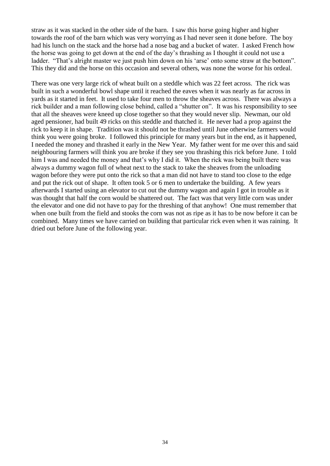straw as it was stacked in the other side of the barn. I saw this horse going higher and higher towards the roof of the barn which was very worrying as I had never seen it done before. The boy had his lunch on the stack and the horse had a nose bag and a bucket of water. I asked French how the horse was going to get down at the end of the day's thrashing as I thought it could not use a ladder. "That's alright master we just push him down on his 'arse' onto some straw at the bottom". This they did and the horse on this occasion and several others, was none the worse for his ordeal.

There was one very large rick of wheat built on a steddle which was 22 feet across. The rick was built in such a wonderful bowl shape until it reached the eaves when it was nearly as far across in yards as it started in feet. It used to take four men to throw the sheaves across. There was always a rick builder and a man following close behind, called a "shutter on". It was his responsibility to see that all the sheaves were kneed up close together so that they would never slip. Newman, our old aged pensioner, had built 49 ricks on this steddle and thatched it. He never had a prop against the rick to keep it in shape. Tradition was it should not be thrashed until June otherwise farmers would think you were going broke. I followed this principle for many years but in the end, as it happened, I needed the money and thrashed it early in the New Year. My father went for me over this and said neighbouring farmers will think you are broke if they see you thrashing this rick before June. I told him I was and needed the money and that's why I did it. When the rick was being built there was always a dummy wagon full of wheat next to the stack to take the sheaves from the unloading wagon before they were put onto the rick so that a man did not have to stand too close to the edge and put the rick out of shape. It often took 5 or 6 men to undertake the building. A few years afterwards I started using an elevator to cut out the dummy wagon and again I got in trouble as it was thought that half the corn would be shattered out. The fact was that very little corn was under the elevator and one did not have to pay for the threshing of that anyhow! One must remember that when one built from the field and stooks the corn was not as ripe as it has to be now before it can be combined. Many times we have carried on building that particular rick even when it was raining. It dried out before June of the following year.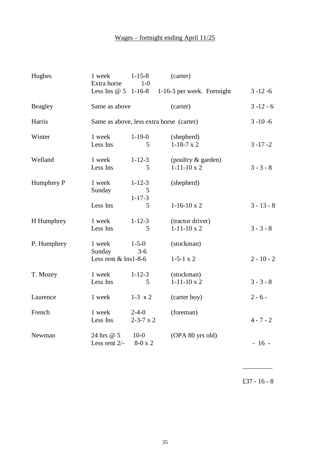## Wages – fortnight ending April 11/25

| Hughes      | 1 week<br>Extra horse       | $1 - 15 - 8$<br>$1-0$                    | (carter)                                 |              |
|-------------|-----------------------------|------------------------------------------|------------------------------------------|--------------|
|             | Less Ins $@5$ 1-16-8        |                                          | 1-16-3 per week. Fortnight               | $3 - 12 - 6$ |
| Beagley     | Same as above               |                                          | (carter)                                 | $3 - 12 - 6$ |
| Harris      |                             | Same as above, less extra horse (carter) |                                          | $3 - 10 - 6$ |
| Winter      | 1 week<br>Less Ins          | $1-19-0$<br>5                            | (shepherd)<br>$1-18-7 \times 2$          | $3 - 17 - 2$ |
| Welland     | 1 week<br>Less Ins          | $1 - 12 - 3$<br>5                        | (poultry & garden)<br>$1-11-10 \times 2$ | $3 - 3 - 8$  |
| Humphrey P  | 1 week<br>Sunday            | $1 - 12 - 3$<br>5<br>$1 - 17 - 3$        | (shepherd)                               |              |
|             | Less Ins                    | 5                                        | $1-16-10 \times 2$                       | $3 - 13 - 8$ |
| H Humphrey  | 1 week<br>Less Ins          | $1 - 12 - 3$<br>5                        | (tractor driver)<br>$1-11-10 \times 2$   | $3 - 3 - 8$  |
| P. Humphrey | 1 week<br>Sunday            | $1 - 5 - 0$<br>$3-6$                     | (stockman)                               |              |
|             | Less rent $&$ Ins1-8-6      |                                          | $1-5-1 \times 2$                         | $2 - 10 - 2$ |
| T. Mozey    | 1 week<br>Less Ins          | $1 - 12 - 3$<br>5                        | (stockman)<br>$1-11-10 \times 2$         | $3 - 3 - 8$  |
| Laurence    | 1 week                      | $1-3 \times 2$                           | (carter boy)                             | $2 - 6 -$    |
| French      | 1 week<br>Less Ins          | $2 - 4 - 0$<br>$2 - 3 - 7 \times 2$      | (foreman)                                | $4 - 7 - 2$  |
| Newman      | 24 hrs @ 5<br>Less rent 2/- | $10-0$<br>$8-0 \times 2$                 | (OPA 80 yrs old)                         | $-16 -$      |

£37 - 16 - 8

 $\overline{\phantom{a}}$   $\overline{\phantom{a}}$   $\overline{\phantom{a}}$   $\overline{\phantom{a}}$   $\overline{\phantom{a}}$   $\overline{\phantom{a}}$   $\overline{\phantom{a}}$   $\overline{\phantom{a}}$   $\overline{\phantom{a}}$   $\overline{\phantom{a}}$   $\overline{\phantom{a}}$   $\overline{\phantom{a}}$   $\overline{\phantom{a}}$   $\overline{\phantom{a}}$   $\overline{\phantom{a}}$   $\overline{\phantom{a}}$   $\overline{\phantom{a}}$   $\overline{\phantom{a}}$   $\overline{\$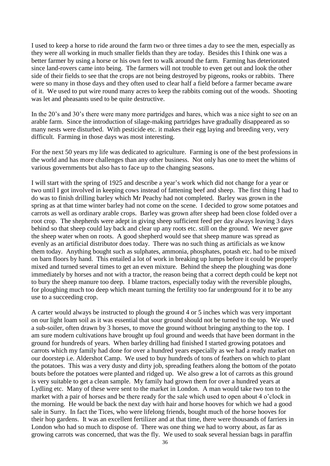I used to keep a horse to ride around the farm two or three times a day to see the men, especially as they were all working in much smaller fields than they are today. Besides this I think one was a better farmer by using a horse or his own feet to walk around the farm. Farming has deteriorated since land-rovers came into being. The farmers will not trouble to even get out and look the other side of their fields to see that the crops are not being destroyed by pigeons, rooks or rabbits. There were so many in those days and they often used to clear half a field before a farmer became aware of it. We used to put wire round many acres to keep the rabbits coming out of the woods. Shooting was let and pheasants used to be quite destructive.

In the 20's and 30's there were many more partridges and hares, which was a nice sight to see on an arable farm. Since the introduction of silage-making partridges have gradually disappeared as so many nests were disturbed. With pesticide etc. it makes their egg laying and breeding very, very difficult. Farming in those days was most interesting.

For the next 50 years my life was dedicated to agriculture. Farming is one of the best professions in the world and has more challenges than any other business. Not only has one to meet the whims of various governments but also has to face up to the changing seasons.

I will start with the spring of 1925 and describe a year's work which did not change for a year or two until I got involved in keeping cows instead of fattening beef and sheep. The first thing I had to do was to finish drilling barley which Mr Peachy had not completed. Barley was grown in the spring as at that time winter barley had not come on the scene. I decided to grow some potatoes and carrots as well as ordinary arable crops. Barley was grown after sheep had been close folded over a root crop. The shepherds were adept in giving sheep sufficient feed per day always leaving 3 days behind so that sheep could lay back and clear up any roots etc. still on the ground. We never gave the sheep water when on roots. A good shepherd would see that sheep manure was spread as evenly as an artificial distributor does today. There was no such thing as artificials as we know them today. Anything bought such as sulphates, ammonia, phosphates, potash etc. had to be mixed on barn floors by hand. This entailed a lot of work in breaking up lumps before it could be properly mixed and turned several times to get an even mixture. Behind the sheep the ploughing was done immediately by horses and not with a tractor, the reason being that a correct depth could be kept not to bury the sheep manure too deep. I blame tractors, especially today with the reversible ploughs, for ploughing much too deep which meant turning the fertility too far underground for it to be any use to a succeeding crop.

A carter would always be instructed to plough the ground 4 or 5 inches which was very important on our light loam soil as it was essential that sour ground should not be turned to the top. We used a sub-soiler, often drawn by 3 horses, to move the ground without bringing anything to the top. I am sure modern cultivations have brought up foul ground and weeds that have been dormant in the ground for hundreds of years. When barley drilling had finished I started growing potatoes and carrots which my family had done for over a hundred years especially as we had a ready market on our doorstep i.e. Aldershot Camp. We used to buy hundreds of tons of feathers on which to plant the potatoes. This was a very dusty and dirty job, spreading feathers along the bottom of the potato bouts before the potatoes were planted and ridged up. We also grew a lot of carrots as this ground is very suitable to get a clean sample. My family had grown them for over a hundred years at Lydling etc. Many of these were sent to the market in London. A man would take two ton to the market with a pair of horses and be there ready for the sale which used to open about 4 o'clock in the morning. He would be back the next day with hair and horse hooves for which we had a good sale in Surry. In fact the Tices, who were lifelong friends, bought much of the horse hooves for their hop gardens. It was an excellent fertilizer and at that time, there were thousands of farriers in London who had so much to dispose of. There was one thing we had to worry about, as far as growing carrots was concerned, that was the fly. We used to soak several hessian bags in paraffin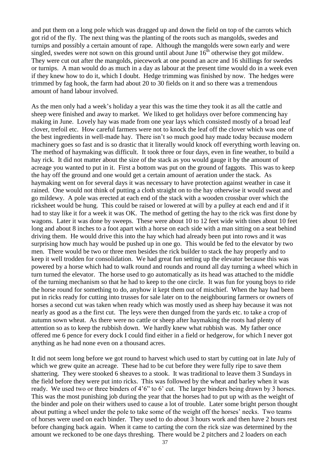and put them on a long pole which was dragged up and down the field on top of the carrots which got rid of the fly. The next thing was the planting of the roots such as mangolds, swedes and turnips and possibly a certain amount of rape. Although the mangolds were sown early and were singled, swedes were not sown on this ground until about June  $16<sup>th</sup>$  otherwise they got mildew. They were cut out after the mangolds, piecework at one pound an acre and 16 shillings for swedes or turnips. A man would do as much in a day as labour at the present time would do in a week even if they knew how to do it, which I doubt. Hedge trimming was finished by now. The hedges were trimmed by fag hook, the farm had about 20 to 30 fields on it and so there was a tremendous amount of hand labour involved.

As the men only had a week's holiday a year this was the time they took it as all the cattle and sheep were finished and away to market. We liked to get holidays over before commencing hay making in June. Lovely hay was made from one year lays which consisted mostly of a broad leaf clover, trefoil etc. How careful farmers were not to knock the leaf off the clover which was one of the best ingredients in well-made hay. There isn't so much good hay made today because modern machinery goes so fast and is so drastic that it literally would knock off everything worth leaving on. The method of haymaking was difficult. It took three or four days, even in fine weather, to build a hay rick. It did not matter about the size of the stack as you would gauge it by the amount of acreage you wanted to put in it. First a bottom was put on the ground of faggots. This was to keep the hay off the ground and one would get a certain amount of aeration under the stack. As haymaking went on for several days it was necessary to have protection against weather in case it rained. One would not think of putting a cloth straight on to the hay otherwise it would sweat and go mildewy. A pole was erected at each end of the stack with a wooden crossbar over which the ricksheet would be hung. This could be raised or lowered at will by a pulley at each end and if it had to stay like it for a week it was OK. The method of getting the hay to the rick was first done by wagons. Later it was done by sweeps. These were about 10 to 12 feet wide with tines about 10 feet long and about 8 inches to a foot apart with a horse on each side with a man sitting on a seat behind driving them. He would drive this into the hay which had already been put into rows and it was surprising how much hay would be pushed up in one go. This would be fed to the elevator by two men. There would be two or three men besides the rick builder to stack the hay properly and to keep it well trodden for consolidation. We had great fun setting up the elevator because this was powered by a horse which had to walk round and rounds and round all day turning a wheel which in turn turned the elevator. The horse used to go automatically as its head was attached to the middle of the turning mechanism so that he had to keep to the one circle. It was fun for young boys to ride the horse round for something to do, anyhow it kept them out of mischief. When the hay had been put in ricks ready for cutting into trusses for sale later on to the neighbouring farmers or owners of horses a second cut was taken when ready which was mostly used as sheep hay because it was not nearly as good as a the first cut. The leys were then dunged from the yards etc. to take a crop of autumn sown wheat. As there were no cattle or sheep after haymaking the roots had plenty of attention so as to keep the rubbish down. We hardly knew what rubbish was. My father once offered me 6 pence for every dock I could find either in a field or hedgerow, for which I never got anything as he had none even on a thousand acres.

It did not seem long before we got round to harvest which used to start by cutting oat in late July of which we grew quite an acreage. These had to be cut before they were fully ripe to save them shattering. They were stooked 6 sheaves to a stook. It was traditional to leave them 3 Sundays in the field before they were put into ricks. This was followed by the wheat and barley when it was ready. We used two or three binders of 4'6" to 6' cut. The larger binders being drawn by 3 horses. This was the most punishing job during the year that the horses had to put up with as the weight of the binder and pole on their withers used to cause a lot of trouble. Later some bright person thought about putting a wheel under the pole to take some of the weight off the horses' necks. Two teams of horses were used on each binder. They used to do about 3 hours work and then have 2 hours rest before changing back again. When it came to carting the corn the rick size was determined by the amount we reckoned to be one days threshing. There would be 2 pitchers and 2 loaders on each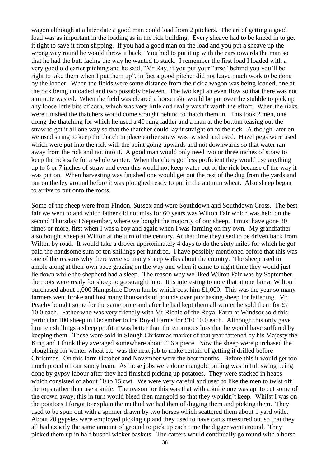wagon although at a later date a good man could load from 2 pitchers. The art of getting a good load was as important in the loading as in the rick building. Every sheave had to be kneed in to get it tight to save it from slipping. If you had a good man on the load and you put a sheave up the wrong way round he would throw it back. You had to put it up with the ears towards the man so that he had the butt facing the way he wanted to stack. I remember the first load I loaded with a very good old carter pitching and he said, "Mr Ray, if you put your "arse" behind you you'll be right to take them when I put them up", in fact a good pitcher did not leave much work to be done by the loader. When the fields were some distance from the rick a wagon was being loaded, one at the rick being unloaded and two possibly between. The two kept an even flow so that there was not a minute wasted. When the field was cleared a horse rake would be put over the stubble to pick up any loose little bits of corn, which was very little and really wasn't worth the effort. When the ricks were finished the thatchers would come straight behind to thatch them in. This took 2 men, one doing the thatching for which he used a 40 rung ladder and a man at the bottom teasing out the straw to get it all one way so that the thatcher could lay it straight on to the rick. Although later on we used string to keep the thatch in place earlier straw was twisted and used. Hazel pegs were used which were put into the rick with the point going upwards and not downwards so that water ran away from the rick and not into it. A good man would only need two or three inches of straw to keep the rick safe for a whole winter. When thatchers got less proficient they would use anything up to 6 or 7 inches of straw and even this would not keep water out of the rick because of the way it was put on. When harvesting was finished one would get out the rest of the dug from the yards and put on the ley ground before it was ploughed ready to put in the autumn wheat. Also sheep began to arrive to put onto the roots.

Some of the sheep were from Findon, Sussex and were Southdown and Southdown Cross. The best fair we went to and which father did not miss for 60 years was Wilton Fair which was held on the second Thursday I September, where we bought the majority of our sheep. I must have gone 30 times or more, first when I was a boy and again when I was farming on my own. My grandfather also bought sheep at Wilton at the turn of the century. At that time they used to be driven back from Wilton by road. It would take a drover approximately 4 days to do the sixty miles for which he got paid the handsome sum of ten shillings per hundred. I have possibly mentioned before that this was one of the reasons why there were so many sheep walks about the country. The sheep used to amble along at their own pace grazing on the way and when it came to night time they would just lie down while the shepherd had a sleep. The reason why we liked Wilton Fair was by September the roots were ready for sheep to go straight into. It is interesting to note that at one fair at Wilton I purchased about 1,000 Hampshire Down lambs which cost him £1,000. This was the year so many farmers went broke and lost many thousands of pounds over purchasing sheep for fattening. Mr Peachy bought some for the same price and after he had kept them all winter he sold them for £7 10.0 each. Father who was very friendly with Mr Richie of the Royal Farm at Windsor sold this particular 100 sheep in December to the Royal Farms for £10 10.0 each. Although this only gave him ten shillings a sheep profit it was better than the enormous loss that he would have suffered by keeping them. These were sold in Slough Christmas market of that year fattened by his Majesty the King and I think they averaged somewhere about £16 a piece. Now the sheep were purchased the ploughing for winter wheat etc. was the next job to make certain of getting it drilled before Christmas. On this farm October and November were the best months. Before this it would get too much proud on our sandy loam. As these jobs were done mangold pulling was in full swing being done by gypsy labour after they had finished picking up potatoes. They were stacked in heaps which consisted of about 10 to 15 cwt. We were very careful and used to like the men to twist off the tops rather than use a knife. The reason for this was that with a knife one was apt to cut some of the crown away, this in turn would bleed then mangold so that they wouldn't keep. Whilst I was on the potatoes I forgot to explain the method we had then of digging them and picking them. They used to be spun out with a spinner drawn by two horses which scattered them about 1 yard wide. About 20 gypsies were employed picking up and they used to have cants measured out so that they all had exactly the same amount of ground to pick up each time the digger went around. They picked them up in half bushel wicker baskets. The carters would continually go round with a horse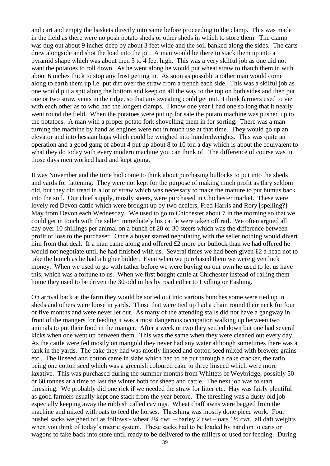and cart and empty the baskets directly into same before proceeding to the clamp. This was made in the field as there were no posh potato sheds or other sheds in which to store them. The clamp was dug out about 9 inches deep by about 3 feet wide and the soil banked along the sides. The carts drew alongside and shot the load into the pit. A man would be there to stack them up into a pyramid shape which was about then 3 to 4 feet high. This was a very skilful job as one did not want the potatoes to roll down. As he went along he would put wheat straw to thatch them in with about 6 inches thick to stop any frost getting in. As soon as possible another man would come along to earth them up i.e. put dirt over the straw from a trench each side. This was a skilful job as one would put a spit along the bottom and keep on all the way to the top on both sides and then put one or two straw vents in the ridge, so that any sweating could get out. I think farmers used to vie with each other as to who had the longest clamps. I know one year I had one so long that it nearly went round the field. When the potatoes were put up for sale the potato machine was pushed up to the potatoes. A man with a proper potato fork shovelling them in for sorting. There was a man turning the machine by hand as engines were not in much use at that time. They would go up an elevator and into hessian bags which could be weighed into hundredweights. This was quite an operation and a good gang of about 4 put up about 8 to 10 ton a day which is about the equivalent to what they do today with every modern machine you can think of. The difference of course was in those days men worked hard and kept going.

It was November and the time had come to think about purchasing bullocks to put into the sheds and yards for fattening. They were not kept for the purpose of making much profit as they seldom did, but they did tread in a lot of straw which was necessary to make the manure to put humus back into the soil. Our chief supply, mostly steers, were purchased in Chichester market. These were lovely red Devon cattle which were brought up by two dealers, Fred Harris and Rory [spelling?] May from Devon each Wednesday. We used to go to Chichester about 7 in the morning so that we could get in touch with the seller immediately his cattle were taken off rail. We often argued all day over 10 shillings per animal on a bunch of 20 or 30 steers which was the difference between profit or loss to the purchaser. Once a buyer started negotiating with the seller nothing would divert him from that deal. If a man came along and offered £2 more per bullock than we had offered he would not negotiate until he had finished with us. Several times we had been given £2 a head not to take the bunch as he had a higher bidder. Even when we purchased them we were given luck money. When we used to go with father before we were buying on our own he used to let us have this, which was a fortune to us. When we first bought cattle at Chichester instead of railing them home they used to be driven the 30 odd miles by road either to Lydling or Eashing.

On arrival back at the farm they would be sorted out into various bunches some were tied up in sheds and others were loose in yards. Those that were tied up had a chain round their neck for four or five months and were never let out. As many of the attending stalls did not have a gangway in front of the mangers for feeding it was a most dangerous occupation walking up between two animals to put their food in the manger. After a week or two they settled down but one had several kicks when one went up between them. This was the same when they were cleaned out every day. As the cattle were fed mostly on mangold they never had any water although sometimes there was a tank in the yards. The cake they had was mostly linseed and cotton seed mixed with brewers grains etc.. The linseed and cotton came in slabs which had to be put through a cake cracker, the ratio being one cotton seed which was a greenish coloured cake to three linseed which were more laxative. This was purchased during the summer months from Whittets of Weybridge, possibly 50 or 60 tonnes at a time to last the winter both for sheep and cattle. The next job was to start threshing. We probably did one rick if we needed the straw for litter etc. Hay was fairly plentiful as good farmers usually kept one stack from the year before. The threshing was a dusty old job especially keeping away the rubbish called cavings. Wheat chaff awns were bagged from the machine and mixed with oats to feed the horses. Threshing was mostly done piece work. Four bushel sacks weighed off as follows:- wheat  $2\frac{1}{4}$  cwt. – barley 2 cwt – oats  $1\frac{1}{2}$  cwt, all daft weights when you think of today's metric system. These sacks had to be loaded by hand on to carts or wagons to take back into store until ready to be delivered to the millers or used for feeding. During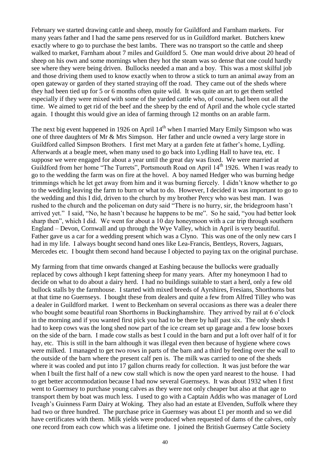February we started drawing cattle and sheep, mostly for Guildford and Farnham markets. For many years father and I had the same pens reserved for us in Guildford market. Butchers knew exactly where to go to purchase the best lambs. There was no transport so the cattle and sheep walked to market, Farnham about 7 miles and Guildford 5. One man would drive about 20 head of sheep on his own and some mornings when they hot the steam was so dense that one could hardly see where they were being driven. Bullocks needed a man and a boy. This was a most skilful job and those driving them used to know exactly when to throw a stick to turn an animal away from an open gateway or garden of they started straying off the road. They came out of the sheds where they had been tied up for 5 or 6 months often quite wild. It was quite an art to get them settled especially if they were mixed with some of the yarded cattle who, of course, had been out all the time. We aimed to get rid of the beef and the sheep by the end of April and the whole cycle started again. I thought this would give an idea of farming through 12 months on an arable farm.

The next big event happened in 1926 on April  $14<sup>th</sup>$  when I married Mary Emily Simpson who was one of three daughters of Mr & Mrs Simpson. Her father and uncle owned a very large store in Guildford called Simpson Brothers. I first met Mary at a garden fete at father's home, Lydling. Afterwards at a beagle meet, when many used to go back into Lydling Hall to have tea, etc. I suppose we were engaged for about a year until the great day was fixed. We were married at Guildford from her home "The Turrets", Portsmouth Road on April 14<sup>th</sup> 1926. When I was ready to go to the wedding the farm was on fire at the hovel. A boy named Hedger who was burning hedge trimmings which he let get away from him and it was burning fiercely. I didn't know whether to go to the wedding leaving the farm to burn or what to do. However, I decided it was important to go to the wedding and this I did, driven to the church by my brother Percy who was best man. I was rushed to the church and the policeman on duty said "There is no hurry, sir, the bridegroom hasn't arrived yet." I said, "No, he hasn't because he happens to be me". So he said, "you had better look sharp then", which I did. We went for about a 10 day honeymoon with a car trip through southern England – Devon, Cornwall and up through the Wye Valley, which in April is very beautiful. Father gave us a car for a wedding present which was a Clyno. This was one of the only new cars I had in my life. I always bought second hand ones like Lea-Francis, Bentleys, Rovers, Jaguars, Mercedes etc. I bought them second hand because I objected to paying tax on the original purchase.

My farming from that time onwards changed at Eashing because the bullocks were gradually replaced by cows although I kept fattening sheep for many years. After my honeymoon I had to decide on what to do about a dairy herd. I had no buildings suitable to start a herd, only a few old bullock stalls by the farmhouse. I started with mixed breeds of Ayrshires, Fresians, Shorthorns but at that time no Guernseys. I bought these from dealers and quite a few from Alfred Tilley who was a dealer in Guildford market. I went to Beckenham on several occasions as there was a dealer there who bought some beautiful roan Shorthorns in Buckinghamshire. They arrived by rail at 6 o'clock in the morning and if you wanted first pick you had to be there by half past six. The only sheds I had to keep cows was the long shed now part of the ice cream set up garage and a few loose boxes on the side of the barn. I made cow stalls as best I could in the barn and put a loft over half of it for hay, etc. This is still in the barn although it was illegal even then because of hygiene where cows were milked. I managed to get two rows in parts of the barn and a third by feeding over the wall to the outside of the barn where the present calf pen is. The milk was carried to one of the sheds where it was cooled and put into 17 gallon churns ready for collection. It was just before the war when I built the first half of a new cow stall which is now the open yard nearest to the house. I had to get better accommodation because I had now several Guernseys. It was about 1932 when I first went to Guernsey to purchase young calves as they were not only cheaper but also at that age to transport them by boat was much less. I used to go with a Captain Addis who was manager of Lord Iveagh's Guinness Farm Dairy at Woking. They also had an estate at Elvenden, Suffolk where they had two or three hundred. The purchase price in Guernsey was about £1 per month and so we did have certificates with them. Milk yields were produced when requested of dams of the calves, only one record from each cow which was a lifetime one. I joined the British Guernsey Cattle Society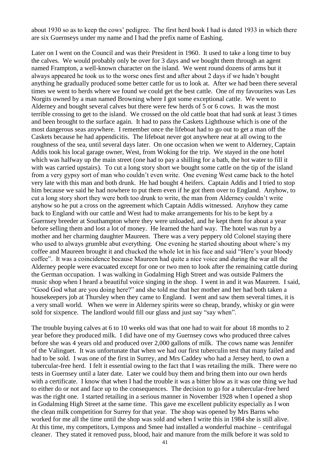about 1930 so as to keep the cows' pedigree. The first herd book I had is dated 1933 in which there are six Guernseys under my name and I had the prefix name of Eashing.

Later on I went on the Council and was their President in 1960. It used to take a long time to buy the calves. We would probably only be over for 3 days and we bought them through an agent named Frampton, a well-known character on the island. We went round dozens of arms but it always appeared he took us to the worse ones first and after about 2 days if we hadn't bought anything he gradually produced some better cattle for us to look at. After we had been there several times we went to herds where we found we could get the best cattle. One of my favourites was Les Norgits owned by a man named Browning where I got some exceptional cattle. We went to Alderney and bought several calves but there were few herds of 5 or 6 cows. It was the most terrible crossing to get to the island. We crossed on the old cattle boat that had sunk at least 3 times and been brought to the surface again. It had to pass the Caskets Lighthouse which is one of the most dangerous seas anywhere. I remember once the lifeboat had to go out to get a man off the Caskets because he had appendicitis. The lifeboat never got anywhere near at all owing to the roughness of the sea, until several days later. On one occasion when we went to Alderney, Captain Addis took his local garage owner, West, from Woking for the trip. We stayed in the one hotel which was halfway up the main street (one had to pay a shilling for a bath, the hot water to fill it with was carried upstairs). To cut a long story short we bought some cattle on the tip of the island from a very gypsy sort of man who couldn't even write. One evening West came back to the hotel very late with this man and both drunk. He had bought 4 heifers. Captain Addis and I tried to stop him because we said he had nowhere to put them even if he got them over to England. Anyhow, to cut a long story short they were both too drunk to write, the man from Alderney couldn't write anyhow so he put a cross on the agreement which Captain Addis witnessed. Anyhow they came back to England with our cattle and West had to make arrangements for his to be kept by a Guernsey breeder at Southampton where they were unloaded, and he kept them for about a year before selling them and lost a lot of money. He learned the hard way. The hotel was run by a mother and her charming daughter Maureen. There was a very peppery old Colonel staying there who used to always grumble abut everything. One evening he started shouting about where's my coffee and Maureen brought it and chucked the whole lot in his face and said "Here's your bloody coffee". It was a coincidence because Maureen had quite a nice voice and during the war all the Alderney people were evacuated except for one or two men to look after the remaining cattle during the German occupation. I was walking in Godalming High Street and was outside Palmers the music shop when I heard a beautiful voice singing in the shop. I went in and it was Maureen. I said, "Good God what are you doing here?" and she told me that her mother and her had both taken a housekeepers job at Thursley when they came to England. I went and saw them several times, it is a very small world. When we were in Alderney spirits were so cheap, brandy, whisky or gin were sold for sixpence. The landlord would fill our glass and just say "say when".

The trouble buying calves at 6 to 10 weeks old was that one had to wait for about 18 months to 2 year before they produced milk. I did have one of my Guernsey cows who produced three calves before she was 4 years old and produced over 2,000 gallons of milk. The cows name was Jennifer of the Valinguet. It was unfortunate that when we had our first tuberculin test that many failed and had to be sold. I was one of the first in Surrey, and Mrs Caddey who had a Jersey herd, to own a tubercular-free herd. I felt it essential owing to the fact that I was retailing the milk. There were no tests in Guernsey until a later date. Later we could buy them and bring them into our own herds with a certificate. I know that when I had the trouble it was a bitter blow as it was one thing we had to either do or not and face up to the consequences. The decision to go for a tubercular-free herd was the right one. I started retailing in a serious manner in November 1928 when I opened a shop in Godalming High Street at the same time. This gave me excellent publicity especially as I won the clean milk competition for Surrey for that year. The shop was opened by Mrs Barns who worked for me all the time until the shop was sold and when I write this in 1984 she is still alive. At this time, my competitors, Lymposs and Smee had installed a wonderful machine – centrifugal cleaner. They stated it removed puss, blood, hair and manure from the milk before it was sold to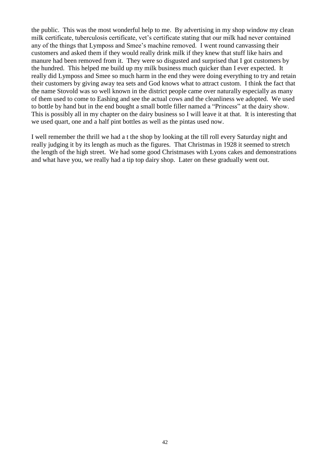the public. This was the most wonderful help to me. By advertising in my shop window my clean milk certificate, tuberculosis certificate, vet's certificate stating that our milk had never contained any of the things that Lymposs and Smee's machine removed. I went round canvassing their customers and asked them if they would really drink milk if they knew that stuff like hairs and manure had been removed from it. They were so disgusted and surprised that I got customers by the hundred. This helped me build up my milk business much quicker than I ever expected. It really did Lymposs and Smee so much harm in the end they were doing everything to try and retain their customers by giving away tea sets and God knows what to attract custom. I think the fact that the name Stovold was so well known in the district people came over naturally especially as many of them used to come to Eashing and see the actual cows and the cleanliness we adopted. We used to bottle by hand but in the end bought a small bottle filler named a "Princess" at the dairy show. This is possibly all in my chapter on the dairy business so I will leave it at that. It is interesting that we used quart, one and a half pint bottles as well as the pintas used now.

I well remember the thrill we had a t the shop by looking at the till roll every Saturday night and really judging it by its length as much as the figures. That Christmas in 1928 it seemed to stretch the length of the high street. We had some good Christmases with Lyons cakes and demonstrations and what have you, we really had a tip top dairy shop. Later on these gradually went out.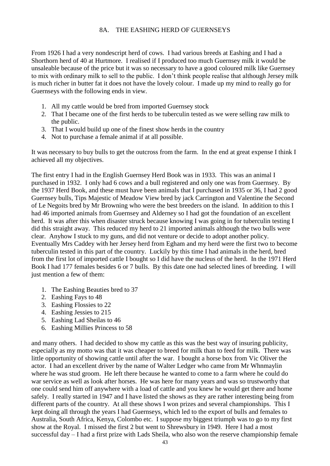## 8A. THE EASHING HERD OF GUERNSEYS

From 1926 I had a very nondescript herd of cows. I had various breeds at Eashing and I had a Shorthorn herd of 40 at Hurtmore. I realised if I produced too much Guernsey milk it would be unsaleable because of the price but it was so necessary to have a good coloured milk like Guernsey to mix with ordinary milk to sell to the public. I don't think people realise that although Jersey milk is much richer in butter fat it does not have the lovely colour. I made up my mind to really go for Guernseys with the following ends in view.

- 1. All my cattle would be bred from imported Guernsey stock
- 2. That I became one of the first herds to be tuberculin tested as we were selling raw milk to the public.
- 3. That I would build up one of the finest show herds in the country
- 4. Not to purchase a female animal if at all possible.

It was necessary to buy bulls to get the outcross from the farm. In the end at great expense I think I achieved all my objectives.

The first entry I had in the English Guernsey Herd Book was in 1933. This was an animal I purchased in 1932. I only had 6 cows and a bull registered and only one was from Guernsey. By the 1937 Herd Book, and these must have been animals that I purchased in 1935 or 36, I had 2 good Guernsey bulls, Tips Majestic of Meadow View bred by jack Carrington and Valentine the Second of Le Negoits bred by Mr Browning who were the best breeders on the island. In addition to this I had 46 imported animals from Guernsey and Alderney so I had got the foundation of an excellent herd. It was after this when disaster struck because knowing I was going in for tuberculin testing I did this straight away. This reduced my herd to 21 imported animals although the two bulls were clear. Anyhow I stuck to my guns, and did not venture or decide to adopt another policy. Eventually Mrs Caddey with her Jersey herd from Egham and my herd were the first two to become tuberculin tested in this part of the country. Luckily by this time I had animals in the herd, bred from the first lot of imported cattle I bought so I did have the nucleus of the herd. In the 1971 Herd Book I had 177 females besides 6 or 7 bulls. By this date one had selected lines of breeding. I will just mention a few of them:

- 1. The Eashing Beauties bred to 37
- 2. Eashing Fays to 48
- 3. Eashing Flossies to 22
- 4. Eashing Jessies to 215
- 5. Eashing Lad Sheilas to 46
- 6. Eashing Millies Princess to 58

and many others. I had decided to show my cattle as this was the best way of insuring publicity, especially as my motto was that it was cheaper to breed for milk than to feed for milk. There was little opportunity of showing cattle until after the war. I bought a horse box from Vic Oliver the actor. I had an excellent driver by the name of Walter Ledger who came from Mr Whnmaylin where he was stud groom. He left there because he wanted to come to a farm where he could do war service as well as look after horses. He was here for many years and was so trustworthy that one could send him off anywhere with a load of cattle and you knew he would get there and home safely. I really started in 1947 and I have listed the shows as they are rather interesting being from different parts of the country. At all these shows I won prizes and several championships. This I kept doing all through the years I had Guernseys, which led to the export of bulls and females to Australia, South Africa, Kenya, Colombo etc. I suppose my biggest triumph was to go to my first show at the Royal. I missed the first 2 but went to Shrewsbury in 1949. Here I had a most successful day – I had a first prize with Lads Sheila, who also won the reserve championship female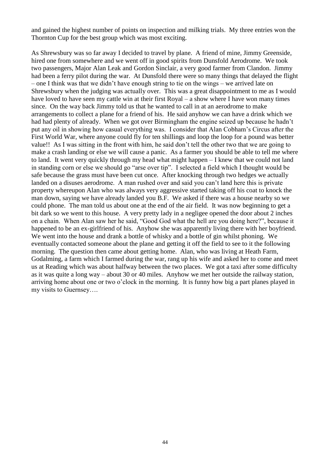and gained the highest number of points on inspection and milking trials. My three entries won the Thornton Cup for the best group which was most exciting.

As Shrewsbury was so far away I decided to travel by plane. A friend of mine, Jimmy Greenside, hired one from somewhere and we went off in good spirits from Dunsfold Aerodrome. We took two passengers, Major Alan Leak and Gordon Sinclair, a very good farmer from Clandon. Jimmy had been a ferry pilot during the war. At Dunsfold there were so many things that delayed the flight – one I think was that we didn't have enough string to tie on the wings – we arrived late on Shrewsbury when the judging was actually over. This was a great disappointment to me as I would have loved to have seen my cattle win at their first Royal – a show where I have won many times since. On the way back Jimmy told us that he wanted to call in at an aerodrome to make arrangements to collect a plane for a friend of his. He said anyhow we can have a drink which we had had plenty of already. When we got over Birmingham the engine seized up because he hadn't put any oil in showing how casual everything was. I consider that Alan Cobham's Circus after the First World War, where anyone could fly for ten shillings and loop the loop for a pound was better value!! As I was sitting in the front with him, he said don't tell the other two that we are going to make a crash landing or else we will cause a panic. As a farmer you should be able to tell me where to land. It went very quickly through my head what might happen – I knew that we could not land in standing corn or else we should go "arse over tip". I selected a field which I thought would be safe because the grass must have been cut once. After knocking through two hedges we actually landed on a disuses aerodrome. A man rushed over and said you can't land here this is private property whereupon Alan who was always very aggressive started taking off his coat to knock the man down, saying we have already landed you B.F. We asked if there was a house nearby so we could phone. The man told us about one at the end of the air field. It was now beginning to get a bit dark so we went to this house. A very pretty lady in a negligee opened the door about 2 inches on a chain. When Alan saw her he said, "Good God what the hell are you doing here?", because it happened to be an ex-girlfriend of his. Anyhow she was apparently living there with her boyfriend. We went into the house and drank a bottle of whisky and a bottle of gin whilst phoning. We eventually contacted someone about the plane and getting it off the field to see to it the following morning. The question then came about getting home. Alan, who was living at Heath Farm, Godalming, a farm which I farmed during the war, rang up his wife and asked her to come and meet us at Reading which was about halfway between the two places. We got a taxi after some difficulty as it was quite a long way – about 30 or 40 miles. Anyhow we met her outside the railway station, arriving home about one or two o'clock in the morning. It is funny how big a part planes played in my visits to Guernsey….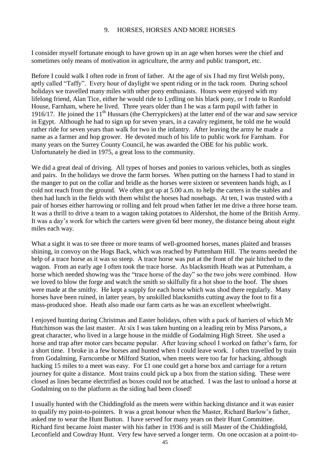## 9. HORSES, HORSES AND MORE HORSES

I consider myself fortunate enough to have grown up in an age when horses were the chief and sometimes only means of motivation in agriculture, the army and public transport, etc.

Before I could walk I often rode in front of father. At the age of six I had my first Welsh pony, aptly called "Taffy". Every hour of daylight we spent riding or in the tack room. During school holidays we travelled many miles with other pony enthusiasts. Hours were enjoyed with my lifelong friend, Alan Tice, either he would ride to Lydling on his black pony, or I rode to Runfold House, Farnham, where he lived. Three years older than I he was a farm pupil with father in 1916/17. He joined the 11<sup>th</sup> Hussars (the Cherrypickers) at the latter end of the war and saw service in Egypt. Although he had to sign up for seven years, in a cavalry regiment, he told me he would rather ride for seven years than walk for two in the infantry. After leaving the army he made a name as a farmer and hop grower. He devoted much of his life to public work for Farnham. For many years on the Surrey County Council, he was awarded the OBE for his public work. Unfortunately he died in 1975, a great loss to the community.

We did a great deal of driving. All types of horses and ponies to various vehicles, both as singles and pairs. In the holidays we drove the farm horses. When putting on the harness I had to stand in the manger to put on the collar and bridle as the horses were sixteen or seventeen hands high, as I cold not reach from the ground. We often got up at 5.00 a.m. to help the carters in the stables and then had lunch in the fields with them whilst the horses had nosebags. At ten, I was trusted with a pair of horses either harrowing or rolling and felt proud when father let me drive a three horse team. It was a thrill to drive a team to a wagon taking potatoes to Aldershot, the home of the British Army. It was a day's work for which the carters were given 6d beer money, the distance being about eight miles each way.

What a sight it was to see three or more teams of well-groomed horses, manes plaited and brasses shining, in convoy on the Hogs Back, which was reached by Puttenham Hill. The teams needed the help of a trace horse as it was so steep. A trace horse was put at the front of the pair hitched to the wagon. From an early age I often took the trace horse. As blacksmith Heath was at Puttenham, a horse which needed showing was the "trace horse of the day" so the two jobs were combined. How we loved to blow the forge and watch the smith so skilfully fit a hot shoe to the hoof. The shoes were made at the smithy. He kept a supply for each horse which was shod there regularly. Many horses have been ruined, in latter years, by unskilled blacksmiths cutting away the foot to fit a mass-produced shoe. Heath also made our farm carts as he was an excellent wheelwright.

I enjoyed hunting during Christmas and Easter holidays, often with a pack of harriers of which Mr Hutchinson was the last master. At six I was taken hunting on a leading rein by Miss Parsons, a great character, who lived in a large house in the middle of Godalming High Street. She used a horse and trap after motor cars became popular. After leaving school I worked on father's farm, for a short time. I broke in a few horses and hunted when I could leave work. I often travelled by train from Godalming, Farncombe or Milford Station, when meets were too far for hacking, although hacking 15 miles to a meet was easy. For £1 one could get a horse box and carriage for a return journey for quite a distance. Most trains could pick up a box from the station siding. These were closed as lines became electrified as boxes could not be attached. I was the last to unload a horse at Godalming on to the platform as the siding had been closed!

I usually hunted with the Chiddingfold as the meets were within hacking distance and it was easier to qualify my point-to-pointers. It was a great honour when the Master, Richard Barlow's father, asked me to wear the Hunt Button. I have served for many years on their Hunt Committee. Richard first became Joint master with his father in 1936 and is still Master of the Chiddingfold, Leconfield and Cowdray Hunt. Very few have served a longer term. On one occasion at a point-to-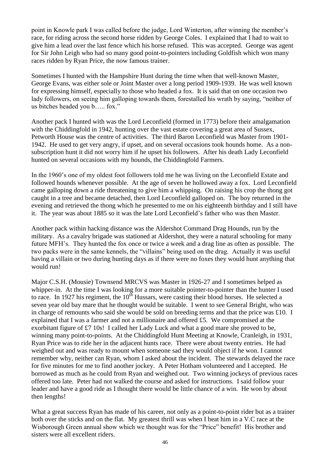point in Knowle park I was called before the judge, Lord Winterton, after winning the member's race, for riding across the second horse ridden by George Coles. I explained that I had to wait to give him a lead over the last fence which his horse refused. This was accepted. George was agent for Sir John Leigh who had so many good point-to-pointers including Goldfish which won many races ridden by Ryan Price, the now famous trainer.

Sometimes I hunted with the Hampshire Hunt during the time when that well-known Master, George Evans, was either sole or Joint Master over a long period 1909-1939. He was well known for expressing himself, especially to those who headed a fox. It is said that on one occasion two lady followers, on seeing him galloping towards them, forestalled his wrath by saying, "neither of us bitches headed you b….. fox."

Another pack I hunted with was the Lord Leconfield (formed in 1773) before their amalgamation with the Chiddingfold in 1942, hunting over the vast estate covering a great area of Sussex, Petworth House was the centre of activities. The third Baron Leconfield was Master from 1901- 1942. He used to get very angry, if upset, and on several occasions took hounds home. As a nonsubscription hunt it did not worry him if he upset his followers. After his death Lady Leconfield hunted on several occasions with my hounds, the Chiddingfold Farmers.

In the 1960's one of my oldest foot followers told me he was living on the Leconfield Estate and followed hounds whenever possible. At the age of seven he hollowed away a fox. Lord Leconfield came galloping down a ride threatening to give him a whipping. On raising his crop the thong got caught in a tree and became detached, then Lord Leconfield galloped on. The boy returned in the evening and retrieved the thong which he presented to me on his eighteenth birthday and I still have it. The year was about 1885 so it was the late Lord Leconfield's father who was then Master.

Another pack within hacking distance was the Aldershot Command Drag Hounds, run by the military. As a cavalry brigade was stationed at Aldershot, they were a natural schooling for many future MFH's. They hunted the fox once or twice a week and a drag line as often as possible. The two packs were in the same kennels, the "villains" being used on the drag. Actually it was useful having a villain or two during hunting days as if there were no foxes they would hunt anything that would run!

Major C.S.H. (Mousie) Townsend MRCVS was Master in 1926-27 and I sometimes helped as whipper-in. At the time I was looking for a more suitable pointer-to-pointer than the hunter I used to race. In 1927 his regiment, the 10<sup>th</sup> Hussars, were casting their blood horses. He selected a seven year old bay mare that he thought would be suitable. I went to see General Bright, who was in charge of remounts who said she would be sold on breeding terms and that the price was £10. I explained that I was a farmer and not a millionaire and offered £5. We compromised at the exorbitant figure of £7 10s! I called her Lady Luck and what a good mare she proved to be, winning many point-to-points. At the Chiddingfold Hunt Meeting at Knowle, Cranleigh, in 1931, Ryan Price was to ride her in the adjacent hunts race. There were about twenty entries. He had weighed out and was ready to mount when someone sad they would object if he won. I cannot remember why, neither can Ryan, whom I asked about the incident. The stewards delayed the race for five minutes for me to find another jockey. A Peter Hotham volunteered and I accepted. He borrowed as much as he could from Ryan and weighed out. Two winning jockeys of previous races offered too late. Peter had not walked the course and asked for instructions. I said follow your leader and have a good ride as I thought there would be little chance of a win. He won by about then lengths!

What a great success Ryan has made of his career, not only as a point-to-point rider but as a trainer both over the sticks and on the flat. My greatest thrill was when I beat him in a V.C race at the Wisborough Green annual show which we thought was for the "Price" benefit! His brother and sisters were all excellent riders.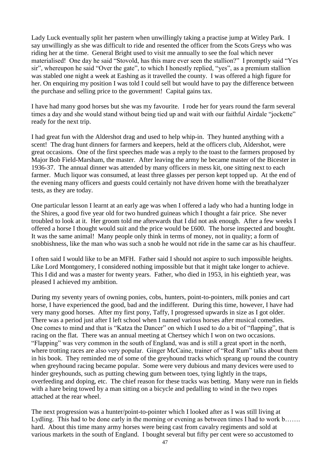Lady Luck eventually split her pastern when unwillingly taking a practise jump at Witley Park. I say unwillingly as she was difficult to ride and resented the officer from the Scots Greys who was riding her at the time. General Bright used to visit me annually to see the foal which never materialised! One day he said "Stovold, has this mare ever seen the stallion?" I promptly said "Yes sir", whereupon he said "Over the gate", to which I honestly replied, "yes", as a premium stallion was stabled one night a week at Eashing as it travelled the county. I was offered a high figure for her. On enquiring my position I was told I could sell but would have to pay the difference between the purchase and selling price to the government! Capital gains tax.

I have had many good horses but she was my favourite. I rode her for years round the farm several times a day and she would stand without being tied up and wait with our faithful Airdale "jockette" ready for the next trip.

I had great fun with the Aldershot drag and used to help whip-in. They hunted anything with a scent! The drag hunt dinners for farmers and keepers, held at the officers club, Aldershot, were great occasions. One of the first speeches made was a reply to the toast to the farmers proposed by Major Bob Field-Marsham, the master. After leaving the army he became master of the Bicester in 1936-37. The annual dinner was attended by many officers in mess kit, one sitting next to each farmer. Much liquor was consumed, at least three glasses per person kept topped up. At the end of the evening many officers and guests could certainly not have driven home with the breathalyzer tests, as they are today.

One particular lesson I learnt at an early age was when I offered a lady who had a hunting lodge in the Shires, a good five year old for two hundred guineas which I thought a fair price. She never troubled to look at it. Her groom told me afterwards that I did not ask enough. After a few weeks I offered a horse I thought would suit and the price would be £600. The horse inspected and bought. It was the same animal! Many people only think in terms of money, not in quality; a form of snobbishness, like the man who was such a snob he would not ride in the same car as his chauffeur.

I often said I would like to be an MFH. Father said I should not aspire to such impossible heights. Like Lord Montgomery, I considered nothing impossible but that it might take longer to achieve. This I did and was a master for twenty years. Father, who died in 1953, in his eightieth year, was pleased I achieved my ambition.

During my seventy years of owning ponies, cobs, hunters, point-to-pointers, milk ponies and cart horse, I have experienced the good, bad and the indifferent. During this time, however, I have had very many good horses. After my first pony, Taffy, I progressed upwards in size as I got older. There was a period just after I left school when I named various horses after musical comedies. One comes to mind and that is "Katza the Dancer" on which I used to do a bit of "flapping", that is racing on the flat. There was an annual meeting at Chertsey which I won on two occasions. "Flapping" was very common in the south of England, was and is still a great sport in the north, where trotting races are also very popular. Ginger McCaine, trainer of "Red Rum" talks about them in his book. They reminded me of some of the greyhound tracks which sprang up round the country when greyhound racing became popular. Some were very dubious and many devices were used to hinder greyhounds, such as putting chewing gum between toes, tying lightly in the traps, overfeeding and doping, etc. The chief reason for these tracks was betting. Many were run in fields with a hare being towed by a man sitting on a bicycle and pedalling to wind in the two ropes attached at the rear wheel.

The next progression was a hunter/point-to-pointer which I looked after as I was still living at Lydling. This had to be done early in the morning or evening as between times I had to work b……. hard. About this time many army horses were being cast from cavalry regiments and sold at various markets in the south of England. I bought several but fifty per cent were so accustomed to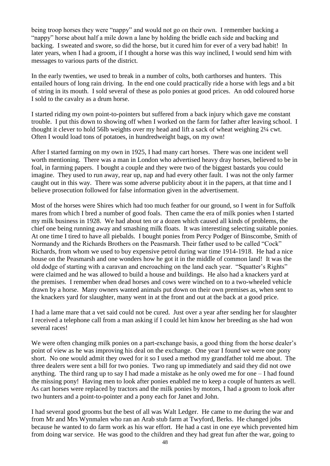being troop horses they were "nappy" and would not go on their own. I remember backing a "nappy" horse about half a mile down a lane by holding the bridle each side and backing and backing. I sweated and swore, so did the horse, but it cured him for ever of a very bad habit! In later years, when I had a groom, if I thought a horse was this way inclined, I would send him with messages to various parts of the district.

In the early twenties, we used to break in a number of colts, both carthorses and hunters. This entailed hours of long rain driving. In the end one could practically ride a horse with legs and a bit of string in its mouth. I sold several of these as polo ponies at good prices. An odd coloured horse I sold to the cavalry as a drum horse.

I started riding my own point-to-pointers but suffered from a back injury which gave me constant trouble. I put this down to showing off when I worked on the farm for father after leaving school. I thought it clever to hold 56lb weights over my head and lift a sack of wheat weighing 2¼ cwt. Often I would load tons of potatoes, in hundredweight bags, on my own!

After I started farming on my own in 1925, I had many cart horses. There was one incident well worth mentioning. There was a man in London who advertised heavy dray horses, believed to be in foal, in farming papers. I bought a couple and they were two of the biggest bastards you could imagine. They used to run away, rear up, nap and had every other fault. I was not the only farmer caught out in this way. There was some adverse publicity about it in the papers, at that time and I believe prosecution followed for false information given in the advertisement.

Most of the horses were Shires which had too much feather for our ground, so I went in for Suffolk mares from which I bred a number of good foals. Then came the era of milk ponies when I started my milk business in 1928. We had about ten or a dozen which caused all kinds of problems, the chief one being running away and smashing milk floats. It was interesting selecting suitable ponies. At one time I tired to have all piebalds. I bought ponies from Percy Podger of Binscombe, Smith of Normandy and the Richards Brothers on the Peasmarsh. Their father used to be called "Cock" Richards, from whom we used to buy expensive petrol during war time 1914-1918. He had a nice house on the Peasmarsh and one wonders how he got it in the middle of common land! It was the old dodge of starting with a caravan and encroaching on the land each year. "Squatter's Rights" were claimed and he was allowed to build a house and buildings. He also had a knackers yard at the premises. I remember when dead horses and cows were winched on to a two-wheeled vehicle drawn by a horse. Many owners wanted animals put down on their own premises as, when sent to the knackers yard for slaughter, many went in at the front and out at the back at a good price.

I had a lame mare that a vet said could not be cured. Just over a year after sending her for slaughter I received a telephone call from a man asking if I could let him know her breeding as she had won several races!

We were often changing milk ponies on a part-exchange basis, a good thing from the horse dealer's point of view as he was improving his deal on the exchange. One year I found we were one pony short. No one would admit they owed for it so I used a method my grandfather told me about. The three dealers were sent a bill for two ponies. Two rang up immediately and said they did not owe anything. The third rang up to say I had made a mistake as he only owed me for one – I had found the missing pony! Having men to look after ponies enabled me to keep a couple of hunters as well. As cart horses were replaced by tractors and the milk ponies by motors, I had a groom to look after two hunters and a point-to-pointer and a pony each for Janet and John.

I had several good grooms but the best of all was Walt Ledger. He came to me during the war and from Mr and Mrs Wynmalen who ran an Arab stub farm at Twyford, Berks. He changed jobs because he wanted to do farm work as his war effort. He had a cast in one eye which prevented him from doing war service. He was good to the children and they had great fun after the war, going to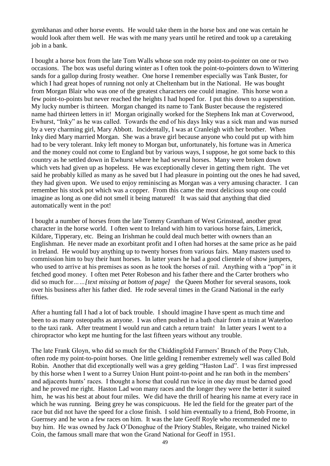gymkhanas and other horse events. He would take them in the horse box and one was certain he would look after them well. He was with me many years until he retired and took up a caretaking job in a bank.

I bought a horse box from the late Tom Walls whose son rode my point-to-pointer on one or two occasions. The box was useful during winter as I often took the point-to-pointers down to Wittering sands for a gallop during frosty weather. One horse I remember especially was Tank Buster, for which I had great hopes of running not only at Cheltenham but in the National. He was bought from Morgan Blair who was one of the greatest characters one could imagine. This horse won a few point-to-points but never reached the heights I had hoped for. I put this down to a superstition. My lucky number is thirteen. Morgan changed its name to Tank Buster because the registered name had thirteen letters in it! Morgan originally worked for the Stephens Ink man at Coverwood, Ewhurst, "Inky" as he was called. Towards the end of his days Inky was a sick man and was nursed by a very charming girl, Mary Abbott. Incidentally, I was at Cranleigh with her brother. When Inky died Mary married Morgan. She was a brave girl because anyone who could put up with him had to be very tolerant. Inky left money to Morgan but, unfortunately, his fortune was in America and the money could not come to England but by various ways, I suppose, he got some back to this country as he settled down in Ewhurst where he had several horses. Many were broken down which vets had given up as hopeless. He was exceptionally clever in getting them right. The vet said he probably killed as many as he saved but I had pleasure in pointing out the ones he had saved, they had given upon. We used to enjoy reminiscing as Morgan was a very amusing character. I can remember his stock pot which was a copper. From this came the most delicious soup one could imagine as long as one did not smell it being matured! It was said that anything that died automatically went in the pot!

I bought a number of horses from the late Tommy Grantham of West Grinstead, another great character in the horse world. I often went to Ireland with him to various horse fairs, Limerick, Kildare, Tipperary, etc. Being an Irishman he could deal much better with owners than an Englishman. He never made an exorbitant profit and I often had horses at the same price as he paid in Ireland. He would buy anything up to twenty horses from various fairs. Many masters used to commission him to buy their hunt horses. In latter years he had a good clientele of show jumpers, who used to arrive at his premises as soon as he took the horses of rail. Anything with a "pop" in it fetched good money. I often met Peter Robeson and his father there and the Carter brothers who did so much for*……[text missing at bottom of page]* the Queen Mother for several seasons, took over his business after his father died. He rode several times in the Grand National in the early **fifties** 

After a hunting fall I had a lot of back trouble. I should imagine I have spent as much time and been to as many osteopaths as anyone. I was often pushed in a bath chair from a train at Waterloo to the taxi rank. After treatment I would run and catch a return train! In latter years I went to a chiropractor who kept me hunting for the last fifteen years without any trouble.

The late Frank Gloyn, who did so much for the Chiddingfold Farmers' Branch of the Pony Club, often rode my point-to-point horses. One little gelding I remember extremely well was called Bold Robin. Another that did exceptionally well was a grey gelding "Haston Lad". I was first impressed by this horse when I went to a Surrey Union Hunt point-to-point and he ran both in the members' and adjacents hunts' races. I thought a horse that could run twice in one day must be darned good and he proved me right. Haston Lad won many races and the longer they were the better it suited him, he was his best at about four miles. We did have the thrill of hearing his name at every race in which he was running. Being grey he was conspicuous. He led the field for the greater part of the race but did not have the speed for a close finish. I sold him eventually to a friend, Bob Froome, in Guernsey and he won a few races on him. It was the late Geoff Royle who recommended me to buy him. He was owned by Jack O'Donoghue of the Priory Stables, Reigate, who trained Nickel Coin, the famous small mare that won the Grand National for Geoff in 1951.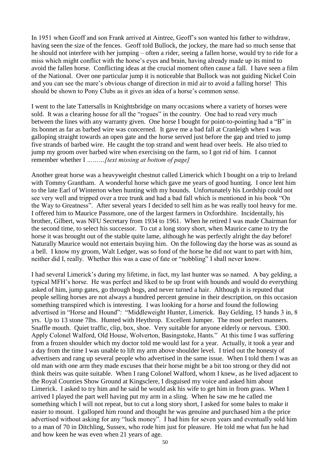In 1951 when Geoff and son Frank arrived at Aintree, Geoff's son wanted his father to withdraw, having seen the size of the fences. Geoff told Bullock, the jockey, the mare had so much sense that he should not interfere with her jumping – often a rider, seeing a fallen horse, would try to ride for a miss which might conflict with the horse's eyes and brain, having already made up its mind to avoid the fallen horse. Conflicting ideas at the crucial moment often cause a fall. I have seen a film of the National. Over one particular jump it is noticeable that Bullock was not guiding Nickel Coin and you can see the mare's obvious change of direction in mid air to avoid a falling horse! This should be shown to Pony Clubs as it gives an idea of a horse's common sense.

I went to the late Tattersalls in Knightsbridge on many occasions where a variety of horses were sold. It was a clearing house for all the "rogues" in the country. One had to read very much between the lines with any warranty given. One horse I bought for point-to-pointing had a "B" in its bonnet as far as barbed wire was concerned. It gave me a bad fall at Cranleigh when I was galloping straight towards an open gate and the horse served just before the gap and tried to jump five strands of barbed wire. He caught the top strand and went head over heels. He also tried to jump my groom over barbed wire when exercising on the farm, so I got rid of him. I cannot remember whether I *………[text missing at bottom of page]*

Another great horse was a heavyweight chestnut called Limerick which I bought on a trip to Ireland with Tommy Grantham. A wonderful horse which gave me years of good hunting. I once lent him to the late Earl of Winterton when hunting with my hounds. Unfortunately his Lordship could not see very well and tripped over a tree trunk and had a bad fall which is mentioned in his book "On the Way to Greatness". After several years I decided to sell him as he was really tool heavy for me. I offered him to Maurice Passmore, one of the largest farmers in Oxfordshire. Incidentally, his brother, Gilbert, was NFU Secretary from 1934 to 1961. When he retired I was made Chairman for the second time, to select his successor. To cut a long story short, when Maurice came to try the horse it was brought out of the stable quite lame, although he was perfectly alright the day before! Naturally Maurice would not entertain buying him. On the following day the horse was as sound as a bell. I know my groom, Walt Ledger, was so fond of the horse he did not want to part with him, neither did I, really. Whether this was a case of fate or "nobbling" I shall never know.

I had several Limerick's during my lifetime, in fact, my last hunter was so named. A bay gelding, a typical MFH's horse. He was perfect and liked to be up front with hounds and would do everything asked of him, jump gates, go through bogs, and never turned a hair. Although it is reputed that people selling horses are not always a hundred percent genuine in their description, on this occasion something transpired which is interesting. I was looking for a horse and found the following advertised in "Horse and Hound": "Middleweight Hunter, Limerick. Bay Gelding, 15 hands 3 in, 8 yrs. Up to 13 stone 7lbs. Hunted with Heythrop. Excellent Jumper. The most perfect manners. Snaffle mouth. Quiet traffic, clip, box, shoe. Very suitable for anyone elderly or nervous. £300. Apply Colonel Walford, Old House, Wolverton, Basingstoke, Hants." At this time I was suffering from a frozen shoulder which my doctor told me would last for a year. Actually, it took a year and a day from the time I was unable to lift my arm above shoulder level. I tried out the honesty of advertisers and rang up several people who advertised in the same issue. When I told them I was an old man with one arm they made excuses that their horse might be a bit too strong or they did not think theirs was quite suitable. When I rang Colonel Walford, whom I knew, as he lived adjacent to the Royal Counties Show Ground at Kingsclere, I disguised my voice and asked him about Limerick. I asked to try him and he said he would ask his wife to get him in from grass. When I arrived I played the part well having put my arm in a sling. When he saw me he called me something which I will not repeat, but to cut a long story short, I asked for some bales to make it easier to mount. I galloped him round and thought he was genuine and purchased him a the price advertised without asking for any "luck money". I had him for seven years and eventually sold him to a man of 70 in Ditchling, Sussex, who rode him just for pleasure. He told me what fun he had and how keen he was even when 21 years of age.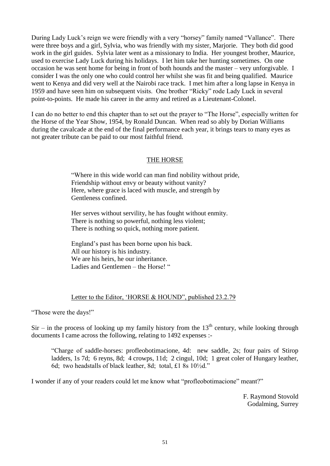During Lady Luck's reign we were friendly with a very "horsey" family named "Vallance". There were three boys and a girl, Sylvia, who was friendly with my sister, Marjorie. They both did good work in the girl guides. Sylvia later went as a missionary to India. Her youngest brother, Maurice, used to exercise Lady Luck during his holidays. I let him take her hunting sometimes. On one occasion he was sent home for being in front of both hounds and the master – very unforgivable. I consider I was the only one who could control her whilst she was fit and being qualified. Maurice went to Kenya and did very well at the Nairobi race track. I met him after a long lapse in Kenya in 1959 and have seen him on subsequent visits. One brother "Ricky" rode Lady Luck in several point-to-points. He made his career in the army and retired as a Lieutenant-Colonel.

I can do no better to end this chapter than to set out the prayer to "The Horse", especially written for the Horse of the Year Show, 1954, by Ronald Duncan. When read so ably by Dorian Williams during the cavalcade at the end of the final performance each year, it brings tears to many eyes as not greater tribute can be paid to our most faithful friend.

# THE HORSE

"Where in this wide world can man find nobility without pride, Friendship without envy or beauty without vanity? Here, where grace is laced with muscle, and strength by Gentleness confined.

Her serves without servility, he has fought without enmity. There is nothing so powerful, nothing less violent; There is nothing so quick, nothing more patient.

England's past has been borne upon his back. All our history is his industry. We are his heirs, he our inheritance. Ladies and Gentlemen – the Horse! "

# Letter to the Editor, 'HORSE & HOUND", published 23.2.79

"Those were the days!"

 $Sir$  – in the process of looking up my family history from the  $13<sup>th</sup>$  century, while looking through documents I came across the following, relating to 1492 expenses :-

"Charge of saddle-horses: profleobotimacione, 4d: new saddle, 2s; four pairs of Stirop ladders, 1s 7d; 6 reyns, 8d; 4 crowps, 11d; 2 cingul, 10d; 1 great coler of Hungary leather, 6d; two headstalls of black leather, 8d; total, £1 8s 10½d."

I wonder if any of your readers could let me know what "profleobotimacione" meant?"

F. Raymond Stovold Godalming, Surrey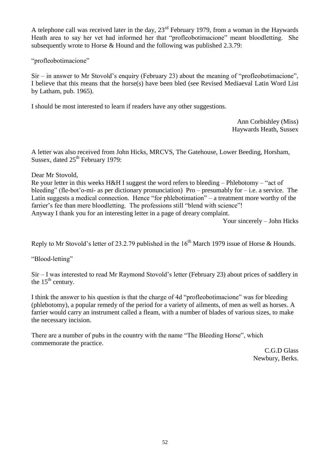A telephone call was received later in the day,  $23<sup>rd</sup>$  February 1979, from a woman in the Haywards Heath area to say her vet had informed her that "profleobotimacione" meant bloodletting. She subsequently wrote to Horse & Hound and the following was published 2.3.79:

"profleobotimacione"

Sir – in answer to Mr Stovold's enquiry (February 23) about the meaning of "profleobotimacione", I believe that this means that the horse(s) have been bled (see Revised Mediaeval Latin Word List by Latham, pub. 1965).

I should be most interested to learn if readers have any other suggestions.

Ann Corbishley (Miss) Haywards Heath, Sussex

A letter was also received from John Hicks, MRCVS, The Gatehouse, Lower Beeding, Horsham, Sussex, dated  $25<sup>th</sup>$  February 1979:

Dear Mr Stovold,

Re your letter in this weeks H&H I suggest the word refers to bleeding – Phlebotomy – "act of bleeding" (fle-bot'o-mi- as per dictionary pronunciation) Pro – presumably for – i.e. a service. The Latin suggests a medical connection. Hence "for phlebotimation" – a treatment more worthy of the farrier's fee than mere bloodletting. The professions still "blend with science"! Anyway I thank you for an interesting letter in a page of dreary complaint.

Your sincerely – John Hicks

Reply to Mr Stovold's letter of 23.2.79 published in the  $16<sup>th</sup>$  March 1979 issue of Horse & Hounds.

"Blood-letting"

Sir – I was interested to read Mr Raymond Stovold's letter (February 23) about prices of saddlery in the  $15<sup>th</sup>$  century.

I think the answer to his question is that the charge of 4d "profleobotimacione" was for bleeding (phlebotomy), a popular remedy of the period for a variety of ailments, of men as well as horses. A farrier would carry an instrument called a fleam, with a number of blades of various sizes, to make the necessary incision.

There are a number of pubs in the country with the name "The Bleeding Horse", which commemorate the practice.

C.G.D Glass Newbury, Berks.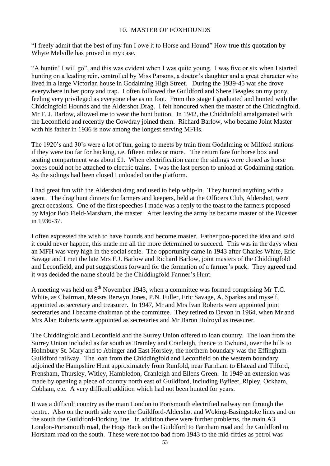## 10. MASTER OF FOXHOUNDS

"I freely admit that the best of my fun I owe it to Horse and Hound" How true this quotation by Whyte Melville has proved in my case.

"A huntin' I will go", and this was evident when I was quite young. I was five or six when I started hunting on a leading rein, controlled by Miss Parsons, a doctor's daughter and a great character who lived in a large Victorian house in Godalming High Street. During the 1939-45 war she drove everywhere in her pony and trap. I often followed the Guildford and Shere Beagles on my pony, feeling very privileged as everyone else as on foot. From this stage I graduated and hunted with the Chiddingfold Hounds and the Aldershot Drag. I felt honoured when the master of the Chiddingfold, Mr F. J. Barlow, allowed me to wear the hunt button. In 1942, the Chiddinfold amalgamated with the Leconfield and recently the Cowdray joined them. Richard Barlow, who became Joint Master with his father in 1936 is now among the longest serving MFHs.

The 1920's and 30's were a lot of fun, going to meets by train from Godalming or Milford stations if they were too far for hacking, i.e. fifteen miles or more. The return fare for horse box and seating compartment was about £1. When electrification came the sidings were closed as horse boxes could not be attached to electric trains. I was the last person to unload at Godalming station. As the sidings had been closed I unloaded on the platform.

I had great fun with the Aldershot drag and used to help whip-in. They hunted anything with a scent! The drag hunt dinners for farmers and keepers, held at the Officers Club, Aldershot, were great occasions. One of the first speeches I made was a reply to the toast to the farmers proposed by Major Bob Field-Marsham, the master. After leaving the army he became master of the Bicester in 1936-37.

I often expressed the wish to have hounds and become master. Father poo-pooed the idea and said it could never happen, this made me all the more determined to succeed. This was in the days when an MFH was very high in the social scale. The opportunity came in 1943 after Charles White, Eric Savage and I met the late Mrs F.J. Barlow and Richard Barlow, joint masters of the Chiddingfold and Leconfield, and put suggestions forward for the formation of a farmer's pack. They agreed and it was decided the name should be the Chiddingfold Farmer's Hunt.

A meeting was held on  $8<sup>th</sup>$  November 1943, when a committee was formed comprising Mr T.C. White, as Chairman, Messrs Berwyn Jones, P.N. Fuller, Eric Savage, A. Sparkes and myself, appointed as secretary and treasurer. In 1947, Mr and Mrs Ivan Roberts were appointed joint secretaries and I became chairman of the committee. They retired to Devon in 1964, when Mr and Mrs Alan Roberts were appointed as secretaries and Mr Baron Holroyd as treasurer.

The Chiddingfold and Leconfield and the Surrey Union offered to loan country. The loan from the Surrey Union included as far south as Bramley and Cranleigh, thence to Ewhurst, over the hills to Holmbury St. Mary and to Abinger and East Horsley, the northern boundary was the Effingham-Guildford railway. The loan from the Chiddingfold and Leconfield on the western boundary adjoined the Hampshire Hunt approximately from Runfold, near Farnham to Elstead and Tilford, Frensham, Thursley, Witley, Hambledon, Cranleigh and Ellens Green. In 1949 an extension was made by opening a piece of country north east of Guildford, including Byfleet, Ripley, Ockham, Cobham, etc. A very difficult addition which had not been hunted for years.

It was a difficult country as the main London to Portsmouth electrified railway ran through the centre. Also on the north side were the Guildford-Aldershot and Woking-Basingstoke lines and on the south the Guildford-Dorking line. In addition there were further problems, the main A3 London-Portsmouth road, the Hogs Back on the Guildford to Farnham road and the Guildford to Horsham road on the south. These were not too bad from 1943 to the mid-fifties as petrol was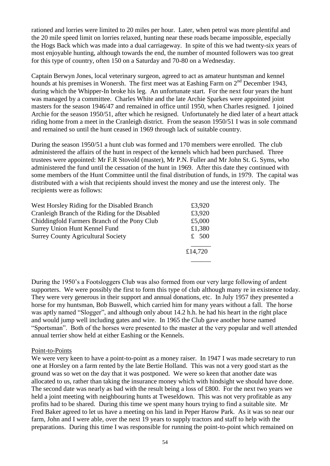rationed and lorries were limited to 20 miles per hour. Later, when petrol was more plentiful and the 20 mile speed limit on lorries relaxed, hunting near these roads became impossible, especially the Hogs Back which was made into a dual carriageway. In spite of this we had twenty-six years of most enjoyable hunting, although towards the end, the number of mounted followers was too great for this type of country, often 150 on a Saturday and 70-80 on a Wednesday.

Captain Berwyn Jones, local veterinary surgeon, agreed to act as amateur huntsman and kennel hounds at his premises in Wonersh. The first meet was at Eashing Farm on 2<sup>nd</sup> December 1943, during which the Whipper-In broke his leg. An unfortunate start. For the next four years the hunt was managed by a committee. Charles White and the late Archie Sparkes were appointed joint masters for the season 1946/47 and remained in office until 1950, when Charles resigned. I joined Archie for the season 1950/51, after which he resigned. Unfortunately he died later of a heart attack riding home from a meet in the Cranleigh district. From the season 1950/51 I was in sole command and remained so until the hunt ceased in 1969 through lack of suitable country.

During the season 1950/51 a hunt club was formed and 170 members were enrolled. The club administered the affairs of the hunt in respect of the kennels which had been purchased. Three trustees were appointed: Mr F.R Stovold (master), Mr P.N. Fuller and Mr John St. G. Syms, who administered the fund until the cessation of the hunt in 1969. After this date they continued with some members of the Hunt Committee until the final distribution of funds, in 1979. The capital was distributed with a wish that recipients should invest the money and use the interest only. The recipients were as follows:

| West Horsley Riding for the Disabled Branch     | £3,920  |
|-------------------------------------------------|---------|
| Cranleigh Branch of the Riding for the Disabled | £3,920  |
| Chiddingfold Farmers Branch of the Pony Club    | £5,000  |
| Surrey Union Hunt Kennel Fund                   | £1,380  |
| <b>Surrey County Agricultural Society</b>       | $£$ 500 |
|                                                 | £14,720 |
|                                                 |         |

During the 1950's a Footsloggers Club was also formed from our very large following of ardent supporters. We were possibly the first to form this type of club although many re in existence today. They were very generous in their support and annual donations, etc. In July 1957 they presented a horse for my huntsman, Bob Buswell, which carried him for many years without a fall. The horse was aptly named "Slogger", and although only about 14.2 h.h. he had his heart in the right place and would jump well including gates and wire. In 1965 the Club gave another horse named "Sportsman". Both of the horses were presented to the master at the very popular and well attended annual terrier show held at either Eashing or the Kennels.

## Point-to-Points

We were very keen to have a point-to-point as a money raiser. In 1947 I was made secretary to run one at Horsley on a farm rented by the late Bertie Holland. This was not a very good start as the ground was so wet on the day that it was postponed. We were so keen that another date was allocated to us, rather than taking the insurance money which with hindsight we should have done. The second date was nearly as bad with the result being a loss of £800. For the next two years we held a joint meeting with neighbouring hunts at Tweseldown. This was not very profitable as any profits had to be shared. During this time we spent many hours trying to find a suitable site. Mr Fred Baker agreed to let us have a meeting on his land in Peper Harow Park. As it was so near our farm, John and I were able, over the next 19 years to supply tractors and staff to help with the preparations. During this time I was responsible for running the point-to-point which remained on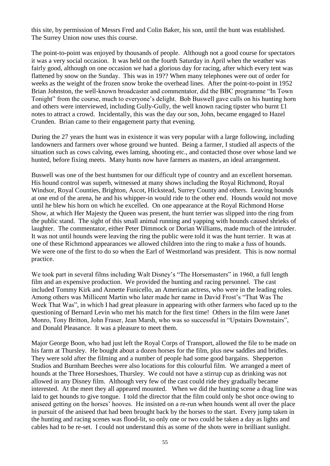this site, by permission of Messrs Fred and Colin Baker, his son, until the hunt was established. The Surrey Union now uses this course.

The point-to-point was enjoyed by thousands of people. Although not a good course for spectators it was a very social occasion. It was held on the fourth Saturday in April when the weather was fairly good, although on one occasion we had a glorious day for racing, after which every tent was flattened by snow on the Sunday. This was in 19?? When many telephones were out of order for weeks as the weight of the frozen snow broke the overhead lines. After the point-to-point in 1952 Brian Johnston, the well-known broadcaster and commentator, did the BBC programme "In Town Tonight" from the course, much to everyone's delight. Bob Buswell gave calls on his hunting horn and others were interviewed, including Gully-Gully, the well known racing tipster who burnt  $\pounds 1$ notes to attract a crowd. Incidentally, this was the day our son, John, became engaged to Hazel Crunden. Brian came to their engagement party that evening.

During the 27 years the hunt was in existence it was very popular with a large following, including landowners and farmers over whose ground we hunted. Being a farmer, I studied all aspects of the situation such as cows calving, ewes laming, shooting etc., and contacted those over whose land we hunted, before fixing meets. Many hunts now have farmers as masters, an ideal arrangement.

Buswell was one of the best huntsmen for our difficult type of country and an excellent horseman. His hound control was superb, witnessed at many shows including the Royal Richmond, Royal Windsor, Royal Counties, Brighton, Ascot, Hickstead, Surrey County and others. Leaving hounds at one end of the arena, he and his whipper-in would ride to the other end. Hounds would not move until he blew his horn on which he excelled. On one appearance at the Royal Richmond Horse Show, at which Her Majesty the Queen was present, the hunt terrier was slipped into the ring from the public stand. The sight of this small animal running and yapping with hounds caused shrieks of laughter. The commentator, either Peter Dimmock or Dorian Williams, made much of the intruder. It was not until hounds were leaving the ring the public were told it was the hunt terrier. It was at one of these Richmond appearances we allowed children into the ring to make a fuss of hounds. We were one of the first to do so when the Earl of Westmorland was president. This is now normal practice.

We took part in several films including Walt Disney's "The Horsemasters" in 1960, a full length film and an expensive production. We provided the hunting and racing personnel. The cast included Tommy Kirk and Annette Funicello, an American actress, who were in the leading roles. Among others was Millicent Martin who later made her name in David Frost's "That Was The Week That Was", in which I had great pleasure in appearing with other farmers who faced up to the questioning of Bernard Levin who met his match for the first time! Others in the film were Janet Monro, Tony Britton, John Fraser, Jean Marsh, who was so successful in "Upstairs Downstairs", and Donald Pleasance. It was a pleasure to meet them.

Major George Boon, who had just left the Royal Corps of Transport, allowed the file to be made on his farm at Thursley. He bought about a dozen horses for the film, plus new saddles and bridles. They were sold after the filming and a number of people had some good bargains. Shepperton Studios and Burnham Beeches were also locations for this colourful film. We arranged a meet of hounds at the Three Horseshoes, Thursley. We could not have a stirrup cup as drinking was not allowed in any Disney film. Although very few of the cast could ride they gradually became interested. At the meet they all appeared mounted. When we did the hunting scene a drag line was laid to get hounds to give tongue. I told the director that the film could only be shot once owing to aniseed getting on the horses' hooves. He insisted on a re-run when hounds went all over the place in pursuit of the aniseed that had been brought back by the horses to the start. Every jump taken in the hunting and racing scenes was flood-lit, so only one or two could be taken a day as lights and cables had to be re-set. I could not understand this as some of the shots were in brilliant sunlight.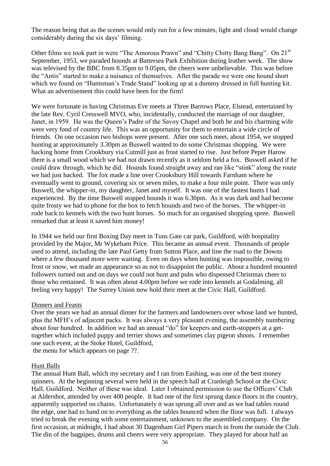The reason being that as the scenes would only run for a few minutes, light and cloud would change considerably during the six days' filming.

Other films we took part in were "The Amorous Prawn" and "Chitty Chitty Bang Bang". On 21<sup>st</sup> September, 1953, we paraded hounds at Battersea Park Exhibition during leather week. The show was televised by the BBC from 8.35pm to 9.05pm, the cheers were unbelievable. This was before the "Antis" started to make a nuisance of themselves. After the parade we were one hound short which we found on "Huntsman's Trade Stand" looking up at a dummy dressed in full hunting kit. What an advertisement this could have been for the firm!

We were fortunate in having Christmas Eve meets at Three Barrows Place, Elstead, entertained by the late Rev. Cyril Cresswell MVO, who, incidentally, conducted the marriage of our daughter, Janet, in 1959. He was the Queen's Padre of the Savoy Chapel and both he and his charming wife were very fond of country life. This was an opportunity for them to entertain a wide circle of friends. On one occasion two bishops were present. After one such meet, about 1954, we stopped hunting at approximately 3.30pm as Buswell wanted to do some Christmas shopping. We were hacking home from Crookbury via Cutmill just as frost started to rise. Just before Peper Harow there is a small wood which we had not drawn recently as it seldom held a fox. Buswell asked if he could draw through, which he did. Hounds found straight away and ran like "stink" along the route we had just hacked. The fox made a line over Crooksbury Hill towards Farnham where he eventually went to ground, covering six or seven miles, to make a four mile point. There was only Buswell, the whipper-in, my daughter, Janet and myself. It was one of the fastest hunts I had experienced. By the time Buswell stopped hounds it was 6.30pm. As it was dark and had become quite frosty we had to phone for the box to fetch hounds and two of the horses. The whipper-in rode back to kennels with the two hunt horses. So much for an organised shopping spree. Buswell remarked that at least it saved him money!

In 1944 we held our first Boxing Day meet in Tuns Gate car park, Guildford, with hospitality provided by the Major, Mr Wykeham Price. This became an annual event. Thousands of people used to attend, including the late Paul Getty from Sutton Place, and line the road to the Downs where a few thousand more were waiting. Even on days when hunting was impossible, owing to frost or snow, we made an appearance so as not to disappoint the public. About a hundred mounted followers turned out and on days we could not hunt and pubs who dispensed Christmas cheer to those who remained. It was often about 4.00pm before we rode into kennels at Godalming, all feeling very happy! The Surrey Union now hold their meet at the Civic Hall, Guildford.

#### Dinners and Feasts

Over the years we had an annual dinner for the farmers and landowners over whose land we hunted, plus the MFH's of adjacent packs. It was always a very pleasant evening, the assembly numbering about four hundred. In addition we had an annual "do" for keepers and earth-stoppers at a gettogether which included puppy and terrier shows and sometimes clay pigeon shoots. I remember one such event, at the Stoke Hotel, Guildford,

the menu for which appears on page ??.

#### Hunt Balls

The annual Hunt Ball, which my secretary and I ran from Eashing, was one of the best money spinners. At the beginning several were held in the speech hall at Cranleigh School or the Civic Hall, Guildford. Neither of these was ideal. Later I obtained permission to use the Officers' Club at Aldershot, attended by over 400 people. It had one of the first sprung dance floors in the country, apparently supported on chains. Unfortunately it was sprung all over and as we had tables round the edge, one had to hand on to everything as the tables bounced when the floor was full. I always tried to break the evening with some entertainment, unknown to the assembled company. On the first occasion, at midnight, I had about 30 Dagenham Girl Pipers march in from the outside the Club. The din of the bagpipes, drums and cheers were very appropriate. They played for about half an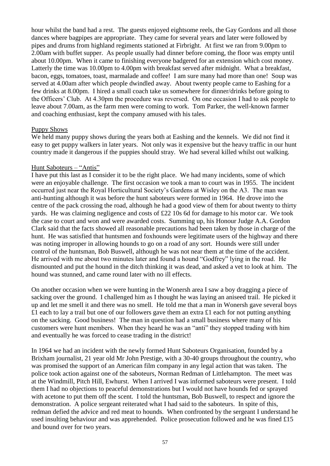hour whilst the band had a rest. The guests enjoyed eightsome reels, the Gay Gordons and all those dances where bagpipes are appropriate. They came for several years and later were followed by pipes and drums from highland regiments stationed at Firbright. At first we ran from 9.00pm to 2.00am with buffet supper. As people usually had dinner before coming, the floor was empty until about 10.00pm. When it came to finishing everyone badgered for an extension which cost money. Latterly the time was 10.00pm to 4.00pm with breakfast served after midnight. What a breakfast, bacon, eggs, tomatoes, toast, marmalade and coffee! I am sure many had more than one! Soup was served at 4.00am after which people dwindled away. About twenty people came to Eashing for a few drinks at 8.00pm. I hired a small coach take us somewhere for dinner/drinks before going to the Officers' Club. At 4.30pm the procedure was reversed. On one occasion I had to ask people to leave about 7.00am, as the farm men were coming to work. Tom Parker, the well-known farmer and coaching enthusiast, kept the company amused with his tales.

## Puppy Shows

We held many puppy shows during the years both at Eashing and the kennels. We did not find it easy to get puppy walkers in later years. Not only was it expensive but the heavy traffic in our hunt country made it dangerous if the puppies should stray. We had several killed whilst out walking.

# Hunt Saboteurs – "Antis"

I have put this last as I consider it to be the right place. We had many incidents, some of which were an enjoyable challenge. The first occasion we took a man to court was in 1955. The incident occurred just near the Royal Horticultural Society's Gardens at Wisley on the A3. The man was anti-hunting although it was before the hunt saboteurs were formed in 1964. He drove into the centre of the pack crossing the road, although he had a good view of them for about twenty to thirty yards. He was claiming negligence and costs of £22 10s 6d for damage to his motor car. We took the case to court and won and were awarded costs. Summing up, his Honour Judge A.A. Gordon Clark said that the facts showed all reasonable precautions had been taken by those in charge of the hunt. He was satisfied that huntsmen and foxhounds were legitimate users of the highway and there was noting improper in allowing hounds to go on a road of any sort. Hounds were still under control of the huntsman, Bob Buswell, although he was not near them at the time of the accident. He arrived with me about two minutes later and found a hound "Godfrey" lying in the road. He dismounted and put the hound in the ditch thinking it was dead, and asked a vet to look at him. The hound was stunned, and came round later with no ill effects.

On another occasion when we were hunting in the Wonersh area I saw a boy dragging a piece of sacking over the ground. I challenged him as I thought he was laying an aniseed trail. He picked it up and let me smell it and there was no smell. He told me that a man in Wonersh gave several boys £1 each to lay a trail but one of our followers gave them an extra £1 each for not putting anything on the sacking. Good business! The man in question had a small business where many of his customers were hunt members. When they heard he was an "anti" they stopped trading with him and eventually he was forced to cease trading in the district!

In 1964 we had an incident with the newly formed Hunt Saboteurs Organisation, founded by a Brixham journalist, 21 year old Mr John Prestige, with a 30-40 groups throughout the country, who was promised the support of an American film company in any legal action that was taken. The police took action against one of the saboteurs, Norman Redman of Littlehampton. The meet was at the Windmill, Pitch Hill, Ewhurst. When I arrived I was informed saboteurs were present. I told them I had no objections to peaceful demonstrations but I would not have hounds fed or sprayed with acetone to put them off the scent. I told the huntsman, Bob Buswell, to respect and ignore the demonstration. A police sergeant reiterated what I had said to the saboteurs. In spite of this, redman defied the advice and red meat to hounds. When confronted by the sergeant I understand he used insulting behaviour and was apprehended. Police prosecution followed and he was fined £15 and bound over for two years.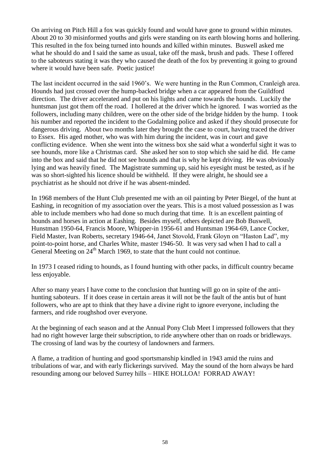On arriving on Pitch Hill a fox was quickly found and would have gone to ground within minutes. About 20 to 30 misinformed youths and girls were standing on its earth blowing horns and hollering. This resulted in the fox being turned into hounds and killed within minutes. Buswell asked me what he should do and I said the same as usual, take off the mask, brush and pads. These I offered to the saboteurs stating it was they who caused the death of the fox by preventing it going to ground where it would have been safe. Poetic justice!

The last incident occurred in the said 1960's. We were hunting in the Run Common, Cranleigh area. Hounds had just crossed over the hump-backed bridge when a car appeared from the Guildford direction. The driver accelerated and put on his lights and came towards the hounds. Luckily the huntsman just got them off the road. I hollered at the driver which he ignored. I was worried as the followers, including many children, were on the other side of the bridge hidden by the hump. I took his number and reported the incident to the Godalming police and asked if they should prosecute for dangerous driving. About two months later they brought the case to court, having traced the driver to Essex. His aged mother, who was with him during the incident, was in court and gave conflicting evidence. When she went into the witness box she said what a wonderful sight it was to see hounds, more like a Christmas card. She asked her son to stop which she said he did. He came into the box and said that he did not see hounds and that is why he kept driving. He was obviously lying and was heavily fined. The Magistrate summing up, said his eyesight must be tested, as if he was so short-sighted his licence should be withheld. If they were alright, he should see a psychiatrist as he should not drive if he was absent-minded.

In 1968 members of the Hunt Club presented me with an oil painting by Peter Biegel, of the hunt at Eashing, in recognition of my association over the years. This is a most valued possession as I was able to include members who had done so much during that time. It is an excellent painting of hounds and horses in action at Eashing. Besides myself, others depicted are Bob Buswell, Hunstman 1950-64, Francis Moore, Whipper-in 1956-61 and Huntsman 1964-69, Lance Cocker, Field Master, Ivan Roberts, secretary 1946-64, Janet Stovold, Frank Gloyn on "Haston Lad", my point-to-point horse, and Charles White, master 1946-50. It was very sad when I had to call a General Meeting on 24<sup>th</sup> March 1969, to state that the hunt could not continue.

In 1973 I ceased riding to hounds, as I found hunting with other packs, in difficult country became less enjoyable.

After so many years I have come to the conclusion that hunting will go on in spite of the antihunting saboteurs. If it does cease in certain areas it will not be the fault of the antis but of hunt followers, who are apt to think that they have a divine right to ignore everyone, including the farmers, and ride roughshod over everyone.

At the beginning of each season and at the Annual Pony Club Meet I impressed followers that they had no right however large their subscription, to ride anywhere other than on roads or bridleways. The crossing of land was by the courtesy of landowners and farmers.

A flame, a tradition of hunting and good sportsmanship kindled in 1943 amid the ruins and tribulations of war, and with early flickerings survived. May the sound of the horn always be hard resounding among our beloved Surrey hills – HIKE HOLLOA! FORRAD AWAY!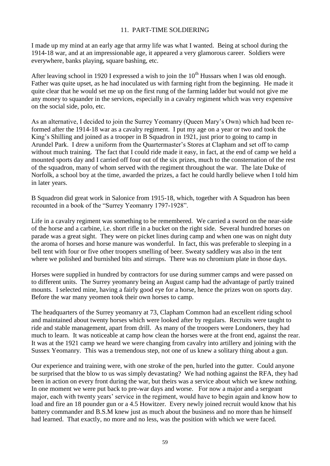## 11. PART-TIME SOLDIERING

I made up my mind at an early age that army life was what I wanted. Being at school during the 1914-18 war, and at an impressionable age, it appeared a very glamorous career. Soldiers were everywhere, banks playing, square bashing, etc.

After leaving school in 1920 I expressed a wish to join the  $10^{th}$  Hussars when I was old enough. Father was quite upset, as he had inoculated us with farming right from the beginning. He made it quite clear that he would set me up on the first rung of the farming ladder but would not give me any money to squander in the services, especially in a cavalry regiment which was very expensive on the social side, polo, etc.

As an alternative, I decided to join the Surrey Yeomanry (Queen Mary's Own) which had been reformed after the 1914-18 war as a cavalry regiment. I put my age on a year or two and took the King's Shilling and joined as a trooper in B Squadron in 1921, just prior to going to camp in Arundel Park. I drew a uniform from the Quartermaster's Stores at Clapham and set off to camp without much training. The fact that I could ride made it easy, in fact, at the end of camp we held a mounted sports day and I carried off four out of the six prizes, much to the consternation of the rest of the squadron, many of whom served with the regiment throughout the war. The late Duke of Norfolk, a school boy at the time, awarded the prizes, a fact he could hardly believe when I told him in later years.

B Squadron did great work in Salonice from 1915-18, which, together with A Squadron has been recounted in a book of the "Surrey Yeomanry 1797-1928".

Life in a cavalry regiment was something to be remembered. We carried a sword on the near-side of the horse and a carbine, i.e. short rifle in a bucket on the right side. Several hundred horses on parade was a great sight. They were on picket lines during camp and when one was on night duty the aroma of horses and horse manure was wonderful. In fact, this was preferable to sleeping in a bell tent with four or five other troopers smelling of beer. Sweaty saddlery was also in the tent where we polished and burnished bits and stirrups. There was no chromium plate in those days.

Horses were supplied in hundred by contractors for use during summer camps and were passed on to different units. The Surrey yeomanry being an August camp had the advantage of partly trained mounts. I selected mine, having a fairly good eye for a horse, hence the prizes won on sports day. Before the war many yeomen took their own horses to camp.

The headquarters of the Surrey yeomanry at 73, Clapham Common had an excellent riding school and maintained about twenty horses which were looked after by regulars. Recruits were taught to ride and stable management, apart from drill. As many of the troopers were Londoners, they had much to learn. It was noticeable at camp how clean the horses were at the front end, against the rear. It was at the 1921 camp we heard we were changing from cavalry into artillery and joining with the Sussex Yeomanry. This was a tremendous step, not one of us knew a solitary thing about a gun.

Our experience and training were, with one stroke of the pen, hurled into the gutter. Could anyone be surprised that the blow to us was simply devastating? We had nothing against the RFA, they had been in action on every front during the war, but theirs was a service about which we knew nothing. In one moment we were put back to pre-war days and worse. For now a major and a sergeant major, each with twenty years' service in the regiment, would have to begin again and know how to load and fire an 18 pounder gun or a 4.5 Howitzer. Every newly joined recruit would know that his battery commander and B.S.M knew just as much about the business and no more than he himself had learned. That exactly, no more and no less, was the position with which we were faced.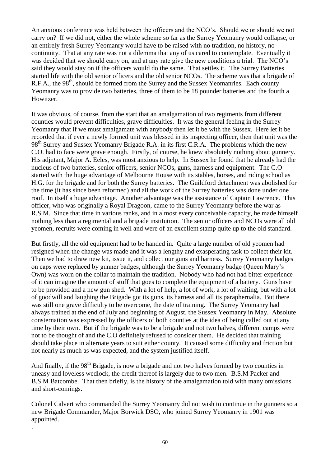An anxious conference was held between the officers and the NCO's. Should we or should we not carry on? If we did not, either the whole scheme so far as the Surrey Yeomanry would collapse, or an entirely fresh Surrey Yeomanry would have to be raised with no tradition, no history, no continuity. That at any rate was not a dilemma that any of us cared to contemplate. Eventually it was decided that we should carry on, and at any rate give the new conditions a trial. The NCO's said they would stay on if the officers would do the same. That settles it. The Surrey Batteries started life with the old senior officers and the old senior NCOs. The scheme was that a brigade of R.F.A., the 98<sup>th</sup>, should be formed from the Surrey and the Sussex Yeomanries. Each county Yeomanry was to provide two batteries, three of them to be 18 pounder batteries and the fourth a Howitzer.

It was obvious, of course, from the start that an amalgamation of two regiments from different counties would prevent difficulties, grave difficulties. It was the general feeling in the Surrey Yeomanry that if we must amalgamate with anybody then let it be with the Sussex. Here let it be recorded that if ever a newly formed unit was blessed in its inspecting officer, then that unit was the 98<sup>th</sup> Surrey and Sussex Yeomanry Brigade R.A. in its first C.R.A. The problems which the new C.O. had to face were grave enough. Firstly, of course, he knew absolutely nothing about gunnery. His adjutant, Major A. Eeles, was most anxious to help. In Sussex he found that he already had the nucleus of two batteries, senior officers, senior NCOs, guns, harness and equipment. The C.O. started with the huge advantage of Melbourne House with its stables, horses, and riding school as H.G. for the brigade and for both the Surrey batteries. The Guildford detachment was abolished for the time (it has since been reformed) and all the work of the Surrey batteries was done under one roof. In itself a huge advantage. Another advantage was the assistance of Captain Lawrence. This officer, who was originally a Royal Dragoon, came to the Surrey Yeomanry before the war as R.S.M. Since that time in various ranks, and in almost every conceivable capacity, he made himself nothing less than a regimental and a brigade institution. The senior officers and NCOs were all old yeomen, recruits were coming in well and were of an excellent stamp quite up to the old standard.

But firstly, all the old equipment had to be handed in. Quite a large number of old yeomen had resigned when the change was made and it was a lengthy and exasperating task to collect their kit. Then we had to draw new kit, issue it, and collect our guns and harness. Surrey Yeomanry badges on caps were replaced by gunner badges, although the Surrey Yeomanry badge (Queen Mary's Own) was worn on the collar to maintain the tradition. Nobody who had not had bitter experience of it can imagine the amount of stuff that goes to complete the equipment of a battery. Guns have to be provided and a new gun shed. With a lot of help, a lot of work, a lot of waiting, but with a lot of goodwill and laughing the Brigade got its guns, its harness and all its paraphernalia. But there was still one grave difficulty to be overcome, the date of training. The Surrey Yeomanry had always trained at the end of July and beginning of August, the Sussex Yeomanry in May. Absolute consternation was expressed by the officers of both counties at the idea of being called out at any time by their own. But if the brigade was to be a brigade and not two halves, different camps were not to be thought of and the C.O definitely refused to consider them. He decided that training should take place in alternate years to suit either county. It caused some difficulty and friction but not nearly as much as was expected, and the system justified itself.

And finally, if the  $98<sup>th</sup>$  Brigade, is now a brigade and not two halves formed by two counties in uneasy and loveless wedlock, the credit thereof is largely due to two men. B.S.M Packer and B.S.M Batcombe. That then briefly, is the history of the amalgamation told with many omissions and short-comings.

Colonel Calvert who commanded the Surrey Yeomanry did not wish to continue in the gunners so a new Brigade Commander, Major Borwick DSO, who joined Surrey Yeomanry in 1901 was appointed. .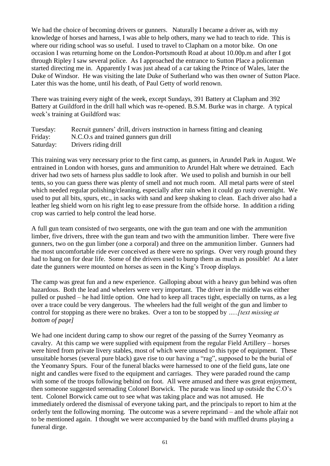We had the choice of becoming drivers or gunners. Naturally I became a driver as, with my knowledge of horses and harness, I was able to help others, many we had to teach to ride. This is where our riding school was so useful. I used to travel to Clapham on a motor bike. On one occasion I was returning home on the London-Portsmouth Road at about 10.00p.m and after I got through Ripley I saw several police. As I approached the entrance to Sutton Place a policeman started directing me in. Apparently I was just ahead of a car taking the Prince of Wales, later the Duke of Windsor. He was visiting the late Duke of Sutherland who was then owner of Sutton Place. Later this was the home, until his death, of Paul Getty of world renown.

There was training every night of the week, except Sundays, 391 Battery at Clapham and 392 Battery at Guildford in the drill hall which was re-opened. B.S.M. Burke was in charge. A typical week's training at Guildford was:

| Tuesday:  | Recruit gunners' drill, drivers instruction in harness fitting and cleaning |
|-----------|-----------------------------------------------------------------------------|
| Friday:   | N.C.O.s and trained gunners gun drill                                       |
| Saturday: | Drivers riding drill                                                        |

This training was very necessary prior to the first camp, as gunners, in Arundel Park in August. We entrained in London with horses, guns and ammunition to Arundel Halt where we detrained. Each driver had two sets of harness plus saddle to look after. We used to polish and burnish in our bell tents, so you can guess there was plenty of smell and not much room. All metal parts were of steel which needed regular polishing/cleaning, especially after rain when it could go rusty overnight. We used to put all bits, spurs, etc., in sacks with sand and keep shaking to clean. Each driver also had a leather leg shield worn on his right leg to ease pressure from the offside horse. In addition a riding crop was carried to help control the lead horse.

A full gun team consisted of two sergeants, one with the gun team and one with the ammunition limber, five drivers, three with the gun team and two with the ammunition limber. There were five gunners, two on the gun limber (one a corporal) and three on the ammunition limber. Gunners had the most uncomfortable ride ever conceived as there were no springs. Over very rough ground they had to hang on for dear life. Some of the drivers used to bump them as much as possible! At a later date the gunners were mounted on horses as seen in the King's Troop displays.

The camp was great fun and a new experience. Galloping about with a heavy gun behind was often hazardous. Both the lead and wheelers were very important. The driver in the middle was either pulled or pushed – he had little option. One had to keep all traces tight, especially on turns, as a leg over a trace could be very dangerous. The wheelers had the full weight of the gun and limber to control for stopping as there were no brakes. Over a ton to be stopped by *…..[text missing at bottom of page]*

We had one incident during camp to show our regret of the passing of the Surrey Yeomanry as cavalry. At this camp we were supplied with equipment from the regular Field Artillery – horses were hired from private livery stables, most of which were unused to this type of equipment. These unsuitable horses (several pure black) gave rise to our having a "rag", supposed to be the burial of the Yeomanry Spurs. Four of the funeral blacks were harnessed to one of the field guns, late one night and candles were fixed to the equipment and carriages. They were paraded round the camp with some of the troops following behind on foot. All were amused and there was great enjoyment, then someone suggested serenading Colonel Borwick. The parade was lined up outside the C.O's tent. Colonel Borwick came out to see what was taking place and was not amused. He immediately ordered the dismissal of everyone taking part, and the principals to report to him at the orderly tent the following morning. The outcome was a severe reprimand – and the whole affair not to be mentioned again. I thought we were accompanied by the band with muffled drums playing a funeral dirge.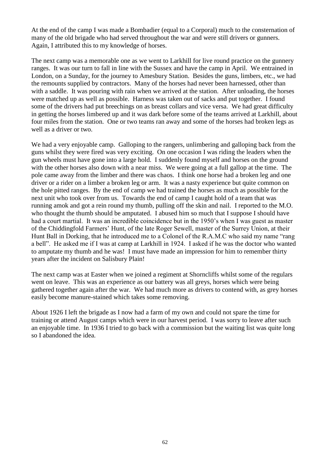At the end of the camp I was made a Bombadier (equal to a Corporal) much to the consternation of many of the old brigade who had served throughout the war and were still drivers or gunners. Again, I attributed this to my knowledge of horses.

The next camp was a memorable one as we went to Larkhill for live round practice on the gunnery ranges. It was our turn to fall in line with the Sussex and have the camp in April. We entrained in London, on a Sunday, for the journey to Amesbury Station. Besides the guns, limbers, etc., we had the remounts supplied by contractors. Many of the horses had never been harnessed, other than with a saddle. It was pouring with rain when we arrived at the station. After unloading, the horses were matched up as well as possible. Harness was taken out of sacks and put together. I found some of the drivers had put breechings on as breast collars and vice versa. We had great difficulty in getting the horses limbered up and it was dark before some of the teams arrived at Larkhill, about four miles from the station. One or two teams ran away and some of the horses had broken legs as well as a driver or two.

We had a very enjoyable camp. Galloping to the rangers, unlimbering and galloping back from the guns whilst they were fired was very exciting. On one occasion I was riding the leaders when the gun wheels must have gone into a large hold. I suddenly found myself and horses on the ground with the other horses also down with a near miss. We were going at a full gallop at the time. The pole came away from the limber and there was chaos. I think one horse had a broken leg and one driver or a rider on a limber a broken leg or arm. It was a nasty experience but quite common on the hole pitted ranges. By the end of camp we had trained the horses as much as possible for the next unit who took over from us. Towards the end of camp I caught hold of a team that was running amok and got a rein round my thumb, pulling off the skin and nail. I reported to the M.O. who thought the thumb should be amputated. I abused him so much that I suppose I should have had a court martial. It was an incredible coincidence but in the 1950's when I was guest as master of the Chiddingfold Farmers' Hunt, of the late Roger Sewell, master of the Surrey Union, at their Hunt Ball in Dorking, that he introduced me to a Colonel of the R.A.M.C who said my name "rang a bell". He asked me if I was at camp at Larkhill in 1924. I asked if he was the doctor who wanted to amputate my thumb and he was! I must have made an impression for him to remember thirty years after the incident on Salisbury Plain!

The next camp was at Easter when we joined a regiment at Shorncliffs whilst some of the regulars went on leave. This was an experience as our battery was all greys, horses which were being gathered together again after the war. We had much more as drivers to contend with, as grey horses easily become manure-stained which takes some removing.

About 1926 I left the brigade as I now had a farm of my own and could not spare the time for training or attend August camps which were in our harvest period. I was sorry to leave after such an enjoyable time. In 1936 I tried to go back with a commission but the waiting list was quite long so I abandoned the idea.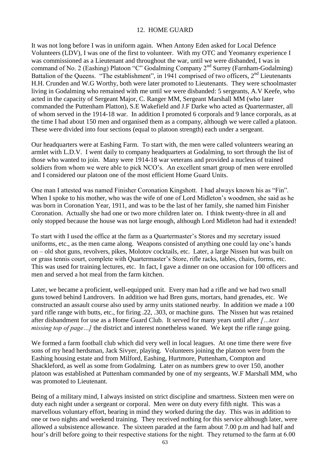## 12. HOME GUARD

It was not long before I was in uniform again. When Antony Eden asked for Local Defence Volunteers (LDV), I was one of the first to volunteer. With my OTC and Yeomanry experience I was commissioned as a Lieutenant and throughout the war, until we were disbanded, I was in command of No. 2 (Eashing) Platoon "C" Godalming Company 2<sup>nd</sup> Surrey (Farnham-Godalming) Battalion of the Queens. "The establishment", in 1941 comprised of two officers,  $2<sup>nd</sup>$  Lieutenants H.H. Crunden and W.G Worthy, both were later promoted to Lieutenants. They were schoolmaster living in Godalming who remained with me until we were disbanded: 5 sergeants, A.V Keefe, who acted in the capacity of Sergeant Major, C. Ranger MM, Sergeant Marshall MM (who later commanded the Puttenham Platton), S.E Wakefield and J.F Darke who acted as Quartermaster, all of whom served in the 1914-18 war. In addition I promoted 6 corporals and 9 lance corporals, as at the time I had about 150 men and organised them as a company, although we were called a platoon. These were divided into four sections (equal to platoon strength) each under a sergeant.

Our headquarters were at Eashing Farm. To start with, the men were called volunteers wearing an armlet with L.D.V. I went daily to company headquarters at Godalming, to sort through the list of those who wanted to join. Many were 1914-18 war veterans and provided a nucleus of trained soldiers from whom we were able to pick NCO's. An excellent smart group of men were enrolled and I considered our platoon one of the most efficient Home Guard Units.

One man I attested was named Finisher Coronation Kingshott. I had always known his as "Fin". When I spoke to his mother, who was the wife of one of Lord Midleton's woodmen, she said as he was born in Coronation Year, 1911, and was to be the last of her family, she named him Finisher Coronation. Actually she had one or two more children later on. I think twenty-three in all and only stopped because the house was not large enough, although Lord Midleton had had it extended!

To start with I used the office at the farm as a Quartermaster's Stores and my secretary issued uniforms, etc., as the men came along. Weapons consisted of anything one could lay one's hands on – old shot guns, revolvers, pikes, Molotov cocktails, etc. Later, a large Nissen hut was built on or grass tennis court, complete with Quartermaster's Store, rifle racks, tables, chairs, forms, etc. This was used for training lectures, etc. In fact, I gave a dinner on one occasion for 100 officers and men and served a hot meal from the farm kitchen.

Later, we became a proficient, well-equipped unit. Every man had a rifle and we had two small guns towed behind Landrovers. In addition we had Bren guns, mortars, hand grenades, etc. We constructed an assault course also used by army units stationed nearby. In addition we made a 100 yard rifle range with butts, etc., for firing .22, .303, or machine guns. The Nissen hut was retained after disbandment for use as a Home Guard Club. It served for many years until after *[…text missing top of page...]* the district and interest nonetheless waned. We kept the rifle range going.

We formed a farm football club which did very well in local leagues. At one time there were five sons of my head herdsman, Jack Sivyer, playing. Volunteers joining the platoon were from the Eashing housing estate and from Milford, Eashing, Hurtmore, Puttenham, Compton and Shackleford, as well as some from Godalming. Later on as numbers grew to over 150, another platoon was established at Puttenham commanded by one of my sergeants, W.F Marshall MM, who was promoted to Lieutenant.

Being of a military mind, I always insisted on strict discipline and smartness. Sixteen men were on duty each night under a sergeant or corporal. Men were on duty every fifth night. This was a marvellous voluntary effort, bearing in mind they worked during the day. This was in addition to one or two nights and weekend training. They received nothing for this service although later, were allowed a subsistence allowance. The sixteen paraded at the farm about 7.00 p.m and had half and hour's drill before going to their respective stations for the night. They returned to the farm at 6.00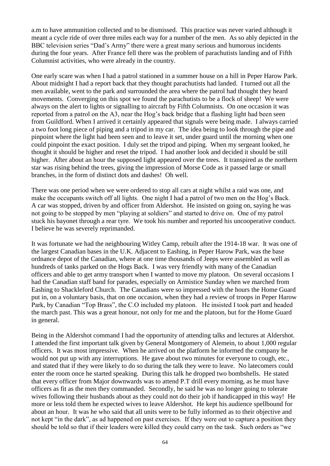a.m to have ammunition collected and to be dismissed. This practice was never varied although it meant a cycle ride of over three miles each way for a number of the men. As so ably depicted in the BBC television series "Dad's Army" there were a great many serious and humorous incidents during the four years. After France fell there was the problem of parachutists landing and of Fifth Columnist activities, who were already in the country.

One early scare was when I had a patrol stationed in a summer house on a hill in Peper Harow Park. About midnight I had a report back that they thought parachutists had landed. I turned out all the men available, went to the park and surrounded the area where the patrol had thought they heard movements. Converging on this spot we found the parachutists to be a flock of sheep! We were always on the alert to lights or signalling to aircraft by Fifth Columnists. On one occasion it was reported from a patrol on the A3, near the Hog's back bridge that a flashing light had been seen from Guildford. When I arrived it certainly appeared that signals were being made. I always carried a two foot long piece of piping and a tripod in my car. The idea being to look through the pipe and pinpoint where the light had been seen and to leave it set, under guard until the morning when one could pinpoint the exact position. I duly set the tripod and piping. When my sergeant looked, he thought it should be higher and reset the tripod. I had another look and decided it should be still higher. After about an hour the supposed light appeared over the trees. It transpired as the northern star was rising behind the trees, giving the impression of Morse Code as it passed large or small branches, in the form of distinct dots and dashes! Oh well.

There was one period when we were ordered to stop all cars at night whilst a raid was one, and make the occupants switch off all lights. One night I had a patrol of two men on the Hog's Back. A car was stopped, driven by and officer from Aldershot. He insisted on going on, saying he was not going to be stopped by men "playing at soldiers" and started to drive on. One of my patrol stuck his bayonet through a rear tyre. We took his number and reported his uncooperative conduct. I believe he was severely reprimanded.

It was fortunate we had the neighbouring Witley Camp, rebuilt after the 1914-18 war. It was one of the largest Canadian bases in the U.K. Adjacent to Eashing, in Peper Harow Park, was the base ordnance depot of the Canadian, where at one time thousands of Jeeps were assembled as well as hundreds of tanks parked on the Hogs Back. I was very friendly with many of the Canadian officers and able to get army transport when I wanted to move my platoon. On several occasions I had the Canadian staff band for parades, especially on Armistice Sunday when we marched from Eashing to Shackleford Church. The Canadians were so impressed with the hours the Home Guard put in, on a voluntary basis, that on one occasion, when they had a review of troops in Peper Harow Park, by Canadian "Top Brass", the C.O included my platoon. He insisted I took part and headed the march past. This was a great honour, not only for me and the platoon, but for the Home Guard in general.

Being in the Aldershot command I had the opportunity of attending talks and lectures at Aldershot. I attended the first important talk given by General Montgomery of Alemein, to about 1,000 regular officers. It was most impressive. When he arrived on the platform he informed the company he would not put up with any interruptions. He gave about two minutes for everyone to cough, etc., and stated that if they were likely to do so during the talk they were to leave. No latecomers could enter the room once he started speaking. During this talk he dropped two bombshells. He stated that every officer from Major downwards was to attend P.T drill every morning, as he must have officers as fit as the men they commanded. Secondly, he said he was no longer going to tolerate wives following their husbands about as they could not do their job if handicapped in this way! He more or less told them he expected wives to leave Aldershot. He kept his audience spellbound for about an hour. It was he who said that all units were to be fully informed as to their objective and not kept "in the dark", as ad happened on past exercises. If they were out to capture a position they should be told so that if their leaders were killed they could carry on the task. Such orders as "we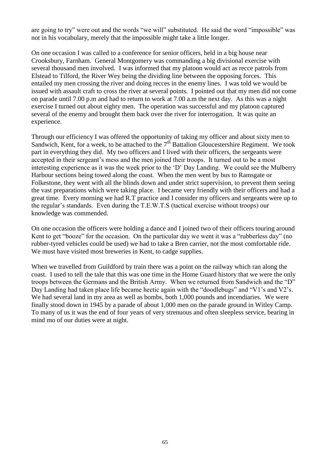are going to try" were out and the words "we will" substituted. He said the word "impossible" was not in his vocabulary, merely that the impossible might take a little longer.

On one occasion I was called to a conference for senior officers, held in a big house near Crooksbury, Farnham. General Montgomery was commanding a big divisional exercise with several thousand men involved. I was informed that my platoon would act as recce patrols from Elstead to Tilford, the River Wey being the dividing line between the opposing forces. This entailed my men crossing the river and doing recces in the enemy lines. I was told we would be issued with assault craft to cross the river at several points. I pointed out that my men did not come on parade until 7.00 p.m and had to return to work at 7.00 a.m the next day. As this was a night exercise I turned out about eighty men. The operation was successful and my platoon captured several of the enemy and brought them back over the river for interrogation. It was quite an experience.

Through our efficiency I was offered the opportunity of taking my officer and about sixty men to Sandwich, Kent, for a week, to be attached to the  $7<sup>th</sup>$  Battalion Gloucestershire Regiment. We took part in everything they did. My two officers and I lived with their officers, the sergeants were accepted in their sergeant's mess and the men joined their troops. It turned out to be a most interesting experience as it was the week prior to the 'D' Day Landing. We could see the Mulberry Harbour sections being towed along the coast. When the men went by bus to Ramsgate or Folkestone, they went with all the blinds down and under strict supervision, to prevent them seeing the vast preparations which were taking place. I became very friendly with their officers and had a great time. Every morning we had R.T practice and I consider my officers and sergeants were up to the regular's standards. Even during the T.E.W.T.S (tactical exercise without troops) our knowledge was commended.

On one occasion the officers were holding a dance and I joined two of their officers touring around Kent to get "booze" for the occasion. On the particular day we went it was a "rubberless day" (no rubber-tyred vehicles could be used) we had to take a Bren carrier, not the most comfortable ride. We must have visited most breweries in Kent, to cadge supplies.

When we travelled from Guildford by train there was a point on the railway which ran along the coast. I used to tell the tale that this was one time in the Home Guard history that we were the only troops between the Germans and the British Army. When we returned from Sandwich and the "D" Day Landing had taken place life became hectic again with the "doodlebugs" and "V1's and V2's. We had several land in my area as well as bombs, both 1,000 pounds and incendiaries. We were finally stood down in 1945 by a parade of about 1,000 men on the parade ground in Witley Camp. To many of us it was the end of four years of very strenuous and often sleepless service, bearing in mind mo of our duties were at night.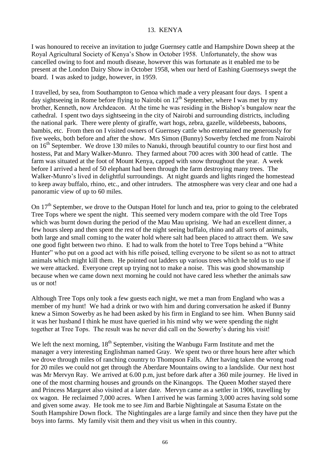## 13. KENYA

I was honoured to receive an invitation to judge Guernsey cattle and Hampshire Down sheep at the Royal Agricultural Society of Kenya's Show in October 1958. Unfortunately, the show was cancelled owing to foot and mouth disease, however this was fortunate as it enabled me to be present at the London Dairy Show in October 1958, when our herd of Eashing Guernseys swept the board. I was asked to judge, however, in 1959.

I travelled, by sea, from Southampton to Genoa which made a very pleasant four days. I spent a day sightseeing in Rome before flying to Nairobi on  $12<sup>th</sup>$  September, where I was met by my brother, Kenneth, now Archdeacon. At the time he was residing in the Bishop's bungalow near the cathedral. I spent two days sightseeing in the city of Nairobi and surrounding districts, including the national park. There were plenty of giraffe, wart hogs, zebra, gazelle, wildebeests, baboons, bambis, etc. From then on I visited owners of Guernsey cattle who entertained me generously for five weeks, both before and after the show. Mrs Simon (Bunny) Sowerby fetched me from Nairobi on 16<sup>th</sup> September. We drove 130 miles to Nanuki, through beautiful country to our first host and hostess, Pat and Mary Walker-Munro. They farmed about 700 acres with 300 head of cattle. The farm was situated at the foot of Mount Kenya, capped with snow throughout the year. A week before I arrived a herd of 50 elephant had been through the farm destroying many trees. The Walker-Munro's lived in delightful surroundings. At night guards and lights ringed the homestead to keep away buffalo, rhino, etc., and other intruders. The atmosphere was very clear and one had a panoramic view of up to 60 miles.

On 17<sup>th</sup> September, we drove to the Outspan Hotel for lunch and tea, prior to going to the celebrated Tree Tops where we spent the night. This seemed very modern compare with the old Tree Tops which was burnt down during the period of the Mau Mau uprising. We had an excellent dinner, a few hours sleep and then spent the rest of the night seeing buffalo, rhino and all sorts of animals, both large and small coming to the water hold where salt had been placed to attract them. We saw one good fight between two rhino. E had to walk from the hotel to Tree Tops behind a "White Hunter" who put on a good act with his rifle poised, telling everyone to be silent so as not to attract animals which might kill them. He pointed out ladders up various trees which he told us to use if we were attacked. Everyone crept up trying not to make a noise. This was good showmanship because when we came down next morning he could not have cared less whether the animals saw us or not!

Although Tree Tops only took a few guests each night, we met a man from England who was a member of my hunt! We had a drink or two with him and during conversation he asked if Bunny knew a Simon Sowerby as he had been asked by his firm in England to see him. When Bunny said it was her husband I think he must have queried in his mind why we were spending the night together at Tree Tops. The result was he never did call on the Sowerby's during his visit!

We left the next morning,  $18<sup>th</sup>$  September, visiting the Wanbugu Farm Institute and met the manager a very interesting Englishman named Gray. We spent two or three hours here after which we drove through miles of ranching country to Thompson Falls. After having taken the wrong road for 20 miles we could not get through the Aberdare Mountains owing to a landslide. Our next host was Mr Mervyn Ray. We arrived at 6.00 p.m, just before dark after a 360 mile journey. He lived in one of the most charming houses and grounds on the Kinangops. The Queen Mother stayed there and Princess Margaret also visited at a later date. Mervyn came as a settler in 1906, travelling by ox wagon. He reclaimed 7,000 acres. When I arrived he was farming 3,000 acres having sold some and given some away. He took me to see Jim and Barbie Nightingale at Sasuma Estate on the South Hampshire Down flock. The Nightingales are a large family and since then they have put the boys into farms. My family visit them and they visit us when in this country.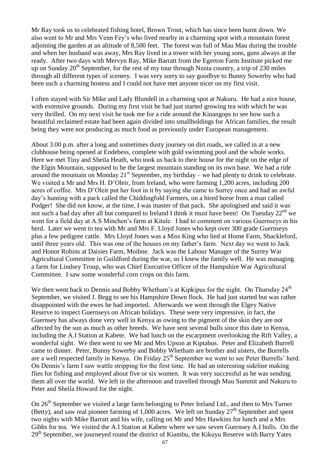Mr Ray took us to celebrated fishing hotel, Brown Trout, which has since been burnt down. We also went to Mr and Mrs Venn Fey's who lived nearby in a charming spot with a mountain forest adjoining the garden at an altitude of 8,500 feet. The forest was full of Mau Mau during the trouble and when her husband was away, Mrs Ray lived in a tower with her young sons, guns always at the ready. After two days with Mervyn Ray, Mike Barratt from the Egerton Farm Institute picked me up on Sunday  $20<sup>th</sup>$  September, for the rest of my tour through Nzoia country, a trip of 230 miles through all different types of scenery. I was very sorry to say goodbye to Bunny Sowerby who had been such a charming hostess and I could not have met anyone nicer on my first visit.

I often stayed with Sir Mike and Lady Blundell in a charming spot at Nakuru. He had a nice house, with extensive grounds. During my first visit he had just started growing tea with which he was very thrilled. On my next visit he took me for a ride around the Kinangops to see how such a beautiful reclaimed estate had been again divided into smallholdings for African families, the result being they were not producing as much food as previously under European management.

About 3.00 p.m. after a long and sometimes dusty journey on dirt roads, we called in at a new clubhouse being opened at Endebess, complete with gold swimming pool and the whole works. Here we met Tiny and Sheila Heath, who took us back to their house for the night on the edge of the Elgin Mountain, supposed to be the largest mountain standing on its own base. We had a ride around the mountain on Monday  $21^{st}$  September, my birthday – we had plenty to drink to celebrate. We visited a Mr and Mrs H. D'Oleir, from Ireland, who were farming 1,200 acres, including 200 acres of coffee. Mrs D'Oleir put her foot in it by saying she came to Surrey once and had an awful day's hunting with a pack called the Chiddingfold Farmers, on a hired horse from a man called Podger! She did not know, at the time, I was master of that pack. She apologised and said it was not such a bad day after all but compared to Ireland I think it must have been! On Tuesday  $22<sup>nd</sup>$  we went for a field day at A.S Minchen's farm at Kitale. I had to comment on various Guernseys in his herd. Later we went to tea with Mr and Mrs F. Lloyd Jones who kept over 300 grade Guernseys plus a few pedigree cattle. Mrs Lloyd Jones was a Miss King who lied at Home Farm, Shackleford, until three years old. This was one of the houses on my father's farm. Next day we went to Jack and Honor Robins at Daisies Farm, Moibne. Jack was the Labour Manager of the Surrey War Agricultural Committee in Guildford during the war, so I knew the family well. He was managing a farm for Lindsey Troup, who was Chief Executive Officer of the Hampshire War Agricultural Committee. I saw some wonderful corn crops on this farm.

We then went back to Dennis and Bobby Whetham's at Kipkipus for the night. On Thursday 24<sup>th</sup> September, we visited J. Begg to see his Hampshire Down flock. He had just started but was rather disappointed with the ewes he had imported. Afterwards we went through the Elgey Native Reserve to inspect Guernseys on African holidays. These were very impressive, in fact, the Guernsey has always done very well in Kenya as owing to the pigment of the skin they are not affected by the sun as much as other breeds. We have sent several bulls since this date to Kenya, including the A.I Station at Kabete. We had lunch on the escarpment overlooking the Rift Valley, a wonderful sight. We then went to see Mr and Mrs Upson at Kiptabus. Peter and Elizabeth Burrell came to dinner. Peter, Bunny Sowerby and Bobby Whetham are brother and sisters, the Burrells are a well respected family in Kenya. On Friday 25<sup>th</sup> September we went to see Peter Burrells' herd. On Dennis's farm I saw wattle stripping for the first time. He had an interesting sideline making flies for fishing and employed about five or six women. It was very successful as he was sending them all over the world. We left in the afternoon and travelled through Mau Summit and Nakuru to Peter and Sheila Howard for the night.

On 26<sup>th</sup> September we visited a large farm belonging to Peter Ireland Ltd., and then to Mrs Turner (Betty), and saw real pioneer farming of  $1,000$  acres. We left on Sunday  $27<sup>th</sup>$  September and spent two nights with Mike Barratt and his wife, calling on Mr and Mrs Hawkins for lunch and a Mrs Gibbs for tea. We visited the A.I Station at Kabete where we saw seven Guernsey A.I bulls. On the  $29<sup>th</sup>$  September, we journeyed round the district of Kiambu, the Kikuyu Reserve with Barry Yates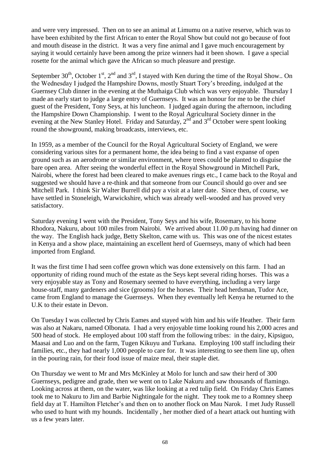and were very impressed. Then on to see an animal at Limumu on a native reserve, which was to have been exhibited by the first African to enter the Royal Show but could not go because of foot and mouth disease in the district. It was a very fine animal and I gave much encouragement by saying it would certainly have been among the prize winners had it been shown. I gave a special rosette for the animal which gave the African so much pleasure and prestige.

September  $30^{th}$ , October 1<sup>st</sup>, 2<sup>nd</sup> and 3<sup>rd</sup>, I stayed with Ken during the time of the Royal Show.. On the Wednesday I judged the Hampshire Downs, mostly Stuart Tory's breeding, indulged at the Guernsey Club dinner in the evening at the Muthaiga Club which was very enjoyable. Thursday I made an early start to judge a large entry of Guernseys. It was an honour for me to be the chief guest of the President, Tony Seys, at his luncheon. I judged again during the afternoon, including the Hampshire Down Championship. I went to the Royal Agricultural Society dinner in the evening at the New Stanley Hotel. Friday and Saturday,  $2<sup>nd</sup>$  and  $3<sup>rd</sup>$  October were spent looking round the showground, making broadcasts, interviews, etc.

In 1959, as a member of the Council for the Royal Agricultural Society of England, we were considering various sites for a permanent home, the idea being to find a vast expanse of open ground such as an aerodrome or similar environment, where trees could be planted to disguise the bare open area. After seeing the wonderful effect in the Royal Showground in Mitchell Park, Nairobi, where the forest had been cleared to make avenues rings etc., I came back to the Royal and suggested we should have a re-think and that someone from our Council should go over and see Mitchell Park. I think Sir Walter Burrell did pay a visit at a later date. Since then, of course, we have settled in Stoneleigh, Warwickshire, which was already well-wooded and has proved very satisfactory.

Saturday evening I went with the President, Tony Seys and his wife, Rosemary, to his home Rhodora, Nakuru, about 100 miles from Nairobi. We arrived about 11.00 p.m having had dinner on the way. The English hack judge, Betty Skelton, came with us. This was one of the nicest estates in Kenya and a show place, maintaining an excellent herd of Guernseys, many of which had been imported from England.

It was the first time I had seen coffee grown which was done extensively on this farm. I had an opportunity of riding round much of the estate as the Seys kept several riding horses. This was a very enjoyable stay as Tony and Rosemary seemed to have everything, including a very large house-staff, many gardeners and sice (grooms) for the horses. Their head herdsman, Tudor Ace, came from England to manage the Guernseys. When they eventually left Kenya he returned to the U.K to their estate in Devon.

On Tuesday I was collected by Chris Eames and stayed with him and his wife Heather. Their farm was also at Nakaru, named Olbonata. I had a very enjoyable time looking round his 2,000 acres and 500 head of stock. He employed about 100 staff from the following tribes: in the dairy, Kipsiguo, Maasai and Luo and on the farm, Tugen Kikuyu and Turkana. Employing 100 staff including their families, etc., they had nearly 1,000 people to care for. It was interesting to see them line up, often in the pouring rain, for their food issue of maize meal, their staple diet.

On Thursday we went to Mr and Mrs McKinley at Molo for lunch and saw their herd of 300 Guernseys, pedigree and grade, then we went on to Lake Nakuru and saw thousands of flamingo. Looking across at them, on the water, was like looking at a red tulip field. On Friday Chris Eames took me to Nakuru to Jim and Barbie Nightingale for the night. They took me to a Romney sheep field day at T. Hamilton Fletcher's and then on to another flock on Mau Narok. I met Judy Russell who used to hunt with my hounds. Incidentally , her mother died of a heart attack out hunting with us a few years later.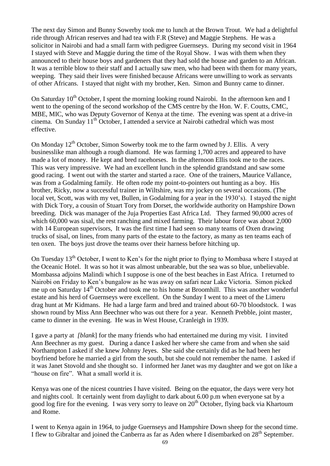The next day Simon and Bunny Sowerby took me to lunch at the Brown Trout. We had a delightful ride through African reserves and had tea with F.R (Steve) and Maggie Stephens. He was a solicitor in Nairobi and had a small farm with pedigree Guernseys. During my second visit in 1964 I stayed with Steve and Maggie during the time of the Royal Show. I was with them when they announced to their house boys and gardeners that they had sold the house and garden to an African. It was a terrible blow to their staff and I actually saw men, who had been with them for many years, weeping. They said their lives were finished because Africans were unwilling to work as servants of other Africans. I stayed that night with my brother, Ken. Simon and Bunny came to dinner.

On Saturday  $10^{th}$  October, I spent the morning looking round Nairobi. In the afternoon ken and I went to the opening of the second workshop of the CMS centre by the Hon. W. F. Coutts, CMC, MBE, MIC, who was Deputy Governor of Kenya at the time. The evening was spent at a drive-in cinema. On Sunday 11<sup>th</sup> October, I attended a service at Nairobi cathedral which was most effective.

On Monday  $12<sup>th</sup>$  October, Simon Sowerby took me to the farm owned by J. Ellis. A very businesslike man although a rough diamond. He was farming 1,700 acres and appeared to have made a lot of money. He kept and bred racehorses. In the afternoon Ellis took me to the races. This was very impressive. We had an excellent lunch in the splendid grandstand and saw some good racing. I went out with the starter and started a race. One of the trainers, Maurice Vallance, was from a Godalming family. He often rode my point-to-pointers out hunting as a boy. His brother, Ricky, now a successful trainer in Wiltshire, was my jockey on several occasions. (The local vet, Scott, was with my vet, Bullen, in Godalming for a year in the 1930's). I stayed the night with Dick Tory, a cousin of Stuart Tory from Dorset, the worldwide authority on Hampshire Down breeding. Dick was manager of the Juja Properties East Africa Ltd. They farmed 90,000 acres of which 60,000 was sisal, the rest ranching and mixed farming. Their labour force was about 2,000 with 14 European supervisors, It was the first time I had seen so many teams of Oxen drawing trucks of sisal, on lines, from many parts of the estate to the factory, as many as ten teams each of ten oxen. The boys just drove the teams over their harness before hitching up.

On Tuesday 13<sup>th</sup> October, I went to Ken's for the night prior to flying to Mombasa where I stayed at the Oceanic Hotel. It was so hot it was almost unbearable, but the sea was so blue, unbelievable. Mombassa adjoins Malindi which I suppose is one of the best beaches in East Africa. I returned to Nairobi on Friday to Ken's bungalow as he was away on safari near Lake Victoria. Simon picked me up on Saturday 14<sup>th</sup> October and took me to his home at Broomhill. This was another wonderful estate and his herd of Guernseys were excellent. On the Sunday I went to a meet of the Limeru drag hunt at Mr Kidmans. He had a large farm and bred and trained about 60-70 bloodstock. I was shown round by Miss Ann Beechner who was out there for a year. Kenneth Prebble, joint master, came to dinner in the evening. He was in West House, Cranleigh in 1939.

I gave a party at *[blank*] for the many friends who had entertained me during my visit. I invited Ann Beechner as my guest. During a dance I asked her where she came from and when she said Northampton I asked if she knew Johnny Jeyes. She said she certainly did as he had been her boyfriend before he married a girl from the south, but she could not remember the name. I asked if it was Janet Stovold and she thought so. I informed her Janet was my daughter and we got on like a "house on fire". What a small world it is.

Kenya was one of the nicest countries I have visited. Being on the equator, the days were very hot and nights cool. It certainly went from daylight to dark about 6.00 p.m when everyone sat by a good log fire for the evening. I was very sorry to leave on  $20<sup>th</sup>$  October, flying back via Khartoum and Rome.

I went to Kenya again in 1964, to judge Guernseys and Hampshire Down sheep for the second time. I flew to Gibraltar and joined the Canberra as far as Aden where I disembarked on 28<sup>th</sup> September.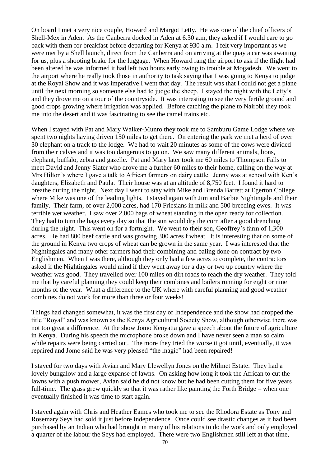On board I met a very nice couple, Howard and Margot Letty. He was one of the chief officers of Shell-Mex in Aden. As the Canberra docked in Aden at 6.30 a.m, they asked if I would care to go back with them for breakfast before departing for Kenya at 930 a.m. I felt very important as we were met by a Shell launch, direct from the Canberra and on arriving at the quay a car was awaiting for us, plus a shooting brake for the luggage. When Howard rang the airport to ask if the flight had been altered he was informed it had left two hours early owing to trouble at Mogadesh. We went to the airport where he really took those in authority to task saying that I was going to Kenya to judge at the Royal Show and it was imperative I went that day. The result was that I could not get a plane until the next morning so someone else had to judge the sheep. I stayed the night with the Letty's and they drove me on a tour of the countryside. It was interesting to see the very fertile ground and good crops growing where irrigation was applied. Before catching the plane to Nairobi they took me into the desert and it was fascinating to see the camel trains etc.

When I stayed with Pat and Mary Walker-Munro they took me to Samburu Game Lodge where we spent two nights having driven 150 miles to get there. On entering the park we met a herd of over 30 elephant on a track to the lodge. We had to wait 20 minutes as some of the cows were divided from their calves and it was too dangerous to go on. We saw many different animals, lions, elephant, buffalo, zebra and gazelle. Pat and Mary later took me 60 miles to Thompson Falls to meet David and Jenny Slater who drove me a further 60 miles to their home, calling on the way at Mrs Hilton's where I gave a talk to African farmers on dairy cattle. Jenny was at school with Ken's daughters, Elizabeth and Paula. Their house was at an altitude of 8,750 feet. I found it hard to breathe during the night. Next day I went to stay with Mike and Brenda Barrett at Egerton College where Mike was one of the leading lights. I stayed again with Jim and Barbie Nightingale and their family. Their farm, of over 2,000 acres, had 170 Friesians in milk and 500 breeding ewes. It was terrible wet weather. I saw over 2,000 bags of wheat standing in the open ready for collection. They had to turn the bags every day so that the sun would dry the corn after a good drenching during the night. This went on for a fortnight. We went to their son, Geoffrey's farm of 1,300 acres. He had 800 beef cattle and was growing 300 acres f wheat. It is interesting that on some of the ground in Kenya two crops of wheat can be grown in the same year. I was interested that the Nightingales and many other farmers had their combining and baling done on contract by two Englishmen. When I was there, although they only had a few acres to complete, the contractors asked if the Nightingales would mind if they went away for a day or two up country where the weather was good. They travelled over 100 miles on dirt roads to reach the dry weather. They told me that by careful planning they could keep their combines and bailers running for eight or nine months of the year. What a difference to the UK where with careful planning and good weather combines do not work for more than three or four weeks!

Things had changed somewhat, it was the first day of Independence and the show had dropped the title "Royal" and was known as the Kenya Agricultural Society Show, although otherwise there was not too great a difference. At the show Jomo Kenyatta gave a speech about the future of agriculture in Kenya. During his speech the microphone broke down and I have never seen a man so calm while repairs were being carried out. The more they tried the worse it got until, eventually, it was repaired and Jomo said he was very pleased "the magic" had been repaired!

I stayed for two days with Avian and Mary Llewellyn Jones on the Milmet Estate. They had a lovely bungalow and a large expanse of lawns. On asking how long it took the African to cut the lawns with a push mower, Avian said he did not know but he had been cutting them for five years full-time. The grass grew quickly so that it was rather like painting the Forth Bridge – when one eventually finished it was time to start again.

I stayed again with Chris and Heather Eames who took me to see the Rhodora Estate as Tony and Rosemary Seys had sold it just before Independence. Once could see drastic changes as it had been purchased by an Indian who had brought in many of his relations to do the work and only employed a quarter of the labour the Seys had employed. There were two Englishmen still left at that time,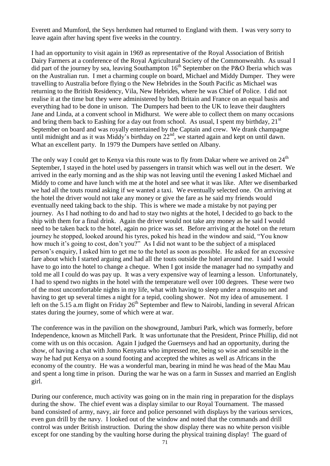Everett and Mumford, the Seys herdsmen had returned to England with them. I was very sorry to leave again after having spent five weeks in the country.

I had an opportunity to visit again in 1969 as representative of the Royal Association of British Dairy Farmers at a conference of the Royal Agricultural Society of the Commonwealth. As usual I did part of the journey by sea, leaving Southampton  $16<sup>th</sup>$  September on the P&O Iberia which was on the Australian run. I met a charming couple on board, Michael and Middy Dumper. They were travelling to Australia before flying o the New Hebrides in the South Pacific as Michael was returning to the British Residency, Vila, New Hebrides, where he was Chief of Police. I did not realise it at the time but they were administered by both Britain and France on an equal basis and everything had to be done in unison. The Dumpers had been to the UK to leave their daughters Jane and Linda, at a convent school in Midhurst. We were able to collect them on many occasions and bring them back to Eashing for a day out from school. As usual, I spent my birthday,  $21<sup>st</sup>$ September on board and was royally entertained by the Captain and crew. We drank champagne until midnight and as it was Middy's birthday on  $22<sup>nd</sup>$ , we started again and kept on until dawn. What an excellent party. In 1979 the Dumpers have settled on Albany.

The only way I could get to Kenya via this route was to fly from Dakar where we arrived on  $24<sup>th</sup>$ September, I stayed in the hotel used by passengers in transit which was well out in the desert. We arrived in the early morning and as the ship was not leaving until the evening I asked Michael and Middy to come and have lunch with me at the hotel and see what it was like. After we disembarked we had all the touts round asking if we wanted a taxi. We eventually selected one. On arriving at the hotel the driver would not take any money or give the fare as he said my friends would eventually need taking back to the ship. This is where we made a mistake by not paying per journey. As I had nothing to do and had to stay two nights at the hotel, I decided to go back to the ship with them for a final drink. Again the driver would not take any money as he said I would need to be taken back to the hotel, again no price was set. Before arriving at the hotel on the return journey he stopped, looked around his tyres, poked his head in the window and said, "You know how much it's going to cost, don't you?" As I did not want to be the subject of a misplaced person's enquiry, I asked him to get me to the hotel as soon as possible. He asked for an excessive fare about which I started arguing and had all the touts outside the hotel around me. I said I would have to go into the hotel to change a cheque. When I got inside the manager had no sympathy and told me all I could do was pay up. It was a very expensive way of learning a lesson. Unfortunately, I had to spend two nights in the hotel with the temperature well over 100 degrees. These were two of the most uncomfortable nights in my life, what with having to sleep under a mosquito net and having to get up several times a night for a tepid, cooling shower. Not my idea of amusement. I left on the 5.15 a.m flight on Friday  $26<sup>th</sup>$  September and flew to Nairobi, landing in several African states during the journey, some of which were at war.

The conference was in the pavilion on the showground, Jamburi Park, which was formerly, before Independence, known as Mitchell Park. It was unfortunate that the President, Prince Phillip, did not come with us on this occasion. Again I judged the Guernseys and had an opportunity, during the show, of having a chat with Jomo Kenyatta who impressed me, being so wise and sensible in the way he had put Kenya on a sound footing and accepted the whites as well as Africans in the economy of the country. He was a wonderful man, bearing in mind he was head of the Mau Mau and spent a long time in prison. During the war he was on a farm in Sussex and married an English girl.

During our conference, much activity was going on in the main ring in preparation for the displays during the show. The chief event was a display similar to our Royal Tournament. The massed band consisted of army, navy, air force and police personnel with displays by the various services, even gun drill by the navy. I looked out of the window and noted that the commands and drill control was under British instruction. During the show display there was no white person visible except for one standing by the vaulting horse during the physical training display! The guard of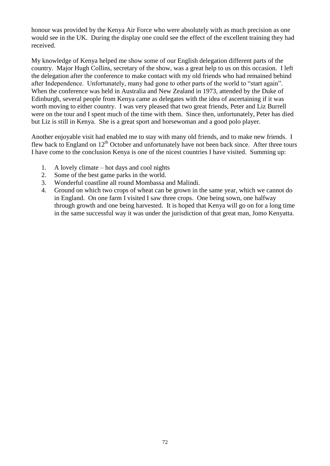honour was provided by the Kenya Air Force who were absolutely with as much precision as one would see in the UK. During the display one could see the effect of the excellent training they had received.

My knowledge of Kenya helped me show some of our English delegation different parts of the country. Major Hugh Collins, secretary of the show, was a great help to us on this occasion. I left the delegation after the conference to make contact with my old friends who had remained behind after Independence. Unfortunately, many had gone to other parts of the world to "start again". When the conference was held in Australia and New Zealand in 1973, attended by the Duke of Edinburgh, several people from Kenya came as delegates with the idea of ascertaining if it was worth moving to either country. I was very pleased that two great friends, Peter and Liz Burrell were on the tour and I spent much of the time with them. Since then, unfortunately, Peter has died but Liz is still in Kenya. She is a great sport and horsewoman and a good polo player.

Another enjoyable visit had enabled me to stay with many old friends, and to make new friends. I flew back to England on 12<sup>th</sup> October and unfortunately have not been back since. After three tours I have come to the conclusion Kenya is one of the nicest countries I have visited. Summing up:

- 1. A lovely climate hot days and cool nights
- 2. Some of the best game parks in the world.
- 3. Wonderful coastline all round Mombassa and Malindi.
- 4. Ground on which two crops of wheat can be grown in the same year, which we cannot do in England. On one farm I visited I saw three crops. One being sown, one halfway through growth and one being harvested. It is hoped that Kenya will go on for a long time in the same successful way it was under the jurisdiction of that great man, Jomo Kenyatta.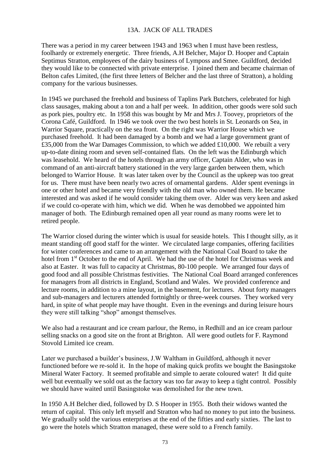# 13A. JACK OF ALL TRADES

There was a period in my career between 1943 and 1963 when I must have been restless, foolhardy or extremely energetic. Three friends, A.H Belcher, Major D. Hooper and Captain Septimus Stratton, employees of the dairy business of Lymposs and Smee. Guildford, decided they would like to be connected with private enterprise. I joined them and became chairman of Belton cafes Limited, (the first three letters of Belcher and the last three of Stratton), a holding company for the various businesses.

In 1945 we purchased the freehold and business of Taplins Park Butchers, celebrated for high class sausages, making about a ton and a half per week. In addition, other goods were sold such as pork pies, poultry etc. In 1958 this was bought by Mr and Mrs J. Toovey, proprietors of the Corona Café, Guildford. In 1946 we took over the two best hotels in St. Leonards on Sea, in Warrior Square, practically on the sea front. On the right was Warrior House which we purchased freehold. It had been damaged by a bomb and we had a large government grant of £35,000 from the War Damages Commission, to which we added £10,000. We rebuilt a very up-to-date dining room and seven self-contained flats. On the left was the Edinburgh which was leasehold. We heard of the hotels through an army officer, Captain Alder, who was in command of an anti-aircraft battery stationed in the very large garden between them, which belonged to Warrior House. It was later taken over by the Council as the upkeep was too great for us. There must have been nearly two acres of ornamental gardens. Alder spent evenings in one or other hotel and became very friendly with the old man who owned them. He became interested and was asked if he would consider taking them over. Alder was very keen and asked if we could co-operate with him, which we did. When he was demobbed we appointed him manager of both. The Edinburgh remained open all year round as many rooms were let to retired people.

The Warrior closed during the winter which is usual for seaside hotels. This I thought silly, as it meant standing off good staff for the winter. We circulated large companies, offering facilities for winter conferences and came to an arrangement with the National Coal Board to take the hotel from 1<sup>st</sup> October to the end of April. We had the use of the hotel for Christmas week and also at Easter. It was full to capacity at Christmas, 80-100 people. We arranged four days of good food and all possible Christmas festivities. The National Coal Board arranged conferences for managers from all districts in England, Scotland and Wales. We provided conference and lecture rooms, in addition to a mine layout, in the basement, for lectures. About forty managers and sub-managers and lecturers attended fortnightly or three-week courses. They worked very hard, in spite of what people may have thought. Even in the evenings and during leisure hours they were still talking "shop" amongst themselves.

We also had a restaurant and ice cream parlour, the Remo, in Redhill and an ice cream parlour selling snacks on a good site on the front at Brighton. All were good outlets for F. Raymond Stovold Limited ice cream.

Later we purchased a builder's business, J.W Waltham in Guildford, although it never functioned before we re-sold it. In the hope of making quick profits we bought the Basingstoke Mineral Water Factory. It seemed profitable and simple to aerate coloured water! It did quite well but eventually we sold out as the factory was too far away to keep a tight control. Possibly we should have waited until Basingstoke was demolished for the new town.

In 1950 A.H Belcher died, followed by D. S Hooper in 1955. Both their widows wanted the return of capital. This only left myself and Stratton who had no money to put into the business. We gradually sold the various enterprises at the end of the fifties and early sixties. The last to go were the hotels which Stratton managed, these were sold to a French family.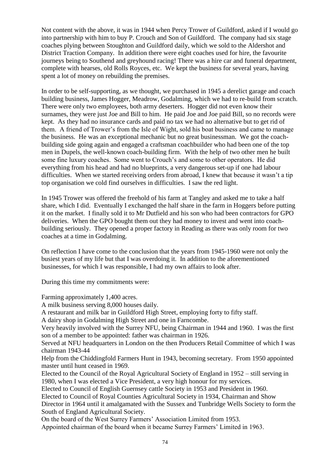Not content with the above, it was in 1944 when Percy Trower of Guildford, asked if I would go into partnership with him to buy P. Crouch and Son of Guildford. The company had six stage coaches plying between Stoughton and Guildford daily, which we sold to the Aldershot and District Traction Company. In addition there were eight coaches used for hire, the favourite journeys being to Southend and greyhound racing! There was a hire car and funeral department, complete with hearses, old Rolls Royces, etc. We kept the business for several years, having spent a lot of money on rebuilding the premises.

In order to be self-supporting, as we thought, we purchased in 1945 a derelict garage and coach building business, James Hogger, Meadrow, Godalming, which we had to re-build from scratch. There were only two employees, both army deserters. Hogger did not even know their surnames, they were just Joe and Bill to him. He paid Joe and Joe paid Bill, so no records were kept. As they had no insurance cards and paid no tax we had no alternative but to get rid of them. A friend of Trower's from the Isle of Wight, sold his boat business and came to manage the business. He was an exceptional mechanic but no great businessman. We got the coachbuilding side going again and engaged a craftsman coachbuilder who had been one of the top men in Dupels, the well-known coach-building firm. With the help of two other men he built some fine luxury coaches. Some went to Crouch's and some to other operators. He did everything from his head and had no blueprints, a very dangerous set-up if one had labour difficulties. When we started receiving orders from abroad, I knew that because it wasn't a tip top organisation we cold find ourselves in difficulties. I saw the red light.

In 1945 Trower was offered the freehold of his farm at Tangley and asked me to take a half share, which I did. Eventually I exchanged the half share in the farm in Hoggers before putting it on the market. I finally sold it to Mr Dutfield and his son who had been contractors for GPO deliveries. When the GPO bought them out they had money to invest and went into coachbuilding seriously. They opened a proper factory in Reading as there was only room for two coaches at a time in Godalming.

On reflection I have come to the conclusion that the years from 1945-1960 were not only the busiest years of my life but that I was overdoing it. In addition to the aforementioned businesses, for which I was responsible, I had my own affairs to look after.

During this time my commitments were:

Farming approximately 1,400 acres.

A milk business serving 8,000 houses daily.

A restaurant and milk bar in Guildford High Street, employing forty to fifty staff.

A dairy shop in Godalming High Street and one in Farncombe.

Very heavily involved with the Surrey NFU, being Chairman in 1944 and 1960. I was the first son of a member to be appointed: father was chairman in 1926.

Served at NFU headquarters in London on the then Producers Retail Committee of which I was chairman 1943-44

Help from the Chiddingfold Farmers Hunt in 1943, becoming secretary. From 1950 appointed master until hunt ceased in 1969.

Elected to the Council of the Royal Agricultural Society of England in 1952 – still serving in 1980, when I was elected a Vice President, a very high honour for my services.

Elected to Council of English Guernsey cattle Society in 1953 and President in 1960.

Elected to Council of Royal Counties Agricultural Society in 1934, Chairman and Show

Director in 1964 until it amalgamated with the Sussex and Tunbridge Wells Society to form the South of England Agricultural Society.

On the board of the West Surrey Farmers' Association Limited from 1953.

Appointed chairman of the board when it became Surrey Farmers' Limited in 1963.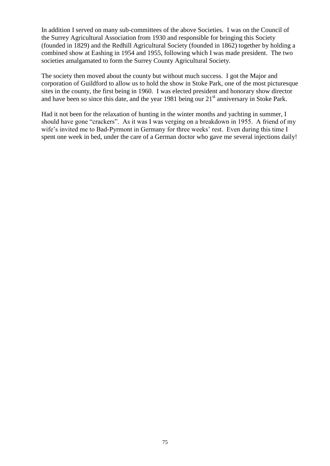In addition I served on many sub-committees of the above Societies. I was on the Council of the Surrey Agricultural Association from 1930 and responsible for bringing this Society (founded in 1829) and the Redhill Agricultural Society (founded in 1862) together by holding a combined show at Eashing in 1954 and 1955, following which I was made president. The two societies amalgamated to form the Surrey County Agricultural Society.

The society then moved about the county but without much success. I got the Major and corporation of Guildford to allow us to hold the show in Stoke Park, one of the most picturesque sites in the county, the first being in 1960. I was elected president and honorary show director and have been so since this date, and the year 1981 being our  $21<sup>st</sup>$  anniversary in Stoke Park.

Had it not been for the relaxation of hunting in the winter months and yachting in summer, I should have gone "crackers". As it was I was verging on a breakdown in 1955. A friend of my wife's invited me to Bad-Pyrmont in Germany for three weeks' rest. Even during this time I spent one week in bed, under the care of a German doctor who gave me several injections daily!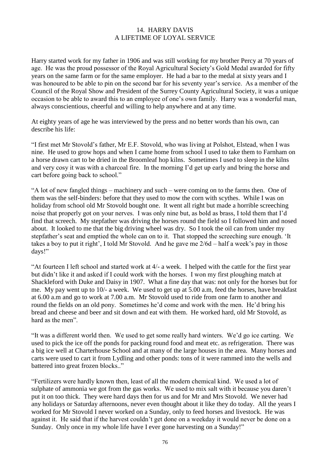### 14. HARRY DAVIS A LIFETIME OF LOYAL SERVICE

Harry started work for my father in 1906 and was still working for my brother Percy at 70 years of age. He was the proud possessor of the Royal Agricultural Society's Gold Medal awarded for fifty years on the same farm or for the same employer. He had a bar to the medal at sixty years and I was honoured to be able to pin on the second bar for his seventy year's service. As a member of the Council of the Royal Show and President of the Surrey County Agricultural Society, it was a unique occasion to be able to award this to an employee of one's own family. Harry was a wonderful man, always conscientious, cheerful and willing to help anywhere and at any time.

At eighty years of age he was interviewed by the press and no better words than his own, can describe his life:

"I first met Mr Stovold's father, Mr E.F. Stovold, who was living at Polshot, Elstead, when I was nine. He used to grow hops and when I came home from school I used to take them to Farnham on a horse drawn cart to be dried in the Broomleaf hop kilns. Sometimes I used to sleep in the kilns and very cosy it was with a charcoal fire. In the morning I'd get up early and bring the horse and cart before going back to school."

"A lot of new fangled things – machinery and such – were coming on to the farms then. One of them was the self-binders: before that they used to mow the corn with scythes. While I was on holiday from school old Mr Stovold bought one. It went all right but made a horrible screeching noise that properly got on your nerves. I was only nine but, as bold as brass, I told them that I'd find that screech. My stepfather was driving the horses round the field so I followed him and nosed about. It looked to me that the big driving wheel was dry. So I took the oil can from under my stepfather's seat and emptied the whole can on to it. That stopped the screeching sure enough. 'It takes a boy to put it right', I told Mr Stovold. And he gave me 2/6d – half a week's pay in those days!"

"At fourteen I left school and started work at 4/- a week. I helped with the cattle for the first year but didn't like it and asked if I could work with the horses. I won my first ploughing match at Shackleford with Duke and Daisy in 1907. What a fine day that was: not only for the horses but for me. My pay went up to 10/- a week. We used to get up at 5.00 a.m, feed the horses, have breakfast at 6.00 a.m and go to work at 7.00 a.m. Mr Stovold used to ride from one farm to another and round the fields on an old pony. Sometimes he'd come and work with the men. He'd bring his bread and cheese and beer and sit down and eat with them. He worked hard, old Mr Stovold, as hard as the men".

"It was a different world then. We used to get some really hard winters. We'd go ice carting. We used to pick the ice off the ponds for packing round food and meat etc. as refrigeration. There was a big ice well at Charterhouse School and at many of the large houses in the area. Many horses and carts were used to cart it from Lydling and other ponds: tons of it were rammed into the wells and battered into great frozen blocks.."

"Fertilizers were hardly known then, least of all the modern chemical kind. We used a lot of sulphate of ammonia we got from the gas works. We used to mix salt with it because you daren't put it on too thick. They were hard days then for us and for Mr and Mrs Stovold. We never had any holidays or Saturday afternoons, never even thought about it like they do today. All the years I worked for Mr Stovold I never worked on a Sunday, only to feed horses and livestock. He was against it. He said that if the harvest couldn't get done on a weekday it would never be done on a Sunday. Only once in my whole life have I ever gone harvesting on a Sunday!"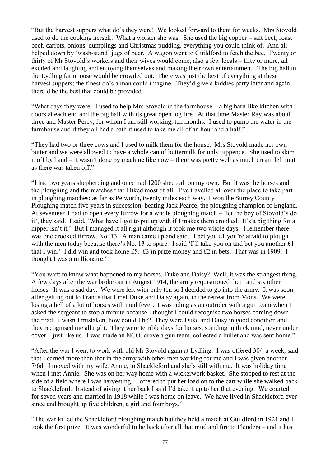"But the harvest suppers what do's they were! We looked forward to them for weeks. Mrs Stovold used to do the cooking herself. What a worker she was. She used the big copper – salt beef, roast beef, carrots, onions, dumplings and Christmas pudding, everything you could think of. And all helped down by 'wash-stand' jugs of beer. A wagon went to Guildford to fetch the bee. Twenty or thirty of Mr Stovold's workers and their wives would come, also a few locals – fifty or more, all excited and laughing and enjoying themselves and making their own entertainment. The big hall in the Lydling farmhouse would be crowded out. There was just the best of everything at these harvest suppers; the finest do's a man could imagine. They'd give a kiddies party later and again there'd be the best that could be provided."

"What days they were. I used to help Mrs Stovold in the farmhouse – a big barn-like kitchen with doors at each end and the big hall with its great open log fire. At that time Master Ray was about three and Master Percy, for whom I am still working, ten months. I used to pump the water in the farmhouse and if they all had a bath it used to take me all of an hour and a half."

"They had two or three cows and I used to milk them for the house. Mrs Stovold made her own butter and we were allowed to have a whole can of buttermilk for only tuppence. She used to skim it off by hand – it wasn't done by machine like now – there was pretty well as much cream left in it as there was taken off."

"I had two years shepherding and once had 1200 sheep all on my own. But it was the horses and the ploughing and the matches that I liked most of all. I've travelled all over the place to take part in ploughing matches: as far as Petworth, twenty miles each way. I won the Surrey County Ploughing match five years in succession, beating Jack Pearce, the ploughing champion of England. At seventeen I had to open every furrow for a whole ploughing match – 'let the boy of Stovold's do it', they said. I said, 'What have I got to put up with if I makes them crooked. It's a big thing for a nipper isn't it.' But I managed it all right although it took me two whole days. I remember there was one crooked furrow, No. 13. A man came up and said, 'I bet you £1 you're afraid to plough with the men today because there's No. 13 to spare. I said 'I'll take you on and bet you another £1 that I win.' I did win and took home £5. £3 in prize money and £2 in bets. That was in 1909. I thought I was a millionaire."

"You want to know what happened to my horses, Duke and Daisy? Well, it was the strangest thing. A few days after the war broke out in August 1914, the army requisitioned them and six other horses. It was a sad day. We were left with only ten so I decided to go into the army. It was soon after getting out to France that I met Duke and Daisy again, in the retreat from Mons. We were losing a hell of a lot of horses with mud fever. I was riding as an outrider with a gun team when I asked the sergeant to stop a minute because I thought I could recognise two horses coming down the road. I wasn't mistaken, how could I be? They were Duke and Daisy in good condition and they recognised me all right. They were terrible days for horses, standing in thick mud, never under cover – just like us. I was made an NCO, drove a gun team, collected a bullet and was sent home."

"After the war I went to work with old Mr Stovold again at Lydling. I was offered 30/- a week, said that I earned more than that in the army with other men working for me and I was given another 7/6d. I moved with my wife, Annie, to Shackleford and she's still with me. It was holiday time when I met Annie. She was on her way home with a wickerwork basket. She stopped to rest at the side of a field where I was harvesting. I offered to put her load on to the cart while she walked back to Shackleford. Instead of giving it her back I said I'd take it up to her that evening. We courted for seven years and married in 1918 while I was home on leave. We have lived in Shackleford ever since and brought up five children, a girl and four boys."

"The war killed the Shackleford ploughing match but they held a match at Guildford in 1921 and I took the first prize. It was wonderful to be back after all that mud and fire to Flanders – and it has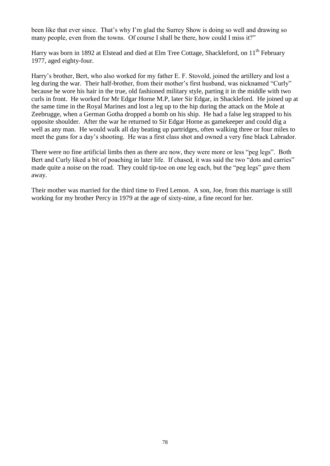been like that ever since. That's why I'm glad the Surrey Show is doing so well and drawing so many people, even from the towns. Of course I shall be there, how could I miss it?"

Harry was born in 1892 at Elstead and died at Elm Tree Cottage, Shackleford, on 11<sup>th</sup> February 1977, aged eighty-four.

Harry's brother, Bert, who also worked for my father E. F. Stovold, joined the artillery and lost a leg during the war. Their half-brother, from their mother's first husband, was nicknamed "Curly" because he wore his hair in the true, old fashioned military style, parting it in the middle with two curls in front. He worked for Mr Edgar Horne M.P, later Sir Edgar, in Shackleford. He joined up at the same time in the Royal Marines and lost a leg up to the hip during the attack on the Mole at Zeebrugge, when a German Gotha dropped a bomb on his ship. He had a false leg strapped to his opposite shoulder. After the war he returned to Sir Edgar Horne as gamekeeper and could dig a well as any man. He would walk all day beating up partridges, often walking three or four miles to meet the guns for a day's shooting. He was a first class shot and owned a very fine black Labrador.

There were no fine artificial limbs then as there are now, they were more or less "peg legs". Both Bert and Curly liked a bit of poaching in later life. If chased, it was said the two "dots and carries" made quite a noise on the road. They could tip-toe on one leg each, but the "peg legs" gave them away.

Their mother was married for the third time to Fred Lemon. A son, Joe, from this marriage is still working for my brother Percy in 1979 at the age of sixty-nine, a fine record for her.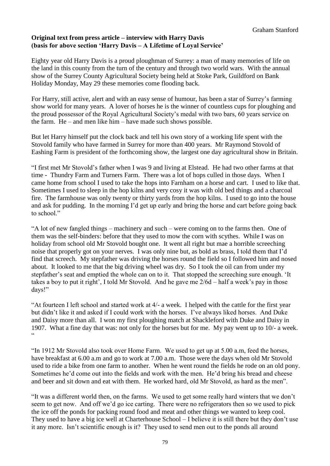# **Original text from press article – interview with Harry Davis (basis for above section 'Harry Davis – A Lifetime of Loyal Service'**

Eighty year old Harry Davis is a proud ploughman of Surrey: a man of many memories of life on the land in this county from the turn of the century and through two world wars. With the annual show of the Surrey County Agricultural Society being held at Stoke Park, Guildford on Bank Holiday Monday, May 29 these memories come flooding back.

For Harry, still active, alert and with an easy sense of humour, has been a star of Surrey's farming show world for many years. A lover of horses he is the winner of countless cups for ploughing and the proud possessor of the Royal Agricultural Society's medal with two bars, 60 years service on the farm. He – and men like him – have made such shows possible.

But let Harry himself put the clock back and tell his own story of a working life spent with the Stovold family who have farmed in Surrey for more than 400 years. Mr Raymond Stovold of Eashing Farm is president of the forthcoming show, the largest one day agricultural show in Britain.

"I first met Mr Stovold's father when I was 9 and living at Elstead. He had two other farms at that time - Thundry Farm and Turners Farm. There was a lot of hops culled in those days. When I came home from school I used to take the hops into Farnham on a horse and cart. I used to like that. Sometimes I used to sleep in the hop kilns and very cosy it was with old bed things and a charcoal fire. The farmhouse was only twenty or thirty yards from the hop kilns. I used to go into the house and ask for pudding. In the morning I'd get up early and bring the horse and cart before going back to school."

"A lot of new fangled things – machinery and such – were coming on to the farms then. One of them was the self-binders: before that they used to mow the corn with scythes. While I was on holiday from school old Mr Stovold bought one. It went all right but mae a horrible screeching noise that properly got on your nerves. I was only nine but, as bold as brass, I told them that I'd find that screech. My stepfather was driving the horses round the field so I followed him and nosed about. It looked to me that the big driving wheel was dry. So I took the oil can from under my stepfather's seat and emptied the whole can on to it. That stopped the screeching sure enough. 'It takes a boy to put it right', I told Mr Stovold. And he gave me 2/6d – half a week's pay in those days!"

"At fourteen I left school and started work at 4/- a week. I helped with the cattle for the first year but didn't like it and asked if I could work with the horses. I've always liked horses. And Duke and Daisy more than all. I won my first ploughing match at Shackleford with Duke and Daisy in 1907. What a fine day that was: not only for the horses but for me. My pay went up to 10/- a week.  $\epsilon$ 

"In 1912 Mr Stovold also took over Home Farm. We used to get up at 5.00 a.m, feed the horses, have breakfast at 6.00 a.m and go to work at 7.00 a.m. Those were the days when old Mr Stovold used to ride a bike from one farm to another. When he went round the fields he rode on an old pony. Sometimes he'd come out into the fields and work with the men. He'd bring his bread and cheese and beer and sit down and eat with them. He worked hard, old Mr Stovold, as hard as the men".

"It was a different world then, on the farms. We used to get some really hard winters that we don't seem to get now. And off we'd go ice carting. There were no refrigerators then so we used to pick the ice off the ponds for packing round food and meat and other things we wanted to keep cool. They used to have a big ice well at Charterhouse School – I believe it is still there but they don't use it any more. Isn't scientific enough is it? They used to send men out to the ponds all around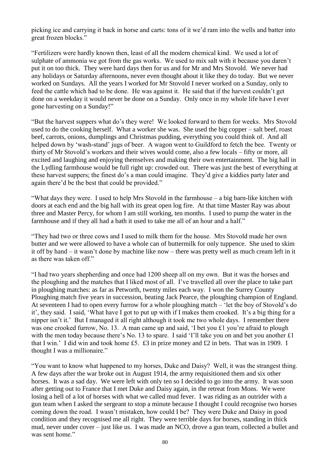picking ice and carrying it back in horse and carts: tons of it we'd ram into the wells and batter into great frozen blocks."

"Fertilizers were hardly known then, least of all the modern chemical kind. We used a lot of sulphate of ammonia we got from the gas works. We used to mix salt with it because you daren't put it on too thick. They were hard days then for us and for Mr and Mrs Stovold. We never had any holidays or Saturday afternoons, never even thought about it like they do today. But we never worked on Sundays. All the years I worked for Mr Stovold I never worked on a Sunday, only to feed the cattle which had to be done. He was against it. He said that if the harvest couldn't get done on a weekday it would never be done on a Sunday. Only once in my whole life have I ever gone harvesting on a Sunday!"

"But the harvest suppers what do's they were! We looked forward to them for weeks. Mrs Stovold used to do the cooking herself. What a worker she was. She used the big copper – salt beef, roast beef, carrots, onions, dumplings and Christmas pudding, everything you could think of. And all helped down by 'wash-stand' jugs of beer. A wagon went to Guildford to fetch the bee. Twenty or thirty of Mr Stovold's workers and their wives would come, also a few locals – fifty or more, all excited and laughing and enjoying themselves and making their own entertainment. The big hall in the Lydling farmhouse would be full right up: crowded out. There was just the best of everything at these harvest suppers; the finest do's a man could imagine. They'd give a kiddies party later and again there'd be the best that could be provided."

"What days they were. I used to help Mrs Stovold in the farmhouse – a big barn-like kitchen with doors at each end and the big hall with its great open log fire. At that time Master Ray was about three and Master Percy, for whom I am still working, ten months. I used to pump the water in the farmhouse and if they all had a bath it used to take me all of an hour and a half."

"They had two or three cows and I used to milk them for the house. Mrs Stovold made her own butter and we were allowed to have a whole can of buttermilk for only tuppence. She used to skim it off by hand – it wasn't done by machine like now – there was pretty well as much cream left in it as there was taken off"

"I had two years shepherding and once had 1200 sheep all on my own. But it was the horses and the ploughing and the matches that I liked most of all. I've travelled all over the place to take part in ploughing matches: as far as Petworth, twenty miles each way. I won the Surrey County Ploughing match five years in succession, beating Jack Pearce, the ploughing champion of England. At seventeen I had to open every furrow for a whole ploughing match – 'let the boy of Stovold's do it', they said. I said, 'What have I got to put up with if I makes them crooked. It's a big thing for a nipper isn't it.' But I managed it all right although it took me two whole days. I remember there was one crooked furrow, No. 13. A man came up and said, 'I bet you £1 you're afraid to plough with the men today because there's No. 13 to spare. I said 'I'll take you on and bet you another £1 that I win.' I did win and took home £5. £3 in prize money and £2 in bets. That was in 1909. I thought I was a millionaire."

"You want to know what happened to my horses, Duke and Daisy? Well, it was the strangest thing. A few days after the war broke out in August 1914, the army requisitioned them and six other horses. It was a sad day. We were left with only ten so I decided to go into the army. It was soon after getting out to France that I met Duke and Daisy again, in the retreat from Mons. We were losing a hell of a lot of horses with what we called mud fever. I was riding as an outrider with a gun team when I asked the sergeant to stop a minute because I thought I could recognise two horses coming down the road. I wasn't mistaken, how could I be? They were Duke and Daisy in good condition and they recognised me all right. They were terrible days for horses, standing in thick mud, never under cover – just like us. I was made an NCO, drove a gun team, collected a bullet and was sent home."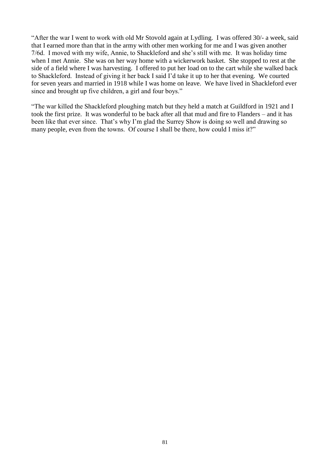"After the war I went to work with old Mr Stovold again at Lydling. I was offered 30/- a week, said that I earned more than that in the army with other men working for me and I was given another 7/6d. I moved with my wife, Annie, to Shackleford and she's still with me. It was holiday time when I met Annie. She was on her way home with a wickerwork basket. She stopped to rest at the side of a field where I was harvesting. I offered to put her load on to the cart while she walked back to Shackleford. Instead of giving it her back I said I'd take it up to her that evening. We courted for seven years and married in 1918 while I was home on leave. We have lived in Shackleford ever since and brought up five children, a girl and four boys."

"The war killed the Shackleford ploughing match but they held a match at Guildford in 1921 and I took the first prize. It was wonderful to be back after all that mud and fire to Flanders – and it has been like that ever since. That's why I'm glad the Surrey Show is doing so well and drawing so many people, even from the towns. Of course I shall be there, how could I miss it?"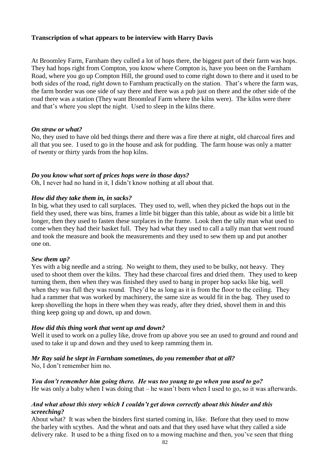# **Transcription of what appears to be interview with Harry Davis**

At Broomley Farm, Farnham they culled a lot of hops there, the biggest part of their farm was hops. They had hops right from Compton, you know where Compton is, have you been on the Farnham Road, where you go up Compton Hill, the ground used to come right down to there and it used to be both sides of the road, right down to Farnham practically on the station. That's where the farm was, the farm border was one side of say there and there was a pub just on there and the other side of the road there was a station (They want Broomleaf Farm where the kilns were). The kilns were there and that's where you slept the night. Used to sleep in the kilns there.

### *On straw or what?*

No, they used to have old bed things there and there was a fire there at night, old charcoal fires and all that you see. I used to go in the house and ask for pudding. The farm house was only a matter of twenty or thirty yards from the hop kilns.

# *Do you know what sort of prices hops were in those days?*

Oh, I never had no hand in it, I didn't know nothing at all about that.

# *How did they take them in, in sacks?*

In big, what they used to call surplaces. They used to, well, when they picked the hops out in the field they used, there was bins, frames a little bit bigger than this table, about as wide bit a little bit longer, then they used to fasten these surplaces in the frame. Look then the tally man what used to come when they had their basket full. They had what they used to call a tally man that went round and took the measure and book the measurements and they used to sew them up and put another one on.

### *Sew them up?*

Yes with a big needle and a string. No weight to them, they used to be bulky, not heavy. They used to shoot them over the kilns. They had these charcoal fires and dried them. They used to keep turning them, then when they was finished they used to bang in proper hop sacks like big, well when they was full they was round. They'd be as long as it is from the floor to the ceiling. They had a rammer that was worked by machinery, the same size as would fit in the bag. They used to keep shovelling the hops in there when they was ready, after they dried, shovel them in and this thing keep going up and down, up and down.

# *How did this thing work that went up and down?*

Well it used to work on a pulley like, drove from up above you see an used to ground and round and used to take it up and down and they used to keep ramming them in.

# *Mr Ray said he slept in Farnham sometimes, do you remember that at all?*

No, I don't remember him no.

*You don't remember him going there. He was too young to go when you used to go?* He was only a baby when I was doing that – he wasn't born when I used to go, so it was afterwards.

# *And what about this story which I couldn't get down correctly about this binder and this screeching?*

About what? It was when the binders first started coming in, like. Before that they used to mow the barley with scythes. And the wheat and oats and that they used have what they called a side delivery rake. It used to be a thing fixed on to a mowing machine and then, you've seen that thing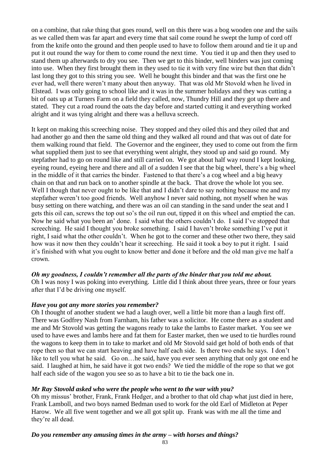on a combine, that rake thing that goes round, well on this there was a bog wooden one and the sails as we called them was far apart and every time that sail come round he swept the lump of cord off from the knife onto the ground and then people used to have to follow them around and tie it up and put it out round the way for them to come round the next time. You tied it up and then they used to stand them up afterwards to dry you see. Then we get to this binder, well binders was just coming into use. When they first brought them in they used to tie it with very fine wire but then that didn't last long they got to this string you see. Well he bought this binder and that was the first one he ever had, well there weren't many about then anyway. That was old Mr Stovold when he lived in Elstead. I was only going to school like and it was in the summer holidays and they was cutting a bit of oats up at Turners Farm on a field they called, now, Thundry Hill and they got up there and stated. They cut a road round the oats the day before and started cutting it and everything worked alright and it was tying alright and there was a helluva screech.

It kept on making this screeching noise. They stopped and they oiled this and they oiled that and had another go and then the same old thing and they walked all round and that was out of date for them walking round that field. The Governor and the engineer, they used to come out from the firm what supplied them just to see that everything went alright, they stood up and said go round. My stepfather had to go on round like and still carried on. We got about half way round I kept looking, eyeing round, eyeing here and there and all of a sudden I see that the big wheel, there's a big wheel in the middle of it that carries the binder. Fastened to that there's a cog wheel and a big heavy chain on that and run back on to another spindle at the back. That drove the whole lot you see. Well I though that never ought to be like that and I didn't dare to say nothing because me and my stepfather weren't too good friends. Well anyhow I never said nothing, not myself when he was busy setting on there watching, and there was an oil can standing in the sand under the seat and I gets this oil can, screws the top out so's the oil run out, tipped it on this wheel and emptied the can. Now he said what you been an' done. I said what the others couldn't do. I said I've stopped that screeching. He said I thought you broke something. I said I haven't broke something I've put it right, I said what the other couldn't. When he got to the corner and these other two there, they said how was it now then they couldn't hear it screeching. He said it took a boy to put it right. I said it's finished with what you ought to know better and done it before and the old man give me half a crown.

# *Oh my goodness, I couldn't remember all the parts of the binder that you told me about.*

Oh I was nosy I was poking into everything. Little did I think about three years, three or four years after that I'd be driving one myself.

# *Have you got any more stories you remember?*

Oh I thought of another student we had a laugh over, well a little bit more than a laugh first off. There was Godfrey Nash from Farnham, his father was a solicitor. He come there as a student and me and Mr Stovold was getting the wagons ready to take the lambs to Easter market. You see we used to have ewes and lambs here and fat them for Easter market, then we used to tie hurdles round the wagons to keep them in to take to market and old Mr Stovold said get hold of both ends of that rope then so that we can start heaving and have half each side. Is there two ends he says. I don't like to tell you what he said. Go on... he said, have you ever seen anything that only got one end he said. I laughed at him, he said have it got two ends? We tied the middle of the rope so that we got half each side of the wagon you see so as to have a bit to tie the back one in.

### *Mr Ray Stovold asked who were the people who went to the war with you?*

Oh my missus' brother, Frank, Frank Hedger, and a brother to that old chap what just died in here, Frank Lamboll, and two boys named Bedman used to work for the old Earl of Midleton at Peper Harow. We all five went together and we all got split up. Frank was with me all the time and they're all dead.

# *Do you remember any amusing times in the army – with horses and things?*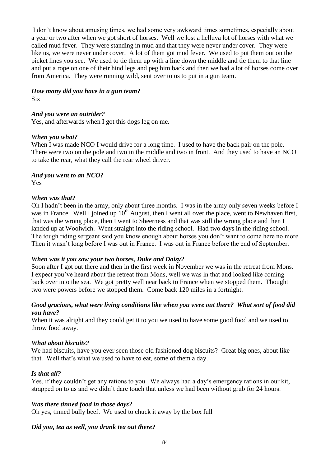I don't know about amusing times, we had some very awkward times sometimes, especially about a year or two after when we got short of horses. Well we lost a helluva lot of horses with what we called mud fever. They were standing in mud and that they were never under cover. They were like us, we were never under cover. A lot of them got mud fever. We used to put them out on the picket lines you see. We used to tie them up with a line down the middle and tie them to that line and put a rope on one of their hind legs and peg him back and then we had a lot of horses come over from America. They were running wild, sent over to us to put in a gun team.

#### *How many did you have in a gun team?*  Six

# *And you were an outrider?*

Yes, and afterwards when I got this dogs leg on me.

### *When you what?*

When I was made NCO I would drive for a long time. I used to have the back pair on the pole. There were two on the pole and two in the middle and two in front. And they used to have an NCO to take the rear, what they call the rear wheel driver.

# *And you went to an NCO?*

Yes

### *When was that?*

Oh I hadn't been in the army, only about three months. I was in the army only seven weeks before I was in France. Well I joined up  $10<sup>th</sup>$  August, then I went all over the place, went to Newhaven first, that was the wrong place, then I went to Sheerness and that was still the wrong place and then I landed up at Woolwich. Went straight into the riding school. Had two days in the riding school. The tough riding sergeant said you know enough about horses you don't want to come here no more. Then it wasn't long before I was out in France. I was out in France before the end of September.

### *When was it you saw your two horses, Duke and Daisy?*

Soon after I got out there and then in the first week in November we was in the retreat from Mons. I expect you've heard about the retreat from Mons, well we was in that and looked like coming back over into the sea. We got pretty well near back to France when we stopped them. Thought two were powers before we stopped them. Come back 120 miles in a fortnight.

# *Good gracious, what were living conditions like when you were out there? What sort of food did you have?*

When it was alright and they could get it to you we used to have some good food and we used to throw food away.

### *What about biscuits?*

We had biscuits, have you ever seen those old fashioned dog biscuits? Great big ones, about like that. Well that's what we used to have to eat, some of them a day.

### *Is that all?*

Yes, if they couldn't get any rations to you. We always had a day's emergency rations in our kit, strapped on to us and we didn't dare touch that unless we had been without grub for 24 hours.

# *Was there tinned food in those days?*

Oh yes, tinned bully beef. We used to chuck it away by the box full

# *Did you, tea as well, you drank tea out there?*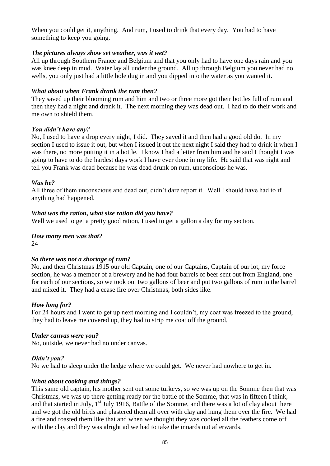When you could get it, anything. And rum, I used to drink that every day. You had to have something to keep you going.

# *The pictures always show set weather, was it wet?*

All up through Southern France and Belgium and that you only had to have one days rain and you was knee deep in mud. Water lay all under the ground. All up through Belgium you never had no wells, you only just had a little hole dug in and you dipped into the water as you wanted it.

# *What about when Frank drank the rum then?*

They saved up their blooming rum and him and two or three more got their bottles full of rum and then they had a night and drank it. The next morning they was dead out. I had to do their work and me own to shield them.

# *You didn't have any?*

No, I used to have a drop every night, I did. They saved it and then had a good old do. In my section I used to issue it out, but when I issued it out the next night I said they had to drink it when I was there, no more putting it in a bottle. I know I had a letter from him and he said I thought I was going to have to do the hardest days work I have ever done in my life. He said that was right and tell you Frank was dead because he was dead drunk on rum, unconscious he was.

# *Was he?*

All three of them unconscious and dead out, didn't dare report it. Well I should have had to if anything had happened.

# *What was the ration, what size ration did you have?*

Well we used to get a pretty good ration, I used to get a gallon a day for my section.

#### *How many men was that?* 24

# *So there was not a shortage of rum?*

No, and then Christmas 1915 our old Captain, one of our Captains, Captain of our lot, my force section, he was a member of a brewery and he had four barrels of beer sent out from England, one for each of our sections, so we took out two gallons of beer and put two gallons of rum in the barrel and mixed it. They had a cease fire over Christmas, both sides like.

### *How long for?*

For 24 hours and I went to get up next morning and I couldn't, my coat was freezed to the ground, they had to leave me covered up, they had to strip me coat off the ground.

### *Under canvas were you?*

No, outside, we never had no under canvas.

### *Didn't you?*

No we had to sleep under the hedge where we could get. We never had nowhere to get in.

### *What about cooking and things?*

This same old captain, his mother sent out some turkeys, so we was up on the Somme then that was Christmas, we was up there getting ready for the battle of the Somme, that was in fifteen I think, and that started in July,  $1<sup>st</sup>$  July 1916, Battle of the Somme, and there was a lot of clay about there and we got the old birds and plastered them all over with clay and hung them over the fire. We had a fire and roasted them like that and when we thought they was cooked all the feathers come off with the clay and they was alright ad we had to take the innards out afterwards.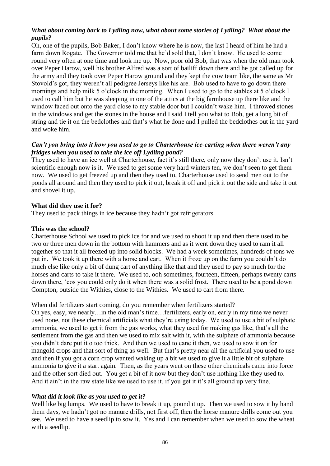# *What about coming back to Lydling now, what about some stories of Lydling? What about the pupils?*

Oh, one of the pupils, Bob Baker, I don't know where he is now, the last I heard of him he had a farm down Rogate. The Governor told me that he'd sold that, I don't know. He used to come round very often at one time and look me up. Now, poor old Bob, that was when the old man took over Peper Harow, well his brother Alfred was a sort of bailiff down there and he got called up for the army and they took over Peper Harow ground and they kept the cow team like, the same as Mr Stovold's got, they weren't all pedigree Jerseys like his are. Bob used to have to go down there mornings and help milk 5 o'clock in the morning. When I used to go to the stables at 5 o'clock I used to call him but he was sleeping in one of the attics at the big farmhouse up there like and the window faced out onto the yard close to my stable door but I couldn't wake him. I throwed stones in the windows and get the stones in the house and I said I tell you what to Bob, get a long bit of string and tie it on the bedclothes and that's what he done and I pulled the bedclothes out in the yard and woke him.

# *Can't you bring into it how you used to go to Charterhouse ice-carting when there weren't any fridges when you used to take the ice off Lydling pond?*

They used to have an ice well at Charterhouse, fact it's still there, only now they don't use it. Isn't scientific enough now is it. We used to get some very hard winters ten, we don't seen to get them now. We used to get freezed up and then they used to, Charterhouse used to send men out to the ponds all around and then they used to pick it out, break it off and pick it out the side and take it out and shovel it up.

# **What did they use it for?**

They used to pack things in ice because they hadn't got refrigerators.

# **This was the school?**

Charterhouse School we used to pick ice for and we used to shoot it up and then there used to be two or three men down in the bottom with hammers and as it went down they used to ram it all together so that it all freezed up into solid blocks. We had a week sometimes, hundreds of tons we put in. We took it up there with a horse and cart. When it froze up on the farm you couldn't do much else like only a bit of dung cart of anything like that and they used to pay so much for the horses and carts to take it there. We used to, ooh sometimes, fourteen, fifteen, perhaps twenty carts down there, 'cos you could only do it when there was a solid frost. There used to be a pond down Compton, outside the Withies, close to the Withies. We used to cart from there.

When did fertilizers start coming, do you remember when fertilizers started?

Oh yes, easy, we nearly…in the old man's time…fertilizers, early on, early in my time we never used none, not these chemical artificials what they're using today. We used to use a bit of sulphate ammonia, we used to get it from the gas works, what they used for making gas like, that's all the settlement from the gas and then we used to mix salt with it, with the sulphate of ammonia because you didn't dare put it o too thick. And then we used to cane it then, we used to sow it on for mangold crops and that sort of thing as well. But that's pretty near all the artificial you used to use and then if you got a corn crop wanted waking up a bit we used to give it a little bit of sulphate ammonia to give it a start again. Then, as the years went on these other chemicals came into force and the other sort died out. You get a bit of it now but they don't use nothing like they used to. And it ain't in the raw state like we used to use it, if you get it it's all ground up very fine.

# *What did it look like as you used to get it?*

Well like big lumps. We used to have to break it up, pound it up. Then we used to sow it by hand them days, we hadn't got no manure drills, not first off, then the horse manure drills come out you see. We used to have a seedlip to sow it. Yes and I can remember when we used to sow the wheat with a seedlip.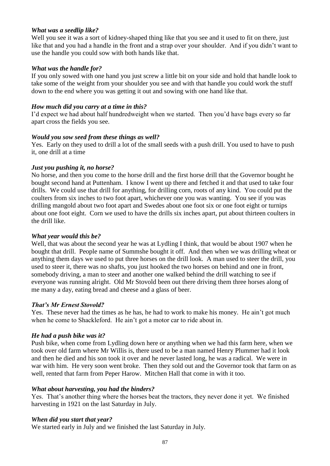# *What was a seedlip like?*

Well you see it was a sort of kidney-shaped thing like that you see and it used to fit on there, just like that and you had a handle in the front and a strap over your shoulder. And if you didn't want to use the handle you could sow with both hands like that.

# *What was the handle for?*

If you only sowed with one hand you just screw a little bit on your side and hold that handle look to take some of the weight from your shoulder you see and with that handle you could work the stuff down to the end where you was getting it out and sowing with one hand like that.

# *How much did you carry at a time in this?*

I'd expect we had about half hundredweight when we started. Then you'd have bags every so far apart cross the fields you see.

# *Would you sow seed from these things as well?*

Yes. Early on they used to drill a lot of the small seeds with a push drill. You used to have to push it, one drill at a time

# *Just you pushing it, no horse?*

No horse, and then you come to the horse drill and the first horse drill that the Governor bought he bought second hand at Puttenham. I know I went up there and fetched it and that used to take four drills. We could use that drill for anything, for drilling corn, roots of any kind. You could put the coulters from six inches to two foot apart, whichever one you was wanting. You see if you was drilling mangold about two foot apart and Swedes about one foot six or one foot eight or turnips about one foot eight. Corn we used to have the drills six inches apart, put about thirteen coulters in the drill like.

### *What year would this be?*

Well, that was about the second year he was at Lydling I think, that would be about 1907 when he bought that drill. People name of Summshe bought it off. And then when we was drilling wheat or anything them days we used to put three horses on the drill look. A man used to steer the drill, you used to steer it, there was no shafts, you just hooked the two horses on behind and one in front, somebody driving, a man to steer and another one walked behind the drill watching to see if everyone was running alright. Old Mr Stovold been out there driving them three horses along of me many a day, eating bread and cheese and a glass of beer.

# *That's Mr Ernest Stovold?*

Yes. These never had the times as he has, he had to work to make his money. He ain't got much when he come to Shackleford. He ain't got a motor car to ride about in.

# *He had a push bike was it?*

Push bike, when come from Lydling down here or anything when we had this farm here, when we took over old farm where Mr Willis is, there used to be a man named Henry Plummer had it look and then he died and his son took it over and he never lasted long, he was a radical. We were in war with him. He very soon went broke. Then they sold out and the Governor took that farm on as well, rented that farm from Peper Harow. Mitchen Hall that come in with it too.

### *What about harvesting, you had the binders?*

Yes. That's another thing where the horses beat the tractors, they never done it yet. We finished harvesting in 1921 on the last Saturday in July.

### *When did you start that year?*

We started early in July and we finished the last Saturday in July.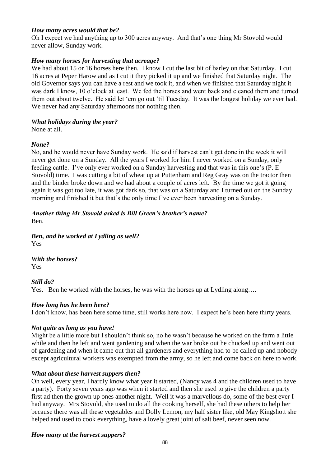# *How many acres would that be?*

Oh I expect we had anything up to 300 acres anyway. And that's one thing Mr Stovold would never allow, Sunday work.

# *How many horses for harvesting that acreage?*

We had about 15 or 16 horses here then. I know I cut the last bit of barley on that Saturday. I cut 16 acres at Peper Harow and as I cut it they picked it up and we finished that Saturday night. The old Governor says you can have a rest and we took it, and when we finished that Saturday night it was dark I know, 10 o'clock at least. We fed the horses and went back and cleaned them and turned them out about twelve. He said let 'em go out 'til Tuesday. It was the longest holiday we ever had. We never had any Saturday afternoons nor nothing then.

# *What holidays during the year?*

None at all.

# *None?*

No, and he would never have Sunday work. He said if harvest can't get done in the week it will never get done on a Sunday. All the years I worked for him I never worked on a Sunday, only feeding cattle. I've only ever worked on a Sunday harvesting and that was in this one's (P. E Stovold) time. I was cutting a bit of wheat up at Puttenham and Reg Gray was on the tractor then and the binder broke down and we had about a couple of acres left. By the time we got it going again it was got too late, it was got dark so, that was on a Saturday and I turned out on the Sunday morning and finished it but that's the only time I've ever been harvesting on a Sunday.

# *Another thing Mr Stovold asked is Bill Green's brother's name?*

Ben.

*Ben, and he worked at Lydling as well?* Yes

*With the horses?* Yes

# *Still do?*

Yes. Ben he worked with the horses, he was with the horses up at Lydling along....

# *How long has he been here?*

I don't know, has been here some time, still works here now. I expect he's been here thirty years.

# *Not quite as long as you have!*

Might be a little more but I shouldn't think so, no he wasn't because he worked on the farm a little while and then he left and went gardening and when the war broke out he chucked up and went out of gardening and when it came out that all gardeners and everything had to be called up and nobody except agricultural workers was exempted from the army, so he left and come back on here to work.

# *What about these harvest suppers then?*

Oh well, every year, I hardly know what year it started, (Nancy was 4 and the children used to have a party). Forty seven years ago was when it started and then she used to give the children a party first ad then the grown up ones another night. Well it was a marvellous do, some of the best ever I had anyway. Mrs Stovold, she used to do all the cooking herself, she had these others to help her because there was all these vegetables and Dolly Lemon, my half sister like, old May Kingshott she helped and used to cook everything, have a lovely great joint of salt beef, never seen now.

# *How many at the harvest suppers?*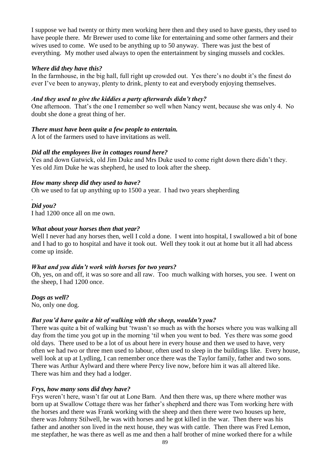I suppose we had twenty or thirty men working here then and they used to have guests, they used to have people there. Mr Brewer used to come like for entertaining and some other farmers and their wives used to come. We used to be anything up to 50 anyway. There was just the best of everything. My mother used always to open the entertainment by singing mussels and cockles.

### *Where did they have this?*

In the farmhouse, in the big hall, full right up crowded out. Yes there's no doubt it's the finest do ever I've been to anyway, plenty to drink, plenty to eat and everybody enjoying themselves.

# *And they used to give the kiddies a party afterwards didn't they?*

One afternoon. That's the one I remember so well when Nancy went, because she was only 4. No doubt she done a great thing of her.

# *There must have been quite a few people to entertain.*

A lot of the farmers used to have invitations as well.

### *Did all the employees live in cottages round here?*

Yes and down Gatwick, old Jim Duke and Mrs Duke used to come right down there didn't they. Yes old Jim Duke he was shepherd, he used to look after the sheep.

# *How many sheep did they used to have?*

Oh we used to fat up anything up to 1500 a year. I had two years shepherding

#### . *Did you?*

I had 1200 once all on me own.

# *What about your horses then that year?*

Well I never had any horses then, well I cold a done. I went into hospital, I swallowed a bit of bone and I had to go to hospital and have it took out. Well they took it out at home but it all had abcess come up inside.

### *What and you didn't work with horses for two years?*

Oh, yes, on and off, it was so sore and all raw. Too much walking with horses, you see. I went on the sheep, I had 1200 once.

# *Dogs as well?*

No, only one dog.

# *But you'd have quite a bit of walking with the sheep, wouldn't you?*

There was quite a bit of walking but 'twasn't so much as with the horses where you was walking all day from the time you got up in the morning 'til when you went to bed. Yes there was some good old days. There used to be a lot of us about here in every house and then we used to have, very often we had two or three men used to labour, often used to sleep in the buildings like. Every house, well look at up at Lydling, I can remember once there was the Taylor family, father and two sons. There was Arthur Aylward and there where Percy live now, before him it was all altered like. There was him and they had a lodger.

### *Frys, how many sons did they have?*

Frys weren't here, wasn't far out at Lone Barn. And then there was, up there where mother was born up at Swallow Cottage there was her father's shepherd and there was Tom working here with the horses and there was Frank working with the sheep and then there were two houses up here, there was Johnny Stilwell, he was with horses and he got killed in the war. Then there was his father and another son lived in the next house, they was with cattle. Then there was Fred Lemon, me stepfather, he was there as well as me and then a half brother of mine worked there for a while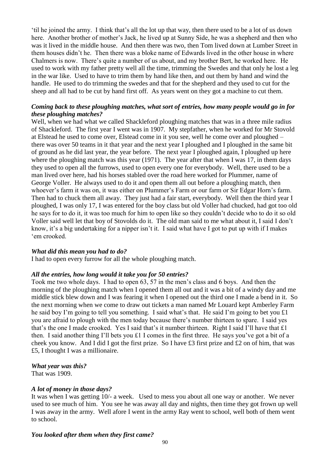'til he joined the army. I think that's all the lot up that way, then there used to be a lot of us down here. Another brother of mother's Jack, he lived up at Sunny Side, he was a shepherd and then who was it lived in the middle house. And then there was two, then Tom lived down at Lumber Street in them houses didn't he. Then there was a bloke name of Edwards lived in the other house in where Chalmers is now. There's quite a number of us about, and my brother Bert, he worked here. He used to work with my father pretty well all the time, trimming the Swedes and that only he lost a leg in the war like. Used to have to trim them by hand like then, and out them by hand and wind the handle. He used to do trimming the swedes and that for the shepherd and they used to cut for the sheep and all had to be cut by hand first off. As years went on they got a machine to cut them.

# *Coming back to these ploughing matches, what sort of entries, how many people would go in for these ploughing matches?*

Well, when we had what we called Shackleford ploughing matches that was in a three mile radius of Shackleford. The first year I went was in 1907. My stepfather, when he worked for Mr Stovold at Elstead he used to come over, Elstead come in it you see, well he come over and ploughed – there was over 50 teams in it that year and the next year I ploughed and I ploughed in the same bit of ground as he did last year, the year before. The next year I ploughed again, I ploughed up here where the ploughing match was this year (1971). The year after that when I was 17, in them days they used to open all the furrows, used to open every one for everybody. Well, there used to be a man lived over here, had his horses stabled over the road here worked for Plummer, name of George Voller. He always used to do it and open them all out before a ploughing match, then whoever's farm it was on, it was either on Plummer's Farm or our farm or Sir Edgar Horn's farm. Then had to chuck them all away. They just had a fair start, everybody. Well then the third year I ploughed, I was only 17, I was entered for the boy class but old Voller had chucked, had got too old he says for to do it, it was too much for him to open like so they couldn't decide who to do it so old Voller said well let that boy of Stovolds do it. The old man said to me what about it, I said I don't know, it's a big undertaking for a nipper isn't it. I said what have I got to put up with if I makes 'em crooked.

### *What did this mean you had to do?*

I had to open every furrow for all the whole ploughing match.

### *All the entries, how long would it take you for 50 entries?*

Took me two whole days. I had to open 63, 57 in the men's class and 6 boys. And then the morning of the ploughing match when I opened them all out and it was a bit of a windy day and me middle stick blew down and I was fearing it when I opened out the third one I made a bend in it. So the next morning when we come to draw out tickets a man named Mr Louard kept Amberley Farm he said boy I'm going to tell you something. I said what's that. He said I'm going to bet you £1 you are afraid to plough with the men today because there's number thirteen to spare. I said yes that's the one I made crooked. Yes I said that's it number thirteen. Right I said I'll have that £1 then. I said another thing I'll bets you £1 I comes in the first three. He says you've got a bit of a cheek you know. And I did I got the first prize. So I have £3 first prize and £2 on of him, that was £5, I thought I was a millionaire.

### *What year was this?*

That was 1909.

### *A lot of money in those days?*

It was when I was getting 10/- a week. Used to mess you about all one way or another. We never used to see much of him. You see he was away all day and nights, then time they got frown up well I was away in the army. Well afore I went in the army Ray went to school, well both of them went to school.

# *You looked after them when they first came?*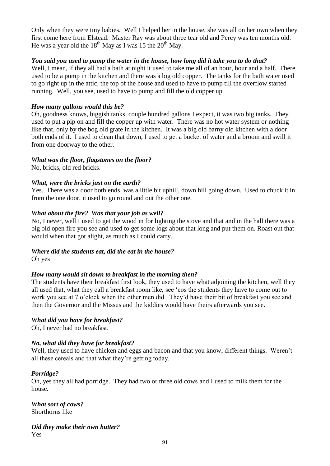Only when they were tiny babies. Well I helped her in the house, she was all on her own when they first come here from Elstead. Master Ray was about three tear old and Percy was ten months old. He was a year old the  $18<sup>th</sup>$  May as I was 15 the  $20<sup>th</sup>$  May.

# *You said you used to pump the water in the house, how long did it take you to do that?*

Well, I mean, if they all had a bath at night it used to take me all of an hour, hour and a half. There used to be a pump in the kitchen and there was a big old copper. The tanks for the bath water used to go right up in the attic, the top of the house and used to have to pump till the overflow started running. Well, you see, used to have to pump and fill the old copper up.

# *How many gallons would this be?*

Oh, goodness knows, biggish tanks, couple hundred gallons I expect, it was two big tanks. They used to put a pip on and fill the copper up with water. There was no hot water system or nothing like that, only by the bog old grate in the kitchen. It was a big old barny old kitchen with a door both ends of it. I used to clean that down, I used to get a bucket of water and a broom and swill it from one doorway to the other.

# *What was the floor, flagstones on the floor?*

No, bricks, old red bricks.

# *What, were the bricks just on the earth?*

Yes. There was a door both ends, was a little bit uphill, down hill going down. Used to chuck it in from the one door, it used to go round and out the other one.

# *What about the fire? Was that your job as well?*

No, I never, well I used to get the wood in for lighting the stove and that and in the hall there was a big old open fire you see and used to get some logs about that long and put them on. Roast out that would when that got alight, as much as I could carry.

# *Where did the students eat, did the eat in the house?*

Oh yes

### *How many would sit down to breakfast in the morning then?*

The students have their breakfast first look, they used to have what adjoining the kitchen, well they all used that, what they call a breakfast room like, see 'cos the students they have to come out to work you see at 7 o'clock when the other men did. They'd have their bit of breakfast you see and then the Governor and the Missus and the kiddies would have theirs afterwards you see.

### *What did you have for breakfast?*

Oh, I never had no breakfast.

# *No, what did they have for breakfast?*

Well, they used to have chicken and eggs and bacon and that you know, different things. Weren't all these cereals and that what they're getting today.

### *Porridge?*

Oh, yes they all had porridge. They had two or three old cows and I used to milk them for the house.

*What sort of cows?* Shorthorns like

*Did they make their own butter?* Yes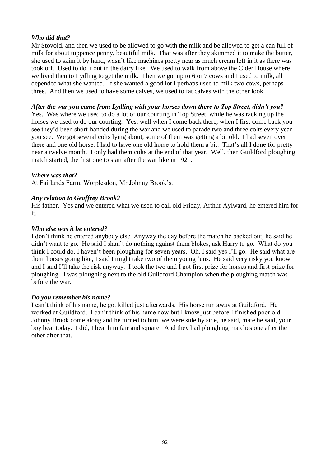# *Who did that?*

Mr Stovold, and then we used to be allowed to go with the milk and be allowed to get a can full of milk for about tuppence penny, beautiful milk. That was after they skimmed it to make the butter, she used to skim it by hand, wasn't like machines pretty near as much cream left in it as there was took off. Used to do it out in the dairy like. We used to walk from above the Cider House where we lived then to Lydling to get the milk. Then we got up to 6 or 7 cows and I used to milk, all depended what she wanted. If she wanted a good lot I perhaps used to milk two cows, perhaps three. And then we used to have some calves, we used to fat calves with the other look.

*After the war you came from Lydling with your horses down there to Top Street, didn't you?*

Yes. Was where we used to do a lot of our courting in Top Street, while he was racking up the horses we used to do our courting. Yes, well when I come back there, when I first come back you see they'd been short-handed during the war and we used to parade two and three colts every year you see. We got several colts lying about, some of them was getting a bit old. I had seven over there and one old horse. I had to have one old horse to hold them a bit. That's all I done for pretty near a twelve month. I only had them colts at the end of that year. Well, then Guildford ploughing match started, the first one to start after the war like in 1921.

### *Where was that?*

At Fairlands Farm, Worplesdon, Mr Johnny Brook's.

# *Any relation to Geoffrey Brook?*

His father. Yes and we entered what we used to call old Friday, Arthur Aylward, he entered him for it.

# *Who else was it he entered?*

I don't think he entered anybody else. Anyway the day before the match he backed out, he said he didn't want to go. He said I shan't do nothing against them blokes, ask Harry to go. What do you think I could do, I haven't been ploughing for seven years. Oh, I said yes I'll go. He said what are them horses going like, I said I might take two of them young 'uns. He said very risky you know and I said I'll take the risk anyway. I took the two and I got first prize for horses and first prize for ploughing. I was ploughing next to the old Guildford Champion when the ploughing match was before the war.

### *Do you remember his name?*

I can't think of his name, he got killed just afterwards. His horse run away at Guildford. He worked at Guildford. I can't think of his name now but I know just before I finished poor old Johnny Brook come along and he turned to him, we were side by side, he said, mate he said, your boy beat today. I did, I beat him fair and square. And they had ploughing matches one after the other after that.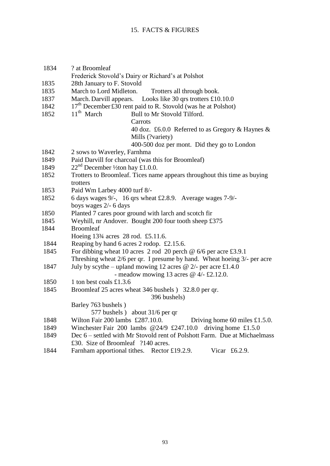# 15. FACTS & FIGURES

| 1834 | ? at Broomleaf                                                                  |
|------|---------------------------------------------------------------------------------|
|      | Frederick Stovold's Dairy or Richard's at Polshot                               |
| 1835 | 28th January to F. Stovold<br>March to Lord Midleton.                           |
| 1835 | Trotters all through book.                                                      |
| 1837 | Looks like 30 qrs trotters £10.10.0<br>March. Darvill appears.                  |
| 1842 | $17th$ December £30 rent paid to R. Stovold (was he at Polshot)<br>$11th$ March |
| 1852 | Bull to Mr Stovold Tilford.                                                     |
|      | Carrots                                                                         |
|      | 40 doz. £6.0.0 Referred to as Gregory & Haynes &<br>Mills (?variety)            |
|      | 400-500 doz per mont. Did they go to London                                     |
| 1842 | 2 sows to Waverley, Farnhma                                                     |
| 1849 | Paid Darvill for charcoal (was this for Broomleaf)                              |
| 1849 | $22nd$ December 1/2ton hay £1.0.0.                                              |
| 1852 | Trotters to Broomleaf. Tices name appears throughout this time as buying        |
|      | trotters                                                                        |
| 1853 | Paid Wm Larbey 4000 turf 8/-                                                    |
| 1852 | 6 days wages 9/-, 16 qrs wheat £2.8.9. Average wages 7-9/-                      |
|      | boys wages 2/- 6 days                                                           |
| 1850 | Planted 7 cares poor ground with larch and scotch fir                           |
| 1845 | Weyhill, nr Andover. Bought 200 four tooth sheep £375                           |
| 1844 | <b>Broomleaf</b>                                                                |
|      | Hoeing 13 <sup>3</sup> / <sub>4</sub> acres 28 rod. £5.11.6.                    |
| 1844 | Reaping by hand 6 acres 2 rodop. £2.15.6.                                       |
| 1845 | For dibbing wheat 10 acres 2 rod 20 perch $\omega$ 6/6 per acre £3.9.1          |
|      | Threshing wheat 2/6 per qr. I presume by hand. Wheat hoeing 3/- per acre        |
| 1847 | July by scythe – upland mowing 12 acres @ 2/- per acre £1.4.0                   |
|      | - meadow mowing 13 acres $@$ 4/- £2.12.0.                                       |
| 1850 | 1 ton best coals £1.3.6                                                         |
| 1845 | Broomleaf 25 acres wheat 346 bushels ) 32.8.0 per qr.                           |
|      | 396 bushels)                                                                    |
|      | Barley 763 bushels)                                                             |
|      | 577 bushels) about 31/6 per qr                                                  |
| 1848 | Wilton Fair 200 lambs £287.10.0.<br>Driving home 60 miles $£1.5.0$ .            |
| 1849 | Winchester Fair 200 lambs $@24/9$ £247.10.0<br>driving home $£1.5.0$            |
| 1849 | Dec 6 – settled with Mr Stovold rent of Polshott Farm. Due at Michaelmass       |
|      | £30. Size of Broomleaf ?140 acres.                                              |

1844 Farnham apportional tithes. Rector £19.2.9. Vicar £6.2.9.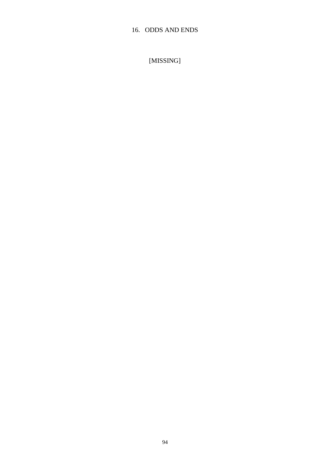# 16. ODDS AND ENDS

[MISSING]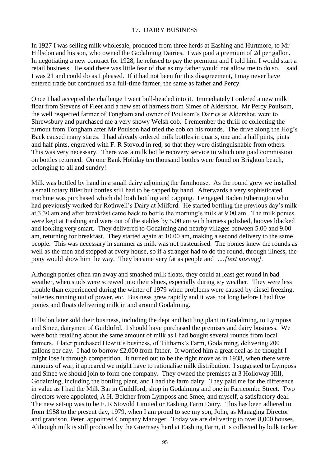### 17. DAIRY BUSINESS

In 1927 I was selling milk wholesale, produced from three herds at Eashing and Hurtmore, to Mr Hillsdon and his son, who owned the Godalming Dairies. I was paid a premium of 2d per gallon. In negotiating a new contract for 1928, he refused to pay the premium and I told him I would start a retail business. He said there was little fear of that as my father would not allow me to do so. I said I was 21 and could do as I pleased. If it had not been for this disagreement, I may never have entered trade but continued as a full-time farmer, the same as father and Percy.

Once I had accepted the challenge I went bull-headed into it. Immediately I ordered a new milk float from Stevens of Fleet and a new set of harness from Simes of Aldershot. Mr Percy Poulsom, the well respected farmer of Tongham and owner of Poulsom's Dairies at Aldershot, went to Shrewsbury and purchased me a very showy Welsh cob. I remember the thrill of collecting the turnout from Tongham after Mr Poulson had tried the cob on his rounds. The drive along the Hog's Back caused many stares. I had already ordered milk bottles in quarts, one and a half pints, pints and half pints, engraved with F. R Stovold in red, so that they were distinguishable from others. This was very necessary. There was a milk bottle recovery service to which one paid commission on bottles returned. On one Bank Holiday ten thousand bottles were found on Brighton beach, belonging to all and sundry!

Milk was bottled by hand in a small dairy adjoining the farmhouse. As the round grew we installed a small rotary filler but bottles still had to be capped by hand. Afterwards a very sophisticated machine was purchased which did both bottling and capping. I engaged Baden Etherington who had previously worked for Rothwell's Dairy at Milford. He started bottling the previous day's milk at 3.30 am and after breakfast came back to bottle the morning's milk at 9.00 am. The milk ponies were kept at Eashing and were out of the stables by 5.00 am with harness polished, hooves blacked and looking very smart. They delivered to Godalming and nearby villages between 5.00 and 9.00 am, returning for breakfast. They started again at 10.00 am, making a second delivery to the same people. This was necessary in summer as milk was not pasteurised. The ponies knew the rounds as well as the men and stopped at every house, so if a stranger had to do the round, through illness, the pony would show him the way. They became very fat as people and *….[text missing].*

Although ponies often ran away and smashed milk floats, they could at least get round in bad weather, when studs were screwed into their shoes, especially during icy weather. They were less trouble than experienced during the winter of 1979 when problems were caused by diesel freezing, batteries running out of power, etc. Business grew rapidly and it was not long before I had five ponies and floats delivering milk in and around Godalming.

Hillsdon later sold their business, including the dept and bottling plant in Godalming, to Lymposs and Smee, dairymen of Guildofrd. I should have purchased the premises and dairy business. We were both retailing about the same amount of milk as I had bought several rounds from local farmers. I later purchased Hewitt's business, of Tilthams's Farm, Godalming, delivering 200 gallons per day. I had to borrow £2,000 from father. It worried him a great deal as he thought I might lose it through competition. It turned out to be the right move as in 1938, when there were rumours of war, it appeared we might have to rationalise milk distribution. I suggested to Lymposs and Smee we should join to form one company. They owned the premises at 3 Holloway Hill, Godalming, including the bottling plant, and I had the farm dairy. They paid me for the difference in value as I had the Milk Bar in Guildford, shop in Godalming and one in Farncombe Street. Two directors were appointed, A.H. Belcher from Lymposs and Smee, and myself, a satisfactory deal. The new set-up was to be F. R Stovold Limited or Eashing Farm Dairy. This has been adhered to from 1958 to the present day, 1979, when I am proud to see my son, John, as Managing Director and grandson, Peter, appointed Company Manager. Today we are delivering to over 8,000 houses. Although milk is still produced by the Guernsey herd at Eashing Farm, it is collected by bulk tanker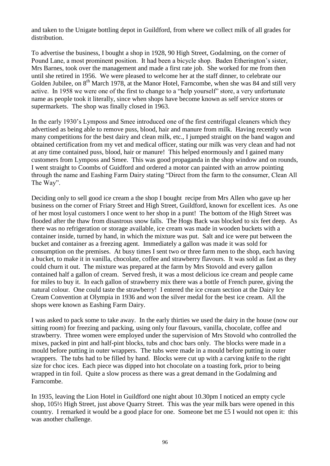and taken to the Unigate bottling depot in Guildford, from where we collect milk of all grades for distribution.

To advertise the business, I bought a shop in 1928, 90 High Street, Godalming, on the corner of Pound Lane, a most prominent position. It had been a bicycle shop. Baden Etherington's sister, Mrs Barnes, took over the management and made a first rate job. She worked for me from then until she retired in 1956. We were pleased to welcome her at the staff dinner, to celebrate our Golden Jubilee, on  $8<sup>th</sup>$  March 1978, at the Manor Hotel, Farncombe, when she was 84 and still very active. In 1958 we were one of the first to change to a "help yourself" store, a very unfortunate name as people took it literally, since when shops have become known as self service stores or supermarkets. The shop was finally closed in 1963.

In the early 1930's Lymposs and Smee introduced one of the first centrifugal cleaners which they advertised as being able to remove puss, blood, hair and manure from milk. Having recently won many competitions for the best dairy and clean milk, etc., I jumped straight on the band wagon and obtained certification from my vet and medical officer, stating our milk was very clean and had not at any time contained puss, blood, hair or manure! This helped enormously and I gained many customers from Lymposs and Smee. This was good propaganda in the shop window and on rounds, I went straight to Coombs of Guidford and ordered a motor can painted with an arrow pointing through the name and Eashing Farm Dairy stating "Direct from the farm to the consumer, Clean All The Way".

Deciding only to sell good ice cream a the shop I bought recipe from Mrs Allen who gave up her business on the corner of Friary Street and High Street, Guildford, known for excellent ices. As one of her most loyal customers I once went to her shop in a punt! The bottom of the High Street was flooded after the thaw from disastrous snow falls. The Hogs Back was blocked to six feet deep. As there was no refrigeration or storage available, ice cream was made in wooden buckets with a container inside, turned by hand, in which the mixture was put. Salt and ice were put between the bucket and container as a freezing agent. Immediately a gallon was made it was sold for consumption on the premises. At busy times I sent two or three farm men to the shop, each having a bucket, to make it in vanilla, chocolate, coffee and strawberry flavours. It was sold as fast as they could churn it out. The mixture was prepared at the farm by Mrs Stovold and every gallon contained half a gallon of cream. Served fresh, it was a most delicious ice cream and people came for miles to buy it. In each gallon of strawberry mix there was a bottle of French puree, giving the natural colour. One could taste the strawberry! I entered the ice cream section at the Dairy Ice Cream Convention at Olympia in 1936 and won the silver medal for the best ice cream. All the shops were known as Eashing Farm Dairy.

I was asked to pack some to take away. In the early thirties we used the dairy in the house (now our sitting room) for freezing and packing, using only four flavours, vanilla, chocolate, coffee and strawberry. Three women were employed under the supervision of Mrs Stovold who controlled the mixes, packed in pint and half-pint blocks, tubs and choc bars only. The blocks were made in a mould before putting in outer wrappers. The tubs were made in a mould before putting in outer wrappers. The tubs had to be filled by hand. Blocks were cut up with a carving knife to the right size for choc ices. Each piece was dipped into hot chocolate on a toasting fork, prior to being wrapped in tin foil. Quite a slow process as there was a great demand in the Godalming and Farncombe.

In 1935, leaving the Lion Hotel in Guildford one night about 10.30pm I noticed an empty cycle shop, 105½ High Street, just above Quarry Street. This was the year milk bars were opened in this country. I remarked it would be a good place for one. Someone bet me £5 I would not open it: this was another challenge.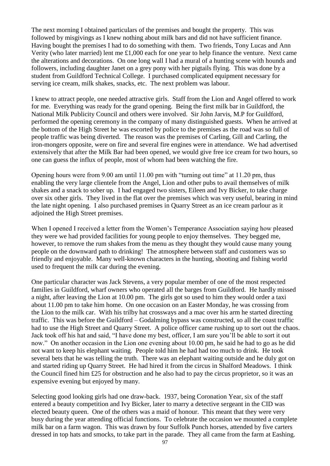The next morning I obtained particulars of the premises and bought the property. This was followed by misgivings as I knew nothing about milk bars and did not have sufficient finance. Having bought the premises I had to do something with them. Two friends, Tony Lucas and Ann Verity (who later married) lent me £1,000 each for one year to help finance the venture. Next came the alterations and decorations. On one long wall I had a mural of a hunting scene with hounds and followers, including daughter Janet on a grey pony with her pigtails flying. This was done by a student from Guildford Technical College. I purchased complicated equipment necessary for serving ice cream, milk shakes, snacks, etc. The next problem was labour.

I knew to attract people, one needed attractive girls. Staff from the Lion and Angel offered to work for me. Everything was ready for the grand opening. Being the first milk bar in Guildford, the National Milk Publicity Council and others were involved. Sir John Jarvis, M.P for Guildford, performed the opening ceremony in the company of many distinguished guests. When he arrived at the bottom of the High Street he was escorted by police to the premises as the road was so full of people traffic was being diverted. The reason was the premises of Carling, Gill and Carling, the iron-mongers opposite, were on fire and several fire engines were in attendance. We had advertised extensively that after the Milk Bar had been opened, we would give free ice cream for two hours, so one can guess the influx of people, most of whom had been watching the fire.

Opening hours were from 9.00 am until 11.00 pm with "turning out time" at 11.20 pm, thus enabling the very large clientele from the Angel, Lion and other pubs to avail themselves of milk shakes and a snack to sober up. I had engaged two sisters, Eileen and Ivy Bicker, to take charge over six other girls. They lived in the flat over the premises which was very useful, bearing in mind the late night opening. I also purchased premises in Quarry Street as an ice cream parlour as it adjoined the High Street premises.

When I opened I received a letter from the Women's Temperance Association saying how pleased they were we had provided facilities for young people to enjoy themselves. They begged me, however, to remove the rum shakes from the menu as they thought they would cause many young people on the downward path to drinking! The atmosphere between staff and customers was so friendly and enjoyable. Many well-known characters in the hunting, shooting and fishing world used to frequent the milk car during the evening.

One particular character was Jack Stevens, a very popular member of one of the most respected families in Guildford, wharf owners who operated all the barges from Guildford. He hardly missed a night, after leaving the Lion at 10.00 pm. The girls got so used to him they would order a taxi about 11.00 pm to take him home. On one occasion on an Easter Monday, he was crossing from the Lion to the milk car. With his trilby hat crossways and a mac over his arm he started directing traffic. This was before the Guildford – Godalming bypass was constructed, so all the coast traffic had to use the High Street and Quarry Street. A police officer came rushing up to sort out the chaos. Jack took off his hat and said, "I have done my best, officer, I am sure you'll be able to sort it out now." On another occasion in the Lion one evening about 10.00 pm, he said he had to go as he did not want to keep his elephant waiting. People told him he had had too much to drink. He took several bets that he was telling the truth. There was an elephant waiting outside and he duly got on and started riding up Quarry Street. He had hired it from the circus in Shalford Meadows. I think the Council fined him £25 for obstruction and he also had to pay the circus proprietor, so it was an expensive evening but enjoyed by many.

Selecting good looking girls had one draw-back. 1937, being Coronation Year, six of the staff entered a beauty competition and Ivy Bicker, later to marry a detective sergeant in the CID was elected beauty queen. One of the others was a maid of honour. This meant that they were very busy during the year attending official functions. To celebrate the occasion we mounted a complete milk bar on a farm wagon. This was drawn by four Suffolk Punch horses, attended by five carters dressed in top hats and smocks, to take part in the parade. They all came from the farm at Eashing.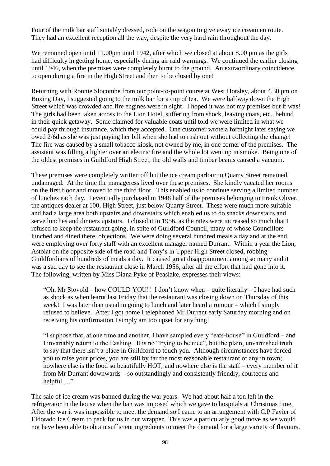Four of the milk bar staff suitably dressed, rode on the wagon to give away ice cream en route. They had an excellent reception all the way, despite the very hard rain throughout the day.

We remained open until 11.00pm until 1942, after which we closed at about 8.00 pm as the girls had difficulty in getting home, especially during air raid warnings. We continued the earlier closing until 1946, when the premises were completely burnt to the ground. An extraordinary coincidence, to open during a fire in the High Street and then to be closed by one!

Returning with Ronnie Slocombe from our point-to-point course at West Horsley, about 4.30 pm on Boxing Day, I suggested going to the milk bar for a cup of tea. We were halfway down the High Street which was crowded and fire engines were in sight. I hoped it was not my premises but it was! The girls had been taken across to the Lion Hotel, suffering from shock, leaving coats, etc., behind in their quick getaway. Some claimed for valuable coats until told we were limited in what we could pay through insurance, which they accepted. One customer wrote a fortnight later saying we owed 2/6d as she was just paying her bill when she had to rush out without collecting the change! The fire was caused by a small tobacco kiosk, not owned by me, in one corner of the premises. The assistant was filling a lighter over an electric fire and the whole lot went up in smoke. Being one of the oldest premises in Guildford High Street, the old walls and timber beams caused a vacuum.

These premises were completely written off but the ice cream parlour in Quarry Street remained undamaged. At the time the manageress lived over these premises. She kindly vacated her rooms on the first floor and moved to the third floor. This enabled us to continue serving a limited number of lunches each day. I eventually purchased in 1948 half of the premises belonging to Frank Oliver, the antiques dealer at 100, High Street, just below Quarry Street. These were much more suitable and had a large area both upstairs and downstairs which enabled us to do snacks downstairs and serve lunches and dinners upstairs. I closed it in 1956, as the rates were increased so much that I refused to keep the restaurant going, in spite of Guildford Council, many of whose Councillors lunched and dined there, objections. We were doing several hundred meals a day and at the end were employing over forty staff with an excellent manager named Durrant. Within a year the Lion, Astolat on the opposite side of the road and Tony's in Upper High Street closed, robbing Guildfordians of hundreds of meals a day. It caused great disappointment among so many and it was a sad day to see the restaurant close in March 1956, after all the effort that had gone into it. The following, written by Miss Diana Pyke of Peaslake, expresses their views:

"Oh, Mr Stovold – how COULD YOU!! I don't know when – quite literally – I have had such as shock as when learnt last Friday that the restaurant was closing down on Thursday of this week! I was later than usual in going to lunch and later heard a rumour – which I simply refused to believe. After I got home I telephoned Mr Durrant early Saturday morning and on receiving his confirmation I simply am too upset for anything!

"I suppose that, at one time and another, I have sampled every "eats-house" in Guildford – and I invariably return to the Eashing. It is no "trying to be nice", but the plain, unvarnished truth to say that there isn't a place in Guildford to touch you. Although circumstances have forced you to raise your prices, you are still by far the most reasonable restaurant of any in town; nowhere else is the food so beautifully HOT; and nowhere else is the staff – every member of it from Mr Durrant downwards – so outstandingly and consistently friendly, courteous and helpful…."

The sale of ice cream was banned during the war years. We had about half a ton left in the refrigerator in the house when the ban was imposed which we gave to hospitals at Christmas time. After the war it was impossible to meet the demand so I came to an arrangement with C.P Favier of Eldorado Ice Cream to pack for us in our wrapper. This was a particularly good move as we would not have been able to obtain sufficient ingredients to meet the demand for a large variety of flavours.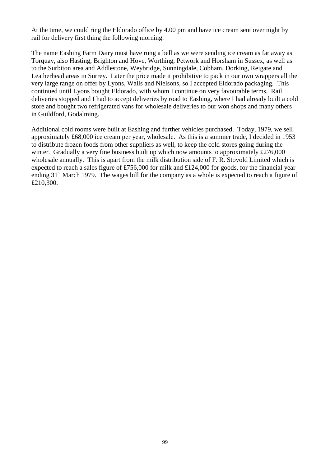At the time, we could ring the Eldorado office by 4.00 pm and have ice cream sent over night by rail for delivery first thing the following morning.

The name Eashing Farm Dairy must have rung a bell as we were sending ice cream as far away as Torquay, also Hasting, Brighton and Hove, Worthing, Petwork and Horsham in Sussex, as well as to the Surbiton area and Addlestone, Weybridge, Sunningdale, Cobham, Dorking, Reigate and Leatherhead areas in Surrey. Later the price made it prohibitive to pack in our own wrappers all the very large range on offer by Lyons, Walls and Nielsons, so I accepted Eldorado packaging. This continued until Lyons bought Eldorado, with whom I continue on very favourable terms. Rail deliveries stopped and I had to accept deliveries by road to Eashing, where I had already built a cold store and bought two refrigerated vans for wholesale deliveries to our won shops and many others in Guildford, Godalming.

Additional cold rooms were built at Eashing and further vehicles purchased. Today, 1979, we sell approximately £68,000 ice cream per year, wholesale. As this is a summer trade, I decided in 1953 to distribute frozen foods from other suppliers as well, to keep the cold stores going during the winter. Gradually a very fine business built up which now amounts to approximately £276,000 wholesale annually. This is apart from the milk distribution side of F. R. Stovold Limited which is expected to reach a sales figure of £756,000 for milk and £124,000 for goods, for the financial year ending  $31<sup>st</sup>$  March 1979. The wages bill for the company as a whole is expected to reach a figure of £210,300.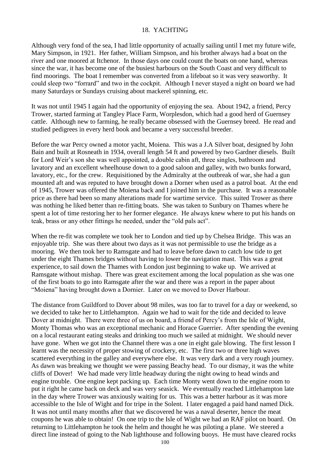#### 18. YACHTING

Although very fond of the sea, I had little opportunity of actually sailing until I met my future wife, Mary Simpson, in 1921. Her father, William Simpson, and his brother always had a boat on the river and one moored at Itchenor. In those days one could count the boats on one hand, whereas since the war, it has become one of the busiest harbours on the South Coast and very difficult to find moorings. The boat I remember was converted from a lifeboat so it was very seaworthy. It could sleep two "forrard" and two in the cockpit. Although I never stayed a night on board we had many Saturdays or Sundays cruising about mackerel spinning, etc.

It was not until 1945 I again had the opportunity of enjoying the sea. About 1942, a friend, Percy Trower, started farming at Tangley Place Farm, Worplesdon, which had a good herd of Guernsey cattle. Although new to farming, he really became obsessed with the Guernsey breed. He read and studied pedigrees in every herd book and became a very successful breeder.

Before the war Percy owned a motor yacht, Moiena. This was a J.A Silver boat, designed by John Bain and built at Rosneath in 1934, overall length 54 ft and powered by two Gardner diesels. Built for Lord Weir's son she was well appointed, a double cabin aft, three singles, bathroom and lavatory and an excellent wheelhouse down to a good saloon and galley, with two bunks forward, lavatory, etc., for the crew. Requisitioned by the Admiralty at the outbreak of war, she had a gun mounted aft and was reputed to have brought down a Dorner when used as a patrol boat. At the end of 1945, Trower was offered the Moiena back and I joined him in the purchase. It was a reasonable price as there had been so many alterations made for wartime service. This suited Trower as there was nothing he liked better than re-fitting boats. She was taken to Sunbury on Thames where he spent a lot of time restoring her to her former elegance. He always knew where to put his hands on teak, brass or any other fittings he needed, under the "old pals act".

When the re-fit was complete we took her to London and tied up by Chelsea Bridge. This was an enjoyable trip. She was there about two days as it was not permissible to use the bridge as a mooring. We then took her to Ramsgate and had to leave before dawn to catch low tide to get under the eight Thames bridges without having to lower the navigation mast. This was a great experience, to sail down the Thames with London just beginning to wake up. We arrived at Ramsgate without mishap. There was great excitement among the local population as she was one of the first boats to go into Ramsgate after the war and there was a report in the paper about "Moiena" having brought down a Dornier. Later on we moved to Dover Harbour.

The distance from Guildford to Dover about 98 miles, was too far to travel for a day or weekend, so we decided to take her to Littlehampton. Again we had to wait for the tide and decided to leave Dover at midnight. There were three of us on board, a friend of Percy's from the Isle of Wight, Monty Thomas who was an exceptional mechanic and Horace Guerrier. After spending the evening on a local restaurant eating steaks and drinking too much we sailed at midnight. We should never have gone. When we got into the Channel there was a one in eight gale blowing. The first lesson I learnt was the necessity of proper stowing of crockery, etc. The first two or three high waves scattered everything in the galley and everywhere else. It was very dark and a very rough journey. As dawn was breaking we thought we were passing Beachy head. To our dismay, it was the white cliffs of Dover! We had made very little headway during the night owing to head winds and engine trouble. One engine kept packing up. Each time Monty went down to the engine room to put it right he came back on deck and was very seasick. We eventually reached Littlehampton late in the day where Trower was anxiously waiting for us. This was a better harbour as it was more accessible to the Isle of Wight and for tripe in the Solent. I later engaged a paid hand named Dick. It was not until many months after that we discovered he was a naval deserter, hence the meat coupons he was able to obtain! On one trip to the Isle of Wight we had an RAF pilot on board. On returning to Littlehampton he took the helm and thought he was piloting a plane. We steered a direct line instead of going to the Nab lighthouse and following buoys. He must have cleared rocks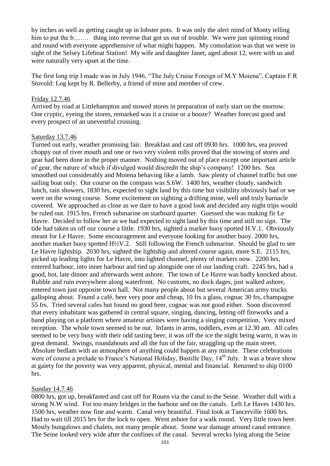by inches as well as getting caught up in lobster pots. It was only the alert mind of Monty telling him to put the b……. thing into reverse that got us out of trouble. We were just spinning round and round with everyone apprehensive of what might happen. My consolation was that we were in sight of the Selsey Lifeboat Station! My wife and daughter Janet, aged about 12, were with us and were naturally very upset at the time.

The first long trip I made was in July 1946, "The July Cruise Foreign of M.Y Moiena", Captain F.R Stovold: Log kept by R. Bellerby, a friend of mine and member of crew.

#### Friday 12.7.46

Arrived by road at Littlehampton and stowed stores in preparation of early start on the morrow. One cryptic, eyeing the stores, remarked was it a cruise or a booze? Weather forecast good and every prospect of an uneventful crossing.

#### Saturday 13.7.46

Turned out early, weather promising fair. Breakfast and cast off 0930 hrs. 1000 hrs, sea proved choppy out of river mouth and one or two very violent rolls proved that the stowing of stores and gear had been done in the proper manner. Nothing moved out of place except one important article of gear, the nature of which if divulged would discredit the ship's company! 1200 hrs. Sea smoothed out considerably and Moiena behaving like a lamb. Saw plenty of channel traffic but one sailing boat only. Our course on the compass was S.6W. 1400 hrs, weather cloudy, sandwich lunch, rain showers, 1830 hrs, expected to sight land by this time but visibility obviously bad or we were on the wrong course. Some excitement on sighting a drifting mine, well and truly barnacle covered. We approached as close as we dare to have a good look and decided any night trips would be ruled out. 1915 hrs, French submarine on starboard quarter. Guessed she was making fir Le Havre. Decided to follow her as we had expected to sight land by this time and still no sign. The tide had taken us off our course a little. 1930 hrs, sighted a marker buoy spotted H.V.1. Obviously meant for Le Havre. Some encouragement and everyone looking for another buoy. 2000 hrs, another marker buoy spotted  $H\frac{1}{2}V.2$ . Still following the French submarine. Should be glad to see Le Havre lightship. 2030 hrs, sighted the lightship and altered course again, more S.E. 2115 hrs, picked up leading lights for Le Havre, into lighted channel, plenty of markers now. 2200 hrs, entered harbour, into inner harbour and tied up alongside one of our landing craft. 2245 hrs, had a good, hot, late dinner and afterwards went ashore. The town of Le Havre was badly knocked about. Rubble and ruin everywhere along waterfront. No customs, no dock dages, just walked ashore, entered town just opposite town hall. Not many people about but several American army trucks galloping about. Found a café, beer very poor and cheap, 10 frs a glass, cognac 30 frs, champagne 55 frs. Tried several cafes but found no good beer, cognac was not good either. Soon discovered that every inhabitant was gathered in central square, singing, dancing, letting off fireworks and a band playing on a platform where amateur artistes were having a singing competition. Very mixed reception. The whole town seemed to be out. Infants in arms, toddlers, even at 12.30 am. All cafes seemed to be very busy with their odd tasting beer, it was off the ice the night being warm, it was in great demand. Swings, roundabouts and all the fun of the fair, straggling up the main street. Absolute bedlam with an atmosphere of anything could happen at any minute. These celebrations were of course a prelude to France's National Holiday, Bastille Day, 14<sup>th</sup> July. It was a brave show at gaiety for the poverty was very apparent, physical, mental and financial. Returned to ship 0100 hrs.

### Sunday 14.7.46

0800 hrs, got up, breakfasted and cast off for Rouen via the canal to the Seine. Weather dull with a strong N.W wind. For too many bridges in the harbour and on the canals. Left Le Haves 1430 hrs. 1500 hrs, weather now fine and warm. Canal very beautiful. Final look at Tancerville 1600 hrs. Had to wait till 2015 hrs for the lock to open. Went ashore for a walk round. Very little town here. Mostly bungalows and chalets, not many people about. Some war damage around canal entrance. The Seine looked very wide after the confines of the canal. Several wrecks lying along the Seine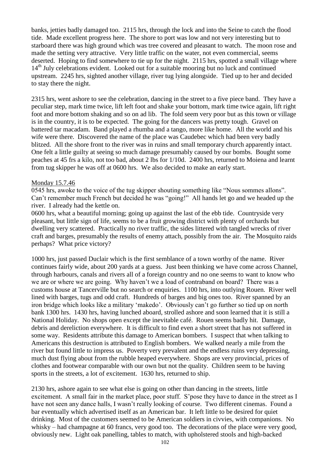banks, jetties badly damaged too. 2115 hrs, through the lock and into the Seine to catch the flood tide. Made excellent progress here. The shore to port was low and not very interesting but to starboard there was high ground which was tree covered and pleasant to watch. The moon rose and made the setting very attractive. Very little traffic on the water, not even commercial, seems deserted. Hoping to find somewhere to tie up for the night. 2115 hrs, spotted a small village where 14<sup>th</sup> July celebrations evident. Looked out for a suitable mooring but no luck and continued upstream. 2245 hrs, sighted another village, river tug lying alongside. Tied up to her and decided to stay there the night.

2315 hrs, went ashore to see the celebration, dancing in the street to a five piece band. They have a peculiar step, mark time twice, lift left foot and shake your bottom, mark time twice again, lift right foot and more bottom shaking and so on ad lib. The fold seem very poor but as this town or village is in the country, it is to be expected. The going for the dancers was pretty tough. Gravel on battered tar macadam. Band played a rhumba and a tango, more like home. All the world and his wife were there. Discovered the name of the place was Caudebec which had been very badly blitzed. All the shore front to the river was in ruins and small temporary church apparently intact. One felt a little guilty at seeing so much damage presumably caused by our bombs. Bought some peaches at 45 frs a kilo, not too bad, about 2 lbs for 1/10d. 2400 hrs, returned to Moiena and learnt from tug skipper he was off at 0600 hrs. We also decided to make an early start.

### Monday 15.7.46

0545 hrs, awoke to the voice of the tug skipper shouting something like "Nous sommes allons". Can't remember much French but decided he was "going!" All hands let go and we headed up the river. I already had the kettle on.

0600 hrs, what a beautiful morning; going up against the last of the ebb tide. Countryside very pleasant, but little sign of life, seems to be a fruit growing district with plenty of orchards but dwelling very scattered. Practically no river traffic, the sides littered with tangled wrecks of river craft and barges, presumably the results of enemy attach, possibly from the air. The Mosquito raids perhaps? What price victory?

1000 hrs, just passed Duclair which is the first semblance of a town worthy of the name. River continues fairly wide, about 200 yards at a guess. Just been thinking we have come across Channel, through harbours, canals and rivers all of a foreign country and no one seems to want to know who we are or where we are going. Why haven't we a load of contraband on board? There was a customs house at Tancerville but no search or enquiries. 1100 hrs, into outlying Rouen. River well lined with barges, tugs and odd craft. Hundreds of barges and big ones too. River spanned by an iron bridge which looks like a military 'makedo'. Obviously can't go further so tied up on north bank 1300 hrs. 1430 hrs, having lunched aboard, strolled ashore and soon learned that it is still a National Holiday. No shops open except the inevitable café. Rouen seems badly hit. Damage, debris and dereliction everywhere. It is difficult to find even a short street that has not suffered in some way. Residents attribute this damage to American bombers. I suspect that when talking to Americans this destruction is attributed to English bombers. We walked nearly a mile from the river but found little to impress us. Poverty very prevalent and the endless ruins very depressing, much dust flying about from the rubble heaped everywhere. Shops are very provincial, prices of clothes and footwear comparable with our own but not the quality. Children seem to be having sports in the streets, a lot of excitement. 1630 hrs, returned to ship.

2130 hrs, ashore again to see what else is going on other than dancing in the streets, little excitement. A small fair in the market place, poor stuff. S'pose they have to dance in the street as I have not seen any dance halls, I wasn't really looking of course. Two different cinemas. Found a bar eventually which advertised itself as an American bar. It left little to be desired for quiet drinking. Most of the customers seemed to be American soldiers in civvies, with companions. No whisky – had champagne at 60 francs, very good too. The decorations of the place were very good, obviously new. Light oak panelling, tables to match, with upholstered stools and high-backed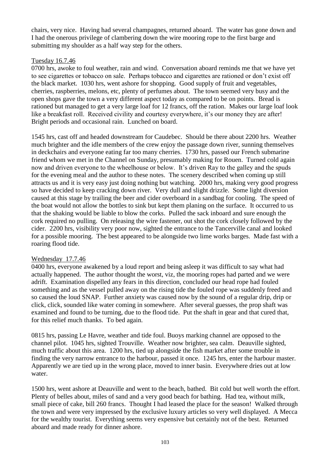chairs, very nice. Having had several champagnes, returned aboard. The water has gone down and I had the onerous privilege of clambering down the wire mooring rope to the first barge and submitting my shoulder as a half way step for the others.

# Tuesday 16.7.46

0700 hrs, awoke to foul weather, rain and wind. Conversation aboard reminds me that we have yet to see cigarettes or tobacco on sale. Perhaps tobacco and cigarettes are rationed or don't exist off the black market. 1030 hrs, went ashore for shopping. Good supply of fruit and vegetables, cherries, raspberries, melons, etc, plenty of perfumes about. The town seemed very busy and the open shops gave the town a very different aspect today as compared to be on points. Bread is rationed but managed to get a very large loaf for 12 francs, off the ration. Makes our large loaf look like a breakfast roll. Received civility and courtesy everywhere, it's our money they are after! Bright periods and occasional rain. Lunched on board.

1545 hrs, cast off and headed downstream for Caudebec. Should be there about 2200 hrs. Weather much brighter and the idle members of the crew enjoy the passage down river, sunning themselves in deckchairs and everyone eating far too many cherries. 1730 hrs, passed our French submarine friend whom we met in the Channel on Sunday, presumably making for Rouen. Turned cold again now and driven everyone to the wheelhouse or below. It's driven Ray to the galley and the spuds for the evening meal and the author to these notes. The scenery described when coming up still attracts us and it is very easy just doing nothing but watching. 2000 hrs, making very good progress so have decided to keep cracking down river. Very dull and slight drizzle. Some light diversion caused at this stage by trailing the beer and cider overboard in a sandbag for cooling. The speed of the boat would not allow the bottles to sink but kept them planing on the surface. It occurred to us that the shaking would be liable to blow the corks. Pulled the sack inboard and sure enough the cork required no pulling. On releasing the wire fastener, out shot the cork closely followed by the cider. 2200 hrs, visibility very poor now, sighted the entrance to the Tancerville canal and looked for a possible mooring. The best appeared to be alongside two lime works barges. Made fast with a roaring flood tide.

# Wednesday 17.7.46

0400 hrs, everyone awakened by a loud report and being asleep it was difficult to say what had actually happened. The author thought the worst, viz, the mooring ropes had parted and we were adrift. Examination dispelled any fears in this direction, concluded our head rope had fouled something and as the vessel pulled away on the rising tide the fouled rope was suddenly freed and so caused the loud SNAP. Further anxiety was caused now by the sound of a regular drip, drip or click, click, sounded like water coming in somewhere. After several guesses, the prop shaft was examined and found to be turning, due to the flood tide. Put the shaft in gear and that cured that, for this relief much thanks. To bed again.

0815 hrs, passing Le Havre, weather and tide foul. Buoys marking channel are opposed to the channel pilot. 1045 hrs, sighted Trouville. Weather now brighter, sea calm. Deauville sighted, much traffic about this area. 1200 hrs, tied up alongside the fish market after some trouble in finding the very narrow entrance to the harbour, passed it once. 1245 hrs, enter the harbour master. Apparently we are tied up in the wrong place, moved to inner basin. Everywhere dries out at low water.

1500 hrs, went ashore at Deauville and went to the beach, bathed. Bit cold but well worth the effort. Plenty of belles about, miles of sand and a very good beach for bathing. Had tea, without milk, small piece of cake, bill 260 francs. Thought I had leased the place for the season! Walked through the town and were very impressed by the exclusive luxury articles so very well displayed. A Mecca for the wealthy tourist. Everything seems very expensive but certainly not of the best. Returned aboard and made ready for dinner ashore.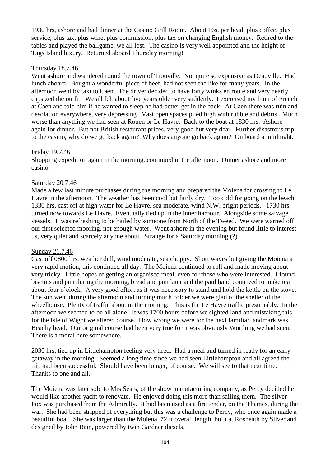1930 hrs, ashore and had dinner at the Casino Grill Room. About 16s. per head, plus coffee, plus service, plus tax, plus wine, plus commission, plus tax on changing English money. Retired to the tables and played the ballgame, we all lost. The casino is very well appointed and the height of Tags Island luxury. Returned aboard Thursday morning!

# Thursday 18.7.46

Went ashore and wandered round the town of Trouville. Not quite so expensive as Deauville. Had lunch aboard. Bought a wonderful piece of beef, had not seen the like for many years. In the afternoon went by taxi to Caen. The driver decided to have forty winks en route and very nearly capsized the outfit. We all felt about five years older very suddenly. I exercised my limit of French at Caen and told him if he wanted to sleep he had better get in the back. At Caen there was ruin and desolation everywhere, very depressing. Vast open spaces piled high with rubble and debris. Much worse than anything we had seen at Rouen or Le Havre. Back to the boat at 1830 hrs. Ashore again for dinner. But not British restaurant prices, very good but very dear. Further disastrous trip to the casino, why do we go back again? Why does anyone go back again? On board at midnight.

# Friday 19.7.46

Shopping expedition again in the morning, continued in the afternoon. Dinner ashore and more casino.

# Saturday 20.7.46

Made a few last minute purchases during the morning and prepared the Moiena for crossing to Le Havre in the afternoon. The weather has been cool but fairly dry. Too cold for going on the beach. 1330 hrs, cast off at high water for Le Havre, sea moderate, wind N.W, bright periods. 1730 hrs, turned now towards Le Havre. Eventually tied up in the inner harbour. Alongside some salvage vessels. It was refreshing to be hailed by someone from North of the Tweed. We were warned off our first selected mooring, not enough water. Went ashore in the evening but found little to interest us, very quiet and scarcely anyone about. Strange for a Saturday morning (?)

### Sunday 21.7.46

Cast off 0800 hrs, weather dull, wind moderate, sea choppy. Short waves but giving the Moiena a very rapid motion, this continued all day. The Moiena continued to roll and made moving about very tricky. Little hopes of getting an organised meal, even for those who were interested. I found biscuits and jam during the morning, bread and jam later and the paid hand contrived to make tea about four o'clock. A very good effort as it was necessary to stand and hold the kettle on the stove. The sun went during the afternoon and turning much colder we were glad of the shelter of the wheelhouse. Plenty of traffic about in the morning. This is the Le Havre traffic presumably. In the afternoon we seemed to be all alone. It was 1700 hours before we sighted land and mistaking this for the Isle of Wight we altered course. How wrong we were for the next familiar landmark was Beachy head. Our original course had been very true for it was obviously Worthing we had seen. There is a moral here somewhere.

2030 hrs, tied up in Littlehampton feeling very tired. Had a meal and turned in ready for an early getaway in the morning. Seemed a long time since we had seen Littlehampton and all agreed the trip had been successful. Should have been longer, of course. We will see to that next time. Thanks to one and all.

The Moiena was later sold to Mrs Sears, of the show manufacturing company, as Percy decided he would like another yacht to renovate. He enjoyed doing this more than sailing them. The silver Fox was purchased from the Admiralty. It had been used as a fire tender, on the Thames, during the war. She had been stripped of everything but this was a challenge to Percy, who once again made a beautiful boat. She was larger than the Moiena, 72 ft overall length, built at Rosneath by Silver and designed by John Bain, powered by twin Gardner diesels.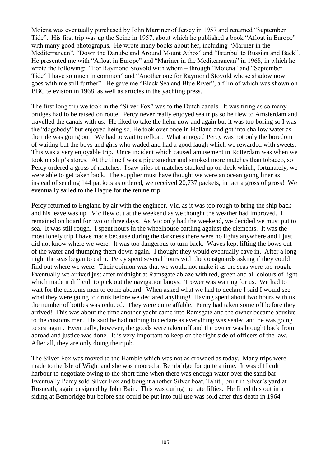Moiena was eventually purchased by John Marriner of Jersey in 1957 and renamed "September Tide". His first trip was up the Seine in 1957, about which he published a book "Afloat in Europe" with many good photographs. He wrote many books about her, including "Mariner in the Mediterranean", "Down the Danube and Around Mount Athos" and "Istanbul to Russian and Back". He presented me with "Afloat in Europe" and "Mariner in the Mediterranean" in 1968, in which he wrote the following: "For Raymond Stovold with whom – through "Moiena" and "September Tide" I have so much in common" and "Another one for Raymond Stovold whose shadow now goes with me still further". He gave me "Black Sea and Blue River", a film of which was shown on BBC television in 1968, as well as articles in the yachting press.

The first long trip we took in the "Silver Fox" was to the Dutch canals. It was tiring as so many bridges had to be raised on route. Percy never really enjoyed sea trips so he flew to Amsterdam and travelled the canals with us. He liked to take the helm now and again but it was too boring so I was the "dogsbody" but enjoyed being so. He took over once in Holland and got into shallow water as the tide was going out. We had to wait to refloat. What annoyed Percy was not only the boredom of waiting but the boys and girls who waded and had a good laugh which we rewarded with sweets. This was a very enjoyable trip. Once incident which caused amusement in Rotterdam was when we took on ship's stores. At the time I was a pipe smoker and smoked more matches than tobacco, so Percy ordered a gross of matches. I saw piles of matches stacked up on deck which, fortunately, we were able to get taken back. The supplier must have thought we were an ocean going liner as instead of sending 144 packets as ordered, we received 20,737 packets, in fact a gross of gross! We eventually sailed to the Hague for the retune trip.

Percy returned to England by air with the engineer, Vic, as it was too rough to bring the ship back and his leave was up. Vic flew out at the weekend as we thought the weather had improved. I remained on board for two or three days. As Vic only had the weekend, we decided we must put to sea. It was still rough. I spent hours in the wheelhouse battling against the elements. It was the most lonely trip I have made because during the darkness there were no lights anywhere and I just did not know where we were. It was too dangerous to turn back. Waves kept lifting the bows out of the water and thumping them down again. I thought they would eventually cave in. After a long night the seas began to calm. Percy spent several hours with the coastguards asking if they could find out where we were. Their opinion was that we would not make it as the seas were too rough. Eventually we arrived just after midnight at Ramsgate ablaze with red, green and all colours of light which made it difficult to pick out the navigation buoys. Trower was waiting for us. We had to wait for the customs men to come aboard. When asked what we had to declare I said I would see what they were going to drink before we declared anything! Having spent about two hours with us the number of bottles was reduced. They were quite affable. Percy had taken some off before they arrived! This was about the time another yacht came into Ramsgate and the owner became abusive to the customs men. He said he had nothing to declare as everything was sealed and he was going to sea again. Eventually, however, the goods were taken off and the owner was brought back from abroad and justice was done. It is very important to keep on the right side of officers of the law. After all, they are only doing their job.

The Silver Fox was moved to the Hamble which was not as crowded as today. Many trips were made to the Isle of Wight and she was moored at Bembridge for quite a time. It was difficult harbour to negotiate owing to the short time when there was enough water over the sand bar. Eventually Percy sold Silver Fox and bought another Silver boat, Tahiti, built in Silver's yard at Rosneath, again designed by John Bain. This was during the late fifties. He fitted this out in a siding at Bembridge but before she could be put into full use was sold after this death in 1964.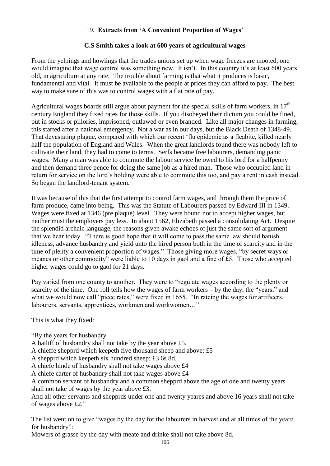# 19. **Extracts from 'A Convenient Proportion of Wages'**

# **C.S Smith takes a look at 600 years of agricultural wages**

From the yelpings and howlings that the trades unions set up when wage freezes are mooted, one would imagine that wage control was something new. It isn't. In this country it's at least 600 years old, in agriculture at any rate. The trouble about farming is that what it produces is basic, fundamental and vital. It must be available to the people at prices they can afford to pay. The best way to make sure of this was to control wages with a flat rate of pay.

Agricultural wages boards still argue about payment for the special skills of farm workers, in  $17<sup>th</sup>$ century England they fixed rates for those skills. If you disobeyed their dictum you could be fined, put in stocks or pillories, imprisoned, outlawed or even branded. Like all major changes in farming, this started after a national emergency. Not a war as in our days, but the Black Death of 1348-49. That devastating plague, compared with which our recent 'flu epidemic as a fleabite, killed nearly half the population of England and Wales. When the great landlords found there was nobody left to cultivate their land, they had to come to terms. Serfs became free labourers, demanding panic wages. Many a man was able to commute the labour service he owed to his lord for a halfpenny and then demand three pence for doing the same job as a hired man. Those who occupied land in return for service on the lord's holding were able to commute this too, and pay a rent in cash instead. So began the landlord-tenant system.

It was because of this that the first attempt to control farm wages, and through them the price of farm produce, came into being. This was the Statute of Labourers passed by Edward III in 1349. Wages were fixed at 1346 (pre plaque) level. They were bound not to accept higher wages, but neither must the employers pay less. In about 1562, Elizabeth passed a consolidating Act. Despite the splendid archaic language, the reasons given awake echoes of just the same sort of argument that we hear today. "There is good hope that it will come to pass the same law should banish idleness, advance husbandry and yield unto the hired person both in the time of scarcity and in the time of plenty a convenient proportion of wages." Those giving more wages, "by secret ways or meanes or other commodity" were liable to 10 days in gaol and a fine of £5. Those who accepted higher wages could go to gaol for 21 days.

Pay varied from one county to another. They were to "regulate wages according to the plenty or scarcity of the time. One roll tells how the wages of farm workers – by the day, the "years," and what we would now call "piece rates," were fixed in 1655. "In rateing the wages for artificers, labourers, servants, apprentices, workmen and workwomen…"

This is what they fixed:

"By the years for husbandry

A bailiff of husbandry shall not take by the year above £5.

A chieffe shepprd which keepeth five thousand sheep and above: £5

A shepprd which keepeth six hundred sheep: £3 6s 8d.

A chiefe hinde of husbandry shall not take wages above £4

A chiefe carter of husbandry shall not take wages above £4

A common servant of husbandry and a common shepprd above the age of one and twenty years shall not take of wages by the year above £3.

And all other servants and shepprds under one and twenty yeares and above 16 years shall not take of wages above £2."

The list went on to give "wages by the day for the labourers in harvest end at all times of the yeare for husbandry":

Mowers of grasse by the day with meate and drinke shall not take above 8d.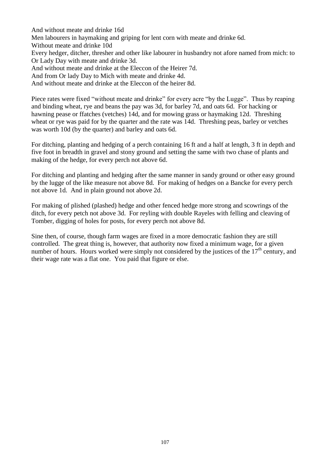And without meate and drinke 16d Men labourers in haymaking and griping for lent corn with meate and drinke 6d. Without meate and drinke 10d Every hedger, ditcher, thresher and other like labourer in husbandry not afore named from mich: to Or Lady Day with meate and drinke 3d. And without meate and drinke at the Eleccon of the Heirer 7d. And from Or lady Day to Mich with meate and drinke 4d. And without meate and drinke at the Eleccon of the heirer 8d.

Piece rates were fixed "without meate and drinke" for every acre "by the Lugge". Thus by reaping and binding wheat, rye and beans the pay was 3d, for barley 7d, and oats 6d. For hacking or hawning pease or ffatches (vetches) 14d, and for mowing grass or haymaking 12d. Threshing wheat or rye was paid for by the quarter and the rate was 14d. Threshing peas, barley or vetches was worth 10d (by the quarter) and barley and oats 6d.

For ditching, planting and hedging of a perch containing 16 ft and a half at length, 3 ft in depth and five foot in breadth in gravel and stony ground and setting the same with two chase of plants and making of the hedge, for every perch not above 6d.

For ditching and planting and hedging after the same manner in sandy ground or other easy ground by the lugge of the like measure not above 8d. For making of hedges on a Bancke for every perch not above 1d. And in plain ground not above 2d.

For making of plished (plashed) hedge and other fenced hedge more strong and scowrings of the ditch, for every petch not above 3d. For reyling with double Rayeles with felling and cleaving of Tomber, digging of holes for posts, for every perch not above 8d.

Sine then, of course, though farm wages are fixed in a more democratic fashion they are still controlled. The great thing is, however, that authority now fixed a minimum wage, for a given number of hours. Hours worked were simply not considered by the justices of the  $17<sup>th</sup>$  century, and their wage rate was a flat one. You paid that figure or else.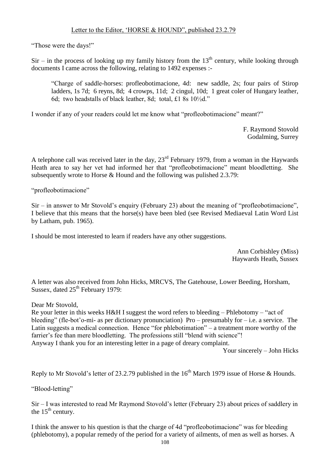"Those were the days!"

 $Sir$  – in the process of looking up my family history from the  $13<sup>th</sup>$  century, while looking through documents I came across the following, relating to 1492 expenses :-

"Charge of saddle-horses: profleobotimacione, 4d: new saddle, 2s; four pairs of Stirop ladders, 1s 7d; 6 reyns, 8d; 4 crowps, 11d; 2 cingul, 10d; 1 great coler of Hungary leather, 6d; two headstalls of black leather, 8d; total, £1 8s 10½d."

I wonder if any of your readers could let me know what "profleobotimacione" meant?"

F. Raymond Stovold Godalming, Surrey

A telephone call was received later in the day,  $23<sup>rd</sup>$  February 1979, from a woman in the Haywards Heath area to say her vet had informed her that "profleobotimacione" meant bloodletting. She subsequently wrote to Horse  $&$  Hound and the following was pulished 2.3.79:

"profleobotimacione"

Sir – in answer to Mr Stovold's enquiry (February 23) about the meaning of "profleobotimacione", I believe that this means that the horse(s) have been bled (see Revised Mediaeval Latin Word List by Latham, pub. 1965).

I should be most interested to learn if readers have any other suggestions.

Ann Corbishley (Miss) Haywards Heath, Sussex

A letter was also received from John Hicks, MRCVS, The Gatehouse, Lower Beeding, Horsham, Sussex, dated  $25<sup>th</sup>$  February 1979:

Dear Mr Stovold,

Re your letter in this weeks H&H I suggest the word refers to bleeding – Phlebotomy – "act of bleeding" (fle-bot'o-mi- as per dictionary pronunciation) Pro – presumably for – i.e. a service. The Latin suggests a medical connection. Hence "for phlebotimation" – a treatment more worthy of the farrier's fee than mere bloodletting. The professions still "blend with science"! Anyway I thank you for an interesting letter in a page of dreary complaint.

Your sincerely – John Hicks

Reply to Mr Stovold's letter of 23.2.79 published in the  $16<sup>th</sup>$  March 1979 issue of Horse & Hounds.

"Blood-letting"

Sir – I was interested to read Mr Raymond Stovold's letter (February 23) about prices of saddlery in the  $15<sup>th</sup>$  century.

I think the answer to his question is that the charge of 4d "profleobotimacione" was for bleeding (phlebotomy), a popular remedy of the period for a variety of ailments, of men as well as horses. A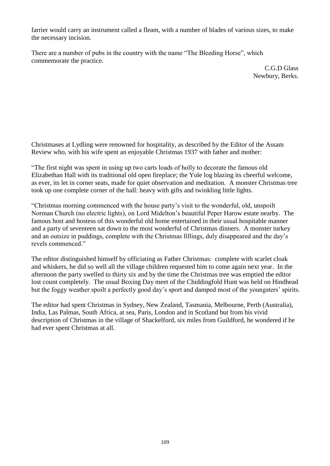farrier would carry an instrument called a fleam, with a number of blades of various sizes, to make the necessary incision.

There are a number of pubs in the country with the name "The Bleeding Horse", which commemorate the practice.

> C.G.D Glass Newbury, Berks.

Christmases at Lydling were renowned for hospitality, as described by the Editor of the Assam Review who, with his wife spent an enjoyable Christmas 1937 with father and mother:

"The first night was spent in using up two carts loads of holly to decorate the famous old Elizabethan Hall with its traditional old open fireplace; the Yule log blazing its cheerful welcome, as ever, its let in corner seats, made for quiet observation and meditation. A monster Christmas tree took up one complete corner of the hall: heavy with gifts and twinkling little lights.

"Christmas morning commenced with the house party's visit to the wonderful, old, unspoilt Norman Church (no electric lights), on Lord Midelton's beautiful Peper Harow estate nearby. The famous host and hostess of this wonderful old home entertained in their usual hospitable manner and a party of seventeen sat down to the most wonderful of Christmas dinners. A monster turkey and an outsize in puddings, complete with the Christmas fillings, duly disappeared and the day's revels commenced."

The editor distinguished himself by officiating as Father Christmas: complete with scarlet cloak and whiskers, he did so well all the village children requested him to come again next year. In the afternoon the party swelled to thirty six and by the time the Christmas tree was emptied the editor lost count completely. The usual Boxing Day meet of the Chiddingfold Hunt was held on Hindhead but the foggy weather spoilt a perfectly good day's sport and damped most of the youngsters' spirits.

The editor had spent Christmas in Sydney, New Zealand, Tasmania, Melbourne, Perth (Australia), India, Las Palmas, South Africa, at sea, Paris, London and in Scotland but from his vivid description of Christmas in the village of Shackelford, six miles from Guildford, he wondered if he had ever spent Christmas at all.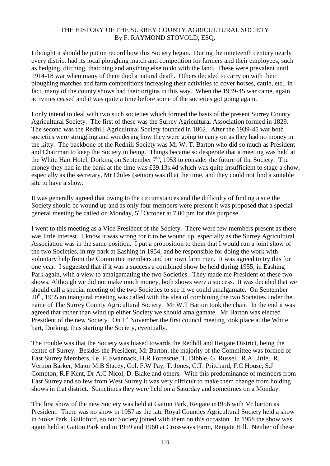## THE HISTORY OF THE SURREY COUNTY AGRICULTURAL SOCIETY By F. RAYMOND STOVOLD, ESQ.

I thought it should be put on record how this Society began. During the nineteenth century nearly every district had its local ploughing match and competition for farmers and their employees, such as hedging, ditching, thatching and anything else to do with the land. These were prevalent until 1914-18 war when many of them died a natural death. Others decided to carry on with their ploughing matches and farm competitions increasing their activities to cover horses, cattle, etc., in fact, many of the county shows had their origins in this way. When the 1939-45 war came, again activities ceased and it was quite a time before some of the societies got going again.

I only intend to deal with two such societies which formed the basis of the present Surrey County Agricultural Society. The first of these was the Surrey Agricultural Association formed in 1829. The second was the Redhill Agricultural Society founded in 1862. After the 1939-45 war both societies were struggling and wondering how they were going to carry on as they had no money in the kitty. The backbone of the Redhill Society was Mr W. T. Barton who did so much as President and Chairman to keep the Society in being. Things became so desperate that a meeting was held at the White Hart Hotel, Dorking on September  $7<sup>th</sup>$ , 1953 to consider the future of the Society. The money they had in the bank at the time was £39.13s.4d which was quite insufficient to stage a show, especially as the secretary, Mr Chiles (senior) was ill at the time, and they could not find a suitable site to have a show.

It was generally agreed that owing to the circumstances and the difficulty of finding a site the Society should be wound up and as only four members were present it was proposed that a special general meeting be called on Monday,  $5<sup>th</sup>$  October at 7.00 pm for this purpose.

I went to this meeting as a Vice President of the Society. There were few members present as there was little interest. I know it was wrong for it to be wound up, especially as the Surrey Agricultural Association was in the same position. I put a proposition to them that I would run a joint show of the two Societies, in my park at Eashing in 1954, and be responsible for doing the work with voluntary help from the Committee members and our own farm men. It was agreed to try this for one year. I suggested that if it was a success a combined show be held during 1955, in Eashing Park again, with a view to amalgamating the two Societies. They made me President of these two shows. Although we did not make much money, both shows were a success. It was decided that we should call a special meeting of the two Societies to see if we could amalgamate. On September  $20<sup>th</sup>$ , 1955 an inaugural meeting was called with the idea of combining the two Societies under the name of The Surrey County Agricultural Society. Mr W.T Barton took the chair. In the end it was agreed that rather than wind up either Society we should amalgamate. Mr Barton was elected President of the new Society. On 1<sup>st</sup> November the first council meeting took place at the White hart, Dorking, thus starting the Society, eventually.

The trouble was that the Society was biased towards the Redhill and Reigate District, being the centre of Surrey. Besides the President, Mr Barton, the majority of the Committee was formed of East Surrey Members, i.e F. Swannack, H.R Fortescue, T. Dibble, G. Russell, R.A Little, R. Vernon Barker, Major M.B Stacey, Col. F.W Pay, T. Jones, C.T. Pritchard, F.C House, S.J Compton, R.F Kent, Dr A.C Nicol, D. Blake and others. With this predominance of members from East Surrey and so few from West Surrey it was very difficult to make them change from holding shows in that district. Sometimes they were held on a Saturday and sometimes on a Monday.

The first show of the new Society was held at Gatton Park, Reigate in1956 with Mr barton as President. There was no show in 1957 as the late Royal Counties Agricultural Society held a show in Stoke Park, Guildford, so our Society joined with them on this occasion. In 1958 the show was again held at Gatton Park and in 1959 and 1960 at Crossways Farm, Reigate Hill. Neither of these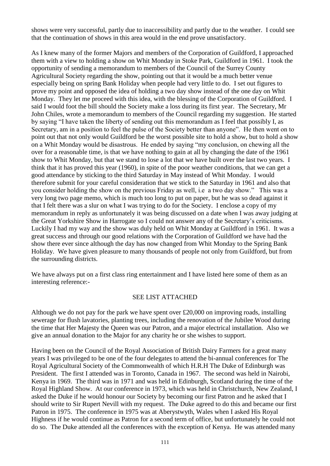shows were very successful, partly due to inaccessibility and partly due to the weather. I could see that the continuation of shows in this area would in the end prove unsatisfactory.

As I knew many of the former Majors and members of the Corporation of Guildford, I approached them with a view to holding a show on Whit Monday in Stoke Park, Guildford in 1961. I took the opportunity of sending a memorandum to members of the Council of the Surrey County Agricultural Society regarding the show, pointing out that it would be a much better venue especially being on spring Bank Holiday when people had very little to do. I set out figures to prove my point and opposed the idea of holding a two day show instead of the one day on Whit Monday. They let me proceed with this idea, with the blessing of the Corporation of Guildford. I said I would foot the bill should the Society make a loss during its first year. The Secretary, Mr John Chiles, wrote a memorandum to members of the Council regarding my suggestion. He started by saying "I have taken the liberty of sending out this memorandum as I feel that possibly I, as Secretary, am in a position to feel the pulse of the Society better than anyone". He then went on to point out that not only would Guildford be the worst possible site to hold a show, but to hold a show on a Whit Monday would be disastrous. He ended by saying "my conclusion, on chewing all the over for a reasonable time, is that we have nothing to gain at all by changing the date of the 1961 show to Whit Monday, but that we stand to lose a lot that we have built over the last two years. I think that it has proved this year (1960), in spite of the poor weather conditions, that we can get a good attendance by sticking to the third Saturday in May instead of Whit Monday. I would therefore submit for your careful consideration that we stick to the Saturday in 1961 and also that you consider holding the show on the previous Friday as well, i.e a two day show." This was a very long two page memo, which is much too long to put on paper, but he was so dead against it that I felt there was a slur on what I was trying to do for the Society. I enclose a copy of my memorandum in reply as unfortunately it was being discussed on a date when I was away judging at the Great Yorkshire Show in Harrogate so I could not answer any of the Secretary's criticisms. Luckily I had my way and the show was duly held on Whit Monday at Guildford in 1961. It was a great success and through our good relations with the Corporation of Guildford we have had the show there ever since although the day has now changed from Whit Monday to the Spring Bank Holiday. We have given pleasure to many thousands of people not only from Guildford, but from the surrounding districts.

We have always put on a first class ring entertainment and I have listed here some of them as an interesting reference:-

## SEE LIST ATTACHED

Although we do not pay for the park we have spent over £20,000 on improving roads, installing sewerage for flush lavatories, planting trees, including the renovation of the Jubilee Wood during the time that Her Majesty the Queen was our Patron, and a major electrical installation. Also we give an annual donation to the Major for any charity he or she wishes to support.

Having been on the Council of the Royal Association of British Dairy Farmers for a great many years I was privileged to be one of the four delegates to attend the bi-annual conferences for The Royal Agricultural Society of the Commonwealth of which H.R.H The Duke of Edinburgh was President. The first I attended was in Toronto, Canada in 1967. The second was held in Nairobi, Kenya in 1969. The third was in 1971 and was held in Edinburgh, Scotland during the time of the Royal Highland Show. At our conference in 1973, which was held in Christchurch, New Zealand, I asked the Duke if he would honour our Society by becoming our first Patron and he asked that I should write to Sir Rupert Nevill with my request. The Duke agreed to do this and became our first Patron in 1975. The conference in 1975 was at Aberystwyth, Wales when I asked His Royal Highness if he would continue as Patron for a second term of office, but unfortunately he could not do so. The Duke attended all the conferences with the exception of Kenya. He was attended many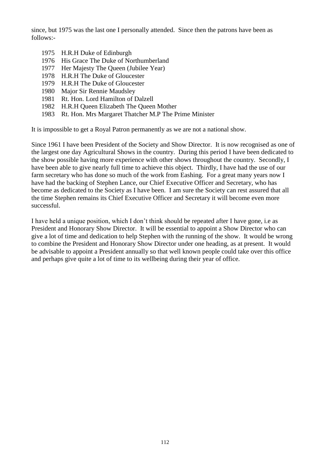since, but 1975 was the last one I personally attended. Since then the patrons have been as follows:-

- 1975 H.R.H Duke of Edinburgh
- 1976 His Grace The Duke of Northumberland
- 1977 Her Majesty The Queen (Jubilee Year)
- 1978 H.R.H The Duke of Gloucester
- 1979 H.R.H The Duke of Gloucester
- 1980 Major Sir Rennie Maudsley
- 1981 Rt. Hon. Lord Hamilton of Dalzell
- 1982 H.R.H Queen Elizabeth The Queen Mother
- 1983 Rt. Hon. Mrs Margaret Thatcher M.P The Prime Minister

It is impossible to get a Royal Patron permanently as we are not a national show.

Since 1961 I have been President of the Society and Show Director. It is now recognised as one of the largest one day Agricultural Shows in the country. During this period I have been dedicated to the show possible having more experience with other shows throughout the country. Secondly, I have been able to give nearly full time to achieve this object. Thirdly, I have had the use of our farm secretary who has done so much of the work from Eashing. For a great many years now I have had the backing of Stephen Lance, our Chief Executive Officer and Secretary, who has become as dedicated to the Society as I have been. I am sure the Society can rest assured that all the time Stephen remains its Chief Executive Officer and Secretary it will become even more successful.

I have held a unique position, which I don't think should be repeated after I have gone, i.e as President and Honorary Show Director. It will be essential to appoint a Show Director who can give a lot of time and dedication to help Stephen with the running of the show. It would be wrong to combine the President and Honorary Show Director under one heading, as at present. It would be advisable to appoint a President annually so that well known people could take over this office and perhaps give quite a lot of time to its wellbeing during their year of office.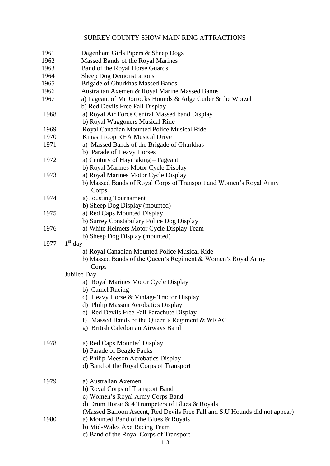## SURREY COUNTY SHOW MAIN RING ATTRACTIONS

| 1961 | Dagenham Girls Pipers & Sheep Dogs                                                                            |
|------|---------------------------------------------------------------------------------------------------------------|
| 1962 | Massed Bands of the Royal Marines                                                                             |
| 1963 | Band of the Royal Horse Guards                                                                                |
| 1964 | <b>Sheep Dog Demonstrations</b>                                                                               |
| 1965 | <b>Brigade of Ghurkhas Massed Bands</b>                                                                       |
| 1966 | Australian Axemen & Royal Marine Massed Banns                                                                 |
| 1967 | a) Pageant of Mr Jorrocks Hounds & Adge Cutler & the Worzel                                                   |
|      | b) Red Devils Free Fall Display                                                                               |
| 1968 | a) Royal Air Force Central Massed band Display                                                                |
|      | b) Royal Waggoners Musical Ride                                                                               |
| 1969 | Royal Canadian Mounted Police Musical Ride                                                                    |
| 1970 | Kings Troop RHA Musical Drive                                                                                 |
| 1971 | a) Massed Bands of the Brigade of Ghurkhas                                                                    |
|      | b) Parade of Heavy Horses                                                                                     |
| 1972 | a) Century of Haymaking - Pageant                                                                             |
|      | b) Royal Marines Motor Cycle Display                                                                          |
| 1973 | a) Royal Marines Motor Cycle Display                                                                          |
|      | b) Massed Bands of Royal Corps of Transport and Women's Royal Army                                            |
|      | Corps.                                                                                                        |
| 1974 | a) Jousting Tournament                                                                                        |
|      | b) Sheep Dog Display (mounted)                                                                                |
| 1975 | a) Red Caps Mounted Display                                                                                   |
|      | b) Surrey Constabulary Police Dog Display                                                                     |
| 1976 | a) White Helmets Motor Cycle Display Team                                                                     |
| 1977 | b) Sheep Dog Display (mounted)<br>$1st$ day                                                                   |
|      |                                                                                                               |
|      | a) Royal Canadian Mounted Police Musical Ride<br>b) Massed Bands of the Queen's Regiment & Women's Royal Army |
|      | Corps                                                                                                         |
|      | Jubilee Day                                                                                                   |
|      | a) Royal Marines Motor Cycle Display                                                                          |
|      | b) Camel Racing                                                                                               |
|      | c) Heavy Horse & Vintage Tractor Display                                                                      |
|      | d) Philip Masson Aerobatics Display                                                                           |
|      | e) Red Devils Free Fall Parachute Display                                                                     |
|      | Massed Bands of the Queen's Regiment & WRAC<br>f)                                                             |
|      | g) British Caledonian Airways Band                                                                            |
|      |                                                                                                               |
| 1978 | a) Red Caps Mounted Display                                                                                   |
|      | b) Parade of Beagle Packs                                                                                     |
|      | c) Philip Meeson Aerobatics Display                                                                           |
|      | d) Band of the Royal Corps of Transport                                                                       |
|      |                                                                                                               |
| 1979 | a) Australian Axemen                                                                                          |
|      | b) Royal Corps of Transport Band                                                                              |
|      | c) Women's Royal Army Corps Band                                                                              |
|      | d) Drum Horse & 4 Trumpeters of Blues & Royals                                                                |
|      | (Massed Balloon Ascent, Red Devils Free Fall and S.U Hounds did not appear)                                   |
| 1980 | a) Mounted Band of the Blues & Royals                                                                         |
|      | b) Mid-Wales Axe Racing Team                                                                                  |
|      | c) Band of the Royal Corps of Transport                                                                       |